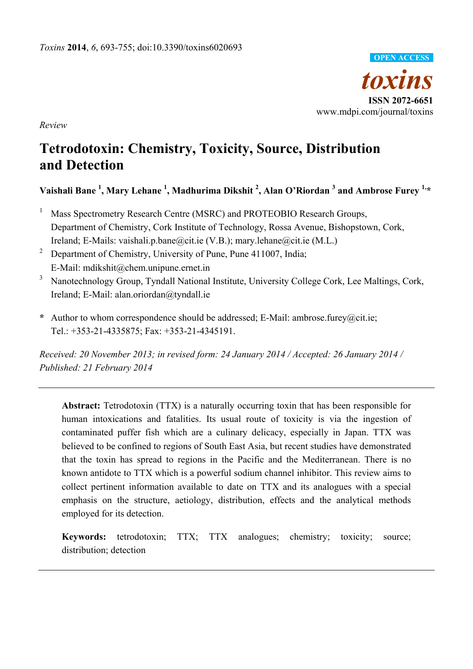

*Review* 

# **Tetrodotoxin: Chemistry, Toxicity, Source, Distribution and Detection**

# $V$ aishali Bane  $^{1}$ , Mary Lehane  $^{1}$ , Madhurima Dikshit  $^{2}$ , Alan O'Riordan  $^{3}$  and Ambrose Furey  $^{1,\ast}$

- 1 Mass Spectrometry Research Centre (MSRC) and PROTEOBIO Research Groups, Department of Chemistry, Cork Institute of Technology, Rossa Avenue, Bishopstown, Cork, Ireland; E-Mails: vaishali.p.bane@cit.ie (V.B.); mary.lehane@cit.ie (M.L.)
- 2 Department of Chemistry, University of Pune, Pune 411007, India; E-Mail: mdikshit@chem.unipune.ernet.in
- <sup>3</sup> Nanotechnology Group, Tyndall National Institute, University College Cork, Lee Maltings, Cork, Ireland; E-Mail: alan.oriordan@tyndall.ie
- **\*** Author to whom correspondence should be addressed; E-Mail: ambrose.furey@cit.ie; Tel.: +353-21-4335875; Fax: +353-21-4345191.

*Received: 20 November 2013; in revised form: 24 January 2014 / Accepted: 26 January 2014 / Published: 21 February 2014* 

**Abstract:** Tetrodotoxin (TTX) is a naturally occurring toxin that has been responsible for human intoxications and fatalities. Its usual route of toxicity is via the ingestion of contaminated puffer fish which are a culinary delicacy, especially in Japan. TTX was believed to be confined to regions of South East Asia, but recent studies have demonstrated that the toxin has spread to regions in the Pacific and the Mediterranean. There is no known antidote to TTX which is a powerful sodium channel inhibitor. This review aims to collect pertinent information available to date on TTX and its analogues with a special emphasis on the structure, aetiology, distribution, effects and the analytical methods employed for its detection.

**Keywords:** tetrodotoxin; TTX; TTX analogues; chemistry; toxicity; source; distribution; detection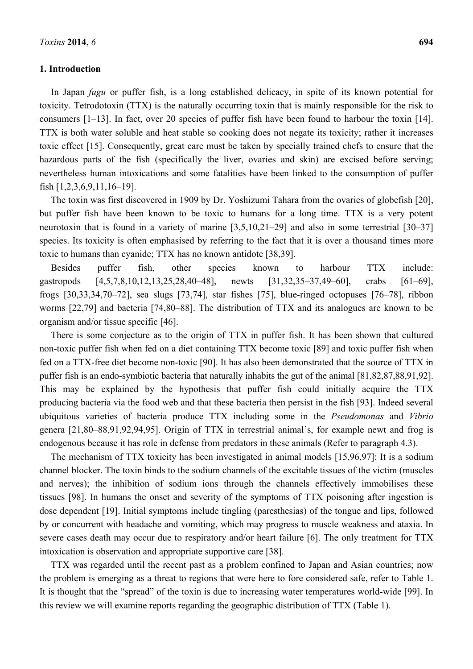# **1. Introduction**

In Japan *fugu* or puffer fish, is a long established delicacy, in spite of its known potential for toxicity. Tetrodotoxin (TTX) is the naturally occurring toxin that is mainly responsible for the risk to consumers [1–13]. In fact, over 20 species of puffer fish have been found to harbour the toxin [14]. TTX is both water soluble and heat stable so cooking does not negate its toxicity; rather it increases toxic effect [15]. Consequently, great care must be taken by specially trained chefs to ensure that the hazardous parts of the fish (specifically the liver, ovaries and skin) are excised before serving; nevertheless human intoxications and some fatalities have been linked to the consumption of puffer fish [1,2,3,6,9,11,16–19].

The toxin was first discovered in 1909 by Dr. Yoshizumi Tahara from the ovaries of globefish [20], but puffer fish have been known to be toxic to humans for a long time. TTX is a very potent neurotoxin that is found in a variety of marine [3,5,10,21–29] and also in some terrestrial [30–37] species. Its toxicity is often emphasised by referring to the fact that it is over a thousand times more toxic to humans than cyanide; TTX has no known antidote [38,39].

Besides puffer fish, other species known to harbour TTX include: gastropods [4,5,7,8,10,12,13,25,28,40–48], newts [31,32,35–37,49–60], crabs [61–69], frogs [30,33,34,70–72], sea slugs [73,74], star fishes [75], blue-ringed octopuses [76–78], ribbon worms [22,79] and bacteria [74,80–88]. The distribution of TTX and its analogues are known to be organism and/or tissue specific [46].

There is some conjecture as to the origin of TTX in puffer fish. It has been shown that cultured non-toxic puffer fish when fed on a diet containing TTX become toxic [89] and toxic puffer fish when fed on a TTX-free diet become non-toxic [90]. It has also been demonstrated that the source of TTX in puffer fish is an endo-symbiotic bacteria that naturally inhabits the gut of the animal [81,82,87,88,91,92]. This may be explained by the hypothesis that puffer fish could initially acquire the TTX producing bacteria via the food web and that these bacteria then persist in the fish [93]. Indeed several ubiquitous varieties of bacteria produce TTX including some in the *Pseudomonas* and *Vibrio* genera [21,80–88,91,92,94,95]. Origin of TTX in terrestrial animal's, for example newt and frog is endogenous because it has role in defense from predators in these animals (Refer to paragraph 4.3).

The mechanism of TTX toxicity has been investigated in animal models [15,96,97]: It is a sodium channel blocker. The toxin binds to the sodium channels of the excitable tissues of the victim (muscles and nerves); the inhibition of sodium ions through the channels effectively immobilises these tissues [98]. In humans the onset and severity of the symptoms of TTX poisoning after ingestion is dose dependent [19]. Initial symptoms include tingling (paresthesias) of the tongue and lips, followed by or concurrent with headache and vomiting, which may progress to muscle weakness and ataxia. In severe cases death may occur due to respiratory and/or heart failure [6]. The only treatment for TTX intoxication is observation and appropriate supportive care [38].

TTX was regarded until the recent past as a problem confined to Japan and Asian countries; now the problem is emerging as a threat to regions that were here to fore considered safe, refer to Table 1. It is thought that the "spread" of the toxin is due to increasing water temperatures world-wide [99]. In this review we will examine reports regarding the geographic distribution of TTX (Table 1).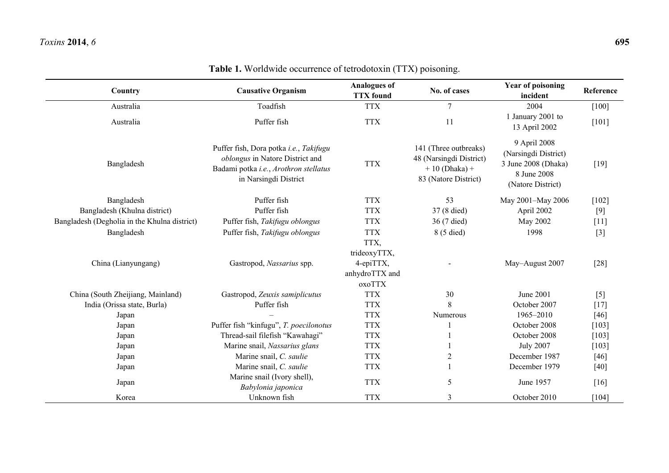| Country                                      | <b>Causative Organism</b>                                                                                                                   | <b>Analogues of</b><br><b>TTX</b> found | No. of cases                                                                                | <b>Year of poisoning</b><br>incident                                                            | Reference |
|----------------------------------------------|---------------------------------------------------------------------------------------------------------------------------------------------|-----------------------------------------|---------------------------------------------------------------------------------------------|-------------------------------------------------------------------------------------------------|-----------|
| Australia                                    | Toadfish                                                                                                                                    | <b>TTX</b>                              | $\overline{7}$                                                                              | 2004                                                                                            | $[100]$   |
| Australia                                    | Puffer fish                                                                                                                                 | <b>TTX</b>                              | 11                                                                                          | 1 January 2001 to<br>13 April 2002                                                              | $[101]$   |
| Bangladesh                                   | Puffer fish, Dora potka i.e., Takifugu<br>oblongus in Natore District and<br>Badami potka i.e., Arothron stellatus<br>in Narsingdi District | <b>TTX</b>                              | 141 (Three outbreaks)<br>48 (Narsingdi District)<br>$+10$ (Dhaka) +<br>83 (Natore District) | 9 April 2008<br>(Narsingdi District)<br>3 June 2008 (Dhaka)<br>8 June 2008<br>(Natore District) | $[19]$    |
| Bangladesh                                   | Puffer fish                                                                                                                                 | <b>TTX</b>                              | 53                                                                                          | May 2001-May 2006                                                                               | $[102]$   |
| Bangladesh (Khulna district)                 | Puffer fish                                                                                                                                 | <b>TTX</b>                              | 37 (8 died)                                                                                 | April 2002                                                                                      | $[9]$     |
| Bangladesh (Degholia in the Khulna district) | Puffer fish, Takifugu oblongus                                                                                                              | <b>TTX</b>                              | 36 (7 died)                                                                                 | May 2002                                                                                        | $[11]$    |
| Bangladesh                                   | Puffer fish, Takifugu oblongus                                                                                                              | <b>TTX</b>                              | 8 (5 died)                                                                                  | 1998                                                                                            | $[3]$     |
|                                              |                                                                                                                                             | TTX,                                    |                                                                                             |                                                                                                 |           |
|                                              |                                                                                                                                             | trideoxyTTX,                            |                                                                                             |                                                                                                 |           |
| China (Lianyungang)                          | 4-epiTTX,<br>Gastropod, Nassarius spp.                                                                                                      |                                         |                                                                                             | May-August 2007                                                                                 | $[28]$    |
|                                              |                                                                                                                                             | anhydroTTX and                          |                                                                                             |                                                                                                 |           |
|                                              |                                                                                                                                             | oxoTTX                                  |                                                                                             |                                                                                                 |           |
| China (South Zheijiang, Mainland)            | Gastropod, Zeuxis samiplicutus                                                                                                              | <b>TTX</b>                              | 30                                                                                          | June 2001                                                                                       | $[5]$     |
| India (Orissa state, Burla)                  | Puffer fish                                                                                                                                 | <b>TTX</b>                              | 8                                                                                           | October 2007                                                                                    | $[17]$    |
| Japan                                        |                                                                                                                                             | <b>TTX</b>                              | Numerous                                                                                    | 1965-2010                                                                                       | [46]      |
| Japan                                        | Puffer fish "kinfugu", T. poecilonotus                                                                                                      | <b>TTX</b>                              |                                                                                             | October 2008                                                                                    | $[103]$   |
| Japan                                        | Thread-sail filefish "Kawahagi"                                                                                                             | <b>TTX</b>                              |                                                                                             | October 2008                                                                                    | $[103]$   |
| Japan                                        | Marine snail, Nassarius glans                                                                                                               | <b>TTX</b>                              |                                                                                             | <b>July 2007</b>                                                                                | $[103]$   |
| Japan                                        | Marine snail, C. saulie                                                                                                                     | <b>TTX</b>                              | $\overline{2}$                                                                              | December 1987                                                                                   | $[46]$    |
| Japan                                        | Marine snail, C. saulie                                                                                                                     | <b>TTX</b>                              |                                                                                             | December 1979                                                                                   | $[40]$    |
| Japan                                        | Marine snail (Ivory shell),<br>Babylonia japonica                                                                                           | <b>TTX</b>                              | 5                                                                                           | June 1957                                                                                       | $[16]$    |
| Korea                                        | Unknown fish                                                                                                                                | <b>TTX</b>                              | $\overline{3}$                                                                              | October 2010                                                                                    | $[104]$   |

# **Table 1.** Worldwide occurrence of tetrodotoxin (TTX) poisoning.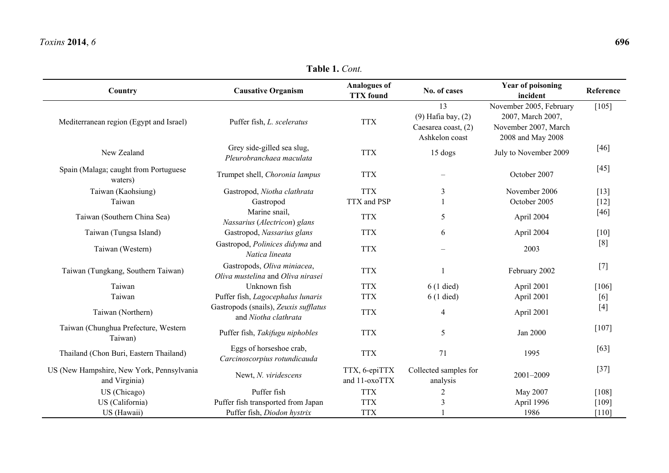**Table 1.** *Cont.* 

| Country                                                    | <b>Causative Organism</b>                                        | <b>Analogues of</b><br><b>TTX</b> found | No. of cases                                                          | <b>Year of poisoning</b><br>incident                                                      | Reference |
|------------------------------------------------------------|------------------------------------------------------------------|-----------------------------------------|-----------------------------------------------------------------------|-------------------------------------------------------------------------------------------|-----------|
| Mediterranean region (Egypt and Israel)                    | Puffer fish, L. sceleratus                                       | <b>TTX</b>                              | 13<br>$(9)$ Hafia bay, $(2)$<br>Caesarea coast, (2)<br>Ashkelon coast | November 2005, February<br>2007, March 2007,<br>November 2007, March<br>2008 and May 2008 | $[105]$   |
| New Zealand                                                | Grey side-gilled sea slug,<br>Pleurobranchaea maculata           | <b>TTX</b>                              | 15 dogs                                                               | July to November 2009                                                                     | $[46]$    |
| Spain (Malaga; caught from Portuguese<br>waters)           | Trumpet shell, Choronia lampus                                   | <b>TTX</b>                              |                                                                       | October 2007                                                                              | $[45]$    |
| Taiwan (Kaohsiung)                                         | Gastropod, Niotha clathrata                                      | <b>TTX</b>                              | 3                                                                     | November 2006                                                                             | $[13]$    |
| Taiwan                                                     | Gastropod                                                        | TTX and PSP                             |                                                                       | October 2005                                                                              | $[12]$    |
| Taiwan (Southern China Sea)                                | Marine snail,<br>Nassarius (Alectricon) glans                    | <b>TTX</b>                              | 5                                                                     | April 2004                                                                                | $[46]$    |
| Taiwan (Tungsa Island)                                     | Gastropod, Nassarius glans                                       | <b>TTX</b>                              | 6                                                                     | April 2004                                                                                | $[10]$    |
| Taiwan (Western)                                           | Gastropod, Polinices didyma and<br>Natica lineata                | <b>TTX</b>                              |                                                                       | 2003                                                                                      | [8]       |
| Taiwan (Tungkang, Southern Taiwan)                         | Gastropods, Oliva miniacea,<br>Oliva mustelina and Oliva nirasei | <b>TTX</b>                              |                                                                       | February 2002                                                                             | $[7]$     |
| Taiwan                                                     | Unknown fish                                                     | <b>TTX</b>                              | $6(1$ died)                                                           | April 2001                                                                                | [106]     |
| Taiwan                                                     | Puffer fish, Lagocephalus lunaris                                | <b>TTX</b>                              | $6(1$ died)                                                           | April 2001                                                                                | [6]       |
| Taiwan (Northern)                                          | Gastropods (snails), Zeuxis sufflatus<br>and Niotha clathrata    | <b>TTX</b>                              | $\overline{4}$                                                        | April 2001                                                                                | $[4]$     |
| Taiwan (Chunghua Prefecture, Western<br>Taiwan)            | Puffer fish, Takifugu niphobles                                  | <b>TTX</b>                              | 5                                                                     | Jan 2000                                                                                  | $[107]$   |
| Thailand (Chon Buri, Eastern Thailand)                     | Eggs of horseshoe crab,<br>Carcinoscorpius rotundicauda          | <b>TTX</b>                              | 71                                                                    | 1995                                                                                      | [63]      |
| US (New Hampshire, New York, Pennsylvania<br>and Virginia) | Newt, N. viridescens                                             | TTX, 6-epiTTX<br>and 11-oxoTTX          | Collected samples for<br>analysis                                     | 2001-2009                                                                                 | $[37]$    |
| US (Chicago)                                               | Puffer fish                                                      | <b>TTX</b>                              | $\overline{2}$                                                        | May 2007                                                                                  | [108]     |
| US (California)                                            | Puffer fish transported from Japan                               | <b>TTX</b>                              | 3                                                                     | April 1996                                                                                | [109]     |
| US (Hawaii)                                                | Puffer fish, Diodon hystrix                                      | <b>TTX</b>                              |                                                                       | 1986                                                                                      | $[110]$   |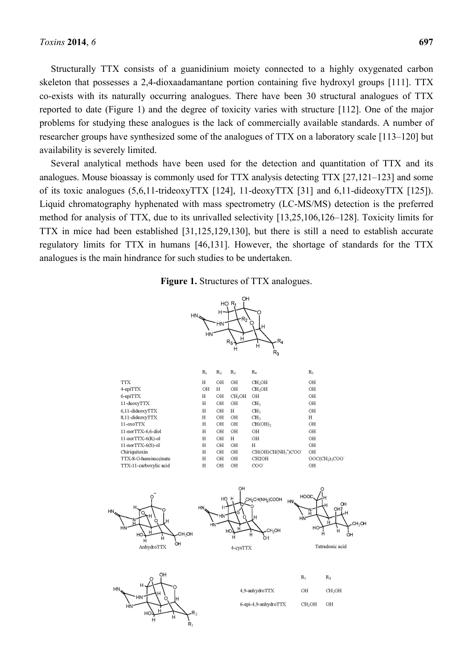Structurally TTX consists of a guanidinium moiety connected to a highly oxygenated carbon skeleton that possesses a 2,4-dioxaadamantane portion containing five hydroxyl groups [111]. TTX co-exists with its naturally occurring analogues. There have been 30 structural analogues of TTX reported to date (Figure 1) and the degree of toxicity varies with structure [112]. One of the major problems for studying these analogues is the lack of commercially available standards. A number of researcher groups have synthesized some of the analogues of TTX on a laboratory scale [113–120] but availability is severely limited.

Several analytical methods have been used for the detection and quantitation of TTX and its analogues. Mouse bioassay is commonly used for TTX analysis detecting TTX [27,121–123] and some of its toxic analogues (5,6,11-trideoxyTTX [124], 11-deoxyTTX [31] and 6,11-dideoxyTTX [125]). Liquid chromatography hyphenated with mass spectrometry (LC-MS/MS) detection is the preferred method for analysis of TTX, due to its unrivalled selectivity [13,25,106,126–128]. Toxicity limits for TTX in mice had been established [31,125,129,130], but there is still a need to establish accurate regulatory limits for TTX in humans [46,131]. However, the shortage of standards for the TTX analogues is the main hindrance for such studies to be undertaken.



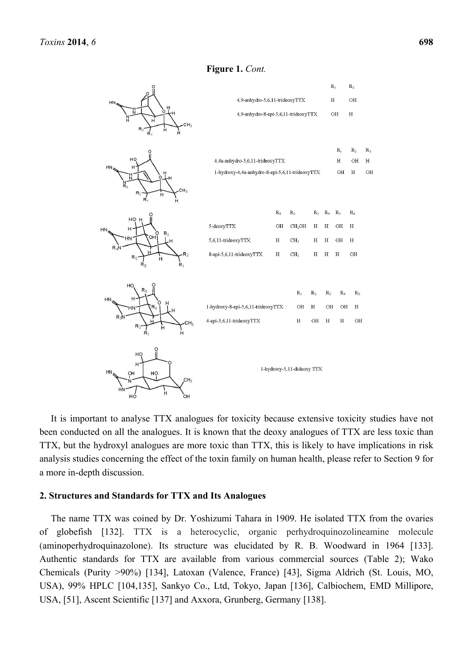

# **Figure 1.** *Cont.*

It is important to analyse TTX analogues for toxicity because extensive toxicity studies have not been conducted on all the analogues. It is known that the deoxy analogues of TTX are less toxic than TTX, but the hydroxyl analogues are more toxic than TTX, this is likely to have implications in risk analysis studies concerning the effect of the toxin family on human health, please refer to Section 9 for a more in-depth discussion.

# **2. Structures and Standards for TTX and Its Analogues**

 $HC$ 

 $He$ 

The name TTX was coined by Dr. Yoshizumi Tahara in 1909. He isolated TTX from the ovaries of globefish [132]. TTX is a heterocyclic, organic perhydroquinozolineamine molecule (aminoperhydroquinazolone). Its structure was elucidated by R. B. Woodward in 1964 [133]. Authentic standards for TTX are available from various commercial sources (Table 2); Wako Chemicals (Purity >90%) [134], Latoxan (Valence, France) [43], Sigma Aldrich (St. Louis, MO, USA), 99% HPLC [104,135], Sankyo Co., Ltd, Tokyo, Japan [136], Calbiochem, EMD Millipore, USA, [51], Ascent Scientific [137] and Axxora, Grunberg, Germany [138].

 $R_{3}$ 

 $\overline{H}$ 

 $\overline{O}$ H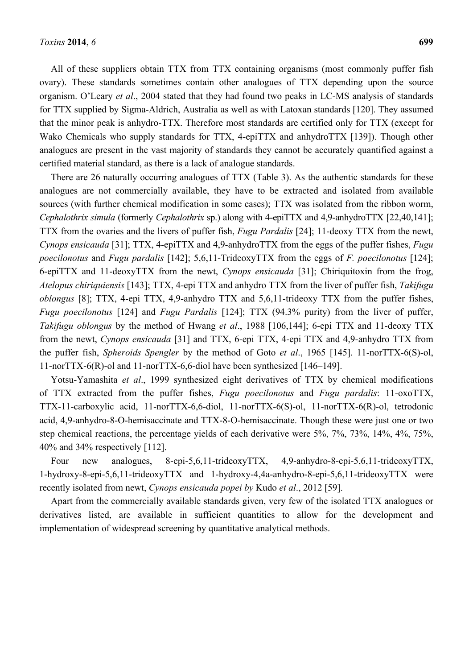All of these suppliers obtain TTX from TTX containing organisms (most commonly puffer fish ovary). These standards sometimes contain other analogues of TTX depending upon the source organism. O'Leary *et al*., 2004 stated that they had found two peaks in LC-MS analysis of standards for TTX supplied by Sigma-Aldrich, Australia as well as with Latoxan standards [120]. They assumed that the minor peak is anhydro-TTX. Therefore most standards are certified only for TTX (except for Wako Chemicals who supply standards for TTX, 4-epiTTX and anhydroTTX [139]). Though other analogues are present in the vast majority of standards they cannot be accurately quantified against a certified material standard, as there is a lack of analogue standards.

There are 26 naturally occurring analogues of TTX (Table 3). As the authentic standards for these analogues are not commercially available, they have to be extracted and isolated from available sources (with further chemical modification in some cases); TTX was isolated from the ribbon worm, *Cephalothrix simula* (formerly *Cephalothrix* sp.) along with 4-epiTTX and 4,9-anhydroTTX [22,40,141]; TTX from the ovaries and the livers of puffer fish, *Fugu Pardalis* [24]; 11-deoxy TTX from the newt, *Cynops ensicauda* [31]; TTX, 4-epiTTX and 4,9-anhydroTTX from the eggs of the puffer fishes, *Fugu poecilonotus* and *Fugu pardalis* [142]; 5,6,11-TrideoxyTTX from the eggs of *F. poecilonotus* [124]; 6-epiTTX and 11-deoxyTTX from the newt, *Cynops ensicauda* [31]; Chiriquitoxin from the frog, *Atelopus chiriquiensis* [143]; TTX, 4-epi TTX and anhydro TTX from the liver of puffer fish, *Takifugu oblongus* [8]; TTX, 4-epi TTX, 4,9-anhydro TTX and 5,6,11-trideoxy TTX from the puffer fishes, *Fugu poecilonotus* [124] and *Fugu Pardalis* [124]; TTX (94.3% purity) from the liver of puffer, *Takifugu oblongus* by the method of Hwang *et al*., 1988 [106,144]; 6-epi TTX and 11-deoxy TTX from the newt, *Cynops ensicauda* [31] and TTX, 6-epi TTX, 4-epi TTX and 4,9-anhydro TTX from the puffer fish, *Spheroids Spengler* by the method of Goto *et al*., 1965 [145]. 11-norTTX-6(S)-ol, 11-norTTX-6(R)-ol and 11-norTTX-6,6-diol have been synthesized [146–149].

Yotsu-Yamashita *et al*., 1999 synthesized eight derivatives of TTX by chemical modifications of TTX extracted from the puffer fishes, *Fugu poecilonotus* and *Fugu pardalis*: 11-oxoTTX, TTX-11-carboxylic acid, 11-norTTX-6,6-diol, 11-norTTX-6(S)-ol, 11-norTTX-6(R)-ol, tetrodonic acid, 4,9-anhydro-8-O-hemisaccinate and TTX-8-O-hemisaccinate. Though these were just one or two step chemical reactions, the percentage yields of each derivative were 5%, 7%, 73%, 14%, 4%, 75%, 40% and 34% respectively [112].

Four new analogues, 8-epi-5,6,11-trideoxyTTX, 4,9-anhydro-8-epi-5,6,11-trideoxyTTX, 1-hydroxy-8-epi-5,6,11-trideoxyTTX and 1-hydroxy-4,4a-anhydro-8-epi-5,6,11-trideoxyTTX were recently isolated from newt, *Cynops ensicauda popei by* Kudo *et al*., 2012 [59].

Apart from the commercially available standards given, very few of the isolated TTX analogues or derivatives listed, are available in sufficient quantities to allow for the development and implementation of widespread screening by quantitative analytical methods.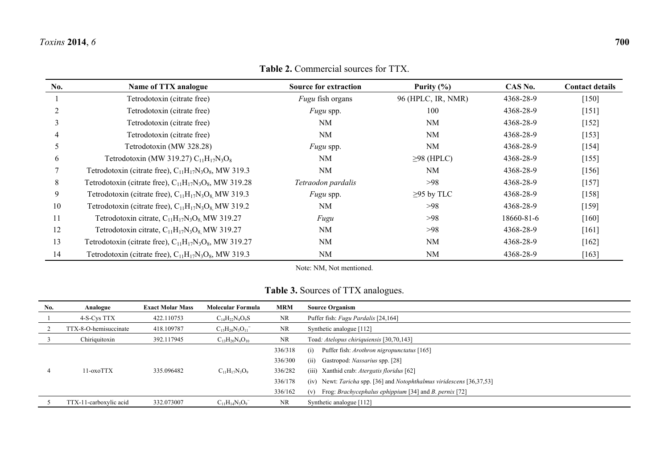# **Table 2.** Commercial sources for TTX.

| No. | Name of TTX analogue                                          | <b>Source for extraction</b> | Purity $(\% )$     | CAS No.    | <b>Contact details</b> |
|-----|---------------------------------------------------------------|------------------------------|--------------------|------------|------------------------|
|     | Tetrodotoxin (citrate free)                                   | <i>Fugu</i> fish organs      | 96 (HPLC, IR, NMR) | 4368-28-9  | $[150]$                |
|     | Tetrodotoxin (citrate free)                                   | <i>Fugu</i> spp.             | 100                | 4368-28-9  | $[151]$                |
|     | Tetrodotoxin (citrate free)                                   | NM                           | NM                 | 4368-28-9  | $[152]$                |
|     | Tetrodotoxin (citrate free)                                   | NM                           | <b>NM</b>          | 4368-28-9  | [153]                  |
|     | Tetrodotoxin (MW 328.28)                                      | <i>Fugu</i> spp.             | <b>NM</b>          | 4368-28-9  | $[154]$                |
| 6   | Tetrodotoxin (MW 319.27) $C_{11}H_{17}N_3O_8$                 | <b>NM</b>                    | $\geq$ 98 (HPLC)   | 4368-28-9  | $[155]$                |
|     | Tetrodotoxin (citrate free), $C_{11}H_{17}N_3O_8$ , MW 319.3  | NM                           | NM                 | 4368-28-9  | $[156]$                |
| 8   | Tetrodotoxin (citrate free), $C_{11}H_{17}N_3O_8$ , MW 319.28 | Tetraodon pardalis           | >98                | 4368-28-9  | $[157]$                |
| 9   | Tetrodotoxin (citrate free), $C_{11}H_{17}N_3O_8$ MW 319.3    | <i>Fugu</i> spp.             | $\geq$ 95 by TLC   | 4368-28-9  | $[158]$                |
| 10  | Tetrodotoxin (citrate free), $C_{11}H_{17}N_3O_8$ MW 319.2    | NM                           | >98                | 4368-28-9  | $[159]$                |
| 11  | Tetrodotoxin citrate, $C_{11}H_{17}N_3O_8$ MW 319.27          | Fugu                         | >98                | 18660-81-6 | $[160]$                |
| 12  | Tetrodotoxin citrate, $C_{11}H_{17}N_3O_8$ MW 319.27          | NM                           | >98                | 4368-28-9  | [161]                  |
| 13  | Tetrodotoxin (citrate free), $C_{11}H_{17}N_3O_8$ , MW 319.27 | NM                           | <b>NM</b>          | 4368-28-9  | $[162]$                |
| 14  | Tetrodotoxin (citrate free), $C_{11}H_{17}N_3O_8$ , MW 319.3  | NM                           | NM                 | 4368-28-9  | $[163]$                |

Note: NM, Not mentioned.

# **Table 3.** Sources of TTX analogues.

| No. | Analogue               | <b>Exact Molar Mass</b> | Molecular Formula       | <b>MRM</b> | <b>Source Organism</b>                                                      |
|-----|------------------------|-------------------------|-------------------------|------------|-----------------------------------------------------------------------------|
|     | 4-S-Cys TTX            | 422.110753              | $C_{14}H_{22}N_4O_9S$   | NR         | Puffer fish: Fugu Pardalis [24,164]                                         |
|     | TTX-8-O-hemisuccinate  | 418.109787              | $C_{15}H_{20}N_3O_{11}$ | NR         | Synthetic analogue [112]                                                    |
|     | Chiriquitoxin          | 392.117945              | $C_{13}H_{20}N_4O_{10}$ | NR         | Toad: Atelopus chiriquiensis [30,70,143]                                    |
|     |                        |                         |                         | 336/318    | Puffer fish: Arothron nigropunctatus [165]<br>(i)                           |
|     |                        |                         |                         | 336/300    | Gastropod: <i>Nassarius</i> spp. [28]<br>(ii)                               |
|     | 11-oxoTTX              | 335.096482              | $C_{11}H_{17}N_3O_9$    | 336/282    | (iii) Xanthid crab: <i>Atergatis floridus</i> [62]                          |
|     |                        |                         |                         | 336/178    | (iv) Newt: Taricha spp. [36] and Notophthalmus viridescens [36,37,53]       |
|     |                        |                         |                         | 336/162    | Frog: <i>Brachycephalus ephippium</i> [34] and <i>B. pernix</i> [72]<br>(v) |
|     | TTX-11-carboxylic acid | 332.073007              | $C_{11}H_{14}N_3O_9$    | <b>NR</b>  | Synthetic analogue [112]                                                    |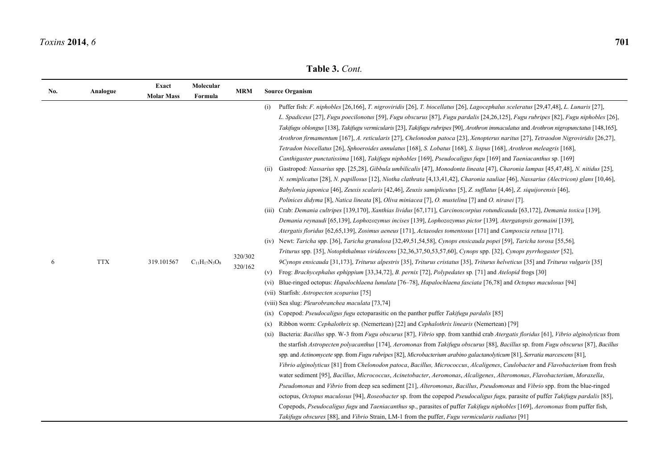**Table 3.** *Cont.* 

| No. | Analogue   | Exact<br><b>Molar Mass</b> | Molecular<br>Formula | <b>MRM</b>         | <b>Source Organism</b>                                                                                                                                                                                                                                                                                                                                                                                                                                                                                                                                                                                                                                                                                                                                                                                                                                                                                                                                                                                                                                                                                                                                                                                                                                                                                                                                                                                                                                                                                                                                                                                                                                                                                                                                                                                                                                                                                                                                                                                                                                                                                                                                                                                                                                                                                                                                                                                                                                                                                                                                                                                                                                                                                                                                                                                                                                                                                                                                                                                                                                                                                                                                                                                                                                                                                                                                                                                                                                                                                                                                                                                                                                                                                                                                                                                                                               |
|-----|------------|----------------------------|----------------------|--------------------|------------------------------------------------------------------------------------------------------------------------------------------------------------------------------------------------------------------------------------------------------------------------------------------------------------------------------------------------------------------------------------------------------------------------------------------------------------------------------------------------------------------------------------------------------------------------------------------------------------------------------------------------------------------------------------------------------------------------------------------------------------------------------------------------------------------------------------------------------------------------------------------------------------------------------------------------------------------------------------------------------------------------------------------------------------------------------------------------------------------------------------------------------------------------------------------------------------------------------------------------------------------------------------------------------------------------------------------------------------------------------------------------------------------------------------------------------------------------------------------------------------------------------------------------------------------------------------------------------------------------------------------------------------------------------------------------------------------------------------------------------------------------------------------------------------------------------------------------------------------------------------------------------------------------------------------------------------------------------------------------------------------------------------------------------------------------------------------------------------------------------------------------------------------------------------------------------------------------------------------------------------------------------------------------------------------------------------------------------------------------------------------------------------------------------------------------------------------------------------------------------------------------------------------------------------------------------------------------------------------------------------------------------------------------------------------------------------------------------------------------------------------------------------------------------------------------------------------------------------------------------------------------------------------------------------------------------------------------------------------------------------------------------------------------------------------------------------------------------------------------------------------------------------------------------------------------------------------------------------------------------------------------------------------------------------------------------------------------------------------------------------------------------------------------------------------------------------------------------------------------------------------------------------------------------------------------------------------------------------------------------------------------------------------------------------------------------------------------------------------------------------------------------------------------------------------------------------------------------|
| 6   | <b>TTX</b> | 319.101567                 | $C_{11}H_{17}N_3O_8$ | 320/302<br>320/162 | Puffer fish: F. niphobles [26,166], T. nigroviridis [26], T. biocellatus [26], Lagocephalus sceleratus [29,47,48], L. Lunaris [27],<br>(i)<br>L. Spadiceus [27], Fugu poecilonotus [59], Fugu obscurus [87], Fugu pardalis [24,26,125], Fugu rubripes [82], Fugu niphobles [26],<br>Takifugu oblongus [138], Takifugu vermicularis [23], Takifugu rubripes [90], Arothron immaculatus and Arothron nigropunctatus [148,165],<br>Arothron firmamentum [167], A. reticularis [27], Chelonodon patoca [23], Xenopterus naritus [27], Tetraodon Nigroviridis [26,27],<br>Tetradon biocellatus [26], Sphoeroides annulatus [168], S. Lobatus [168], S. lispus [168], Arothron meleagris [168],<br>Canthigaster punctatissima [168], Takifugu niphobles [169], Pseudocaligus fugu [169] and Taeniacanthus sp. [169]<br>Gastropod: Nassarius spp. [25,28], Gibbula umbilicalis [47], Monodonta lineata [47], Charonia lampas [45,47,48], N. nitidus [25],<br>(ii)<br>N. semiplicatus [28], N. papillosus [12], Niotha clathrata [4,13,41,42], Charonia sauliae [46], Nassarius (Alectricon) glans [10,46],<br>Babylonia japonica [46], Zeuxis scalaris [42,46], Zeuxis samiplicutus [5], Z. sufflatus [4,46], Z. siquijorensis [46],<br>Polinices didyma [8], Natica lineata [8], Oliva miniacea [7], O. mustelina [7] and O. nirasei [7].<br>(iii) Crab: Demania cultripes [139,170], Xanthias lividus [67,171], Carcinoscorpius rotundicauda [63,172], Demania toxica [139],<br>Demania reynaudi [65,139], Lophozozymus incises [139], Lophozozymus pictor [139], Atergatopsis germaini [139],<br>Atergatis floridus [62,65,139], Zosimus aeneus [171], Actaeodes tomentosus [171] and Camposcia retusa [171].<br>(iv) Newt: Taricha spp. [36], Taricha granulosa [32,49,51,54,58], Cynops ensicauda popei [59], Taricha torosa [55,56],<br>Triturus spp. [35], Notophthalmus viridescens [32,36,37,50,53,57,60], Cynops spp. [32], Cynops pyrrhogaster [52],<br>9Cynops ensicauda [31,173], Triturus alpestris [35], Triturus cristatus [35], Triturus helveticus [35] and Triturus vulgaris [35]<br>Frog: Brachycephalus ephippium [33,34,72], B. pernix [72], Polypedates sp. [71] and Atelopid frogs [30]<br>(v)<br>Blue-ringed octopus: Hapalochlaena lunulata [76-78], Hapalochlaena fasciata [76,78] and Octopus maculosus [94]<br>(V1)<br>(vii) Starfish: Astropecten scoparius [75]<br>(viii) Sea slug: Pleurobranchea maculata [73,74]<br>Copepod: <i>Pseudocaligus fugu</i> ectoparasitic on the panther puffer Takifugu pardalis [85]<br>(1X)<br>Ribbon worm: Cephalothrix sp. (Nemertean) [22] and Cephalothrix linearis (Nemertean) [79]<br>(x)<br>(xi) Bacteria: Bacillus spp. W-3 from Fugu obscurus [87], Vibrio spp. from xanthid crab Atergatis floridus [61], Vibrio alginolyticus from<br>the starfish Astropecten polyacanthus [174], Aeromonas from Takifugu obscurus [88], Bacillus sp. from Fugu obscurus [87], Bacillus<br>spp. and Actinomycete spp. from Fugu rubripes [82], Microbacterium arabino galactanolyticum [81], Serratia marcescens [81],<br>Vibrio alginolyticus [81] from Chelonodon patoca, Bacillus, Micrococcus, Alcaligenes, Caulobacter and Flavobacterium from fresh<br>water sediment [95], Bacillus, Micrococcus, Acinetobacter, Aeromonas, Alcaligenes, Alteromonas, Flavobacterium, Moraxella,<br>Pseudomonas and Vibrio from deep sea sediment [21], Alteromonas, Bacillus, Pseudomonas and Vibrio spp. from the blue-ringed<br>octopus, Octopus maculosus [94], Roseobacter sp. from the copepod Pseudocaligus fugu, parasite of puffer Takifugu pardalis [85],<br>Copepods, Pseudocaligus fugu and Taeniacanthus sp., parasites of puffer Takifugu niphobles [169], Aeromonas from puffer fish,<br>Takifugu obscures [88], and Vibrio Strain, LM-1 from the puffer, Fugu vermicularis radiatus [91] |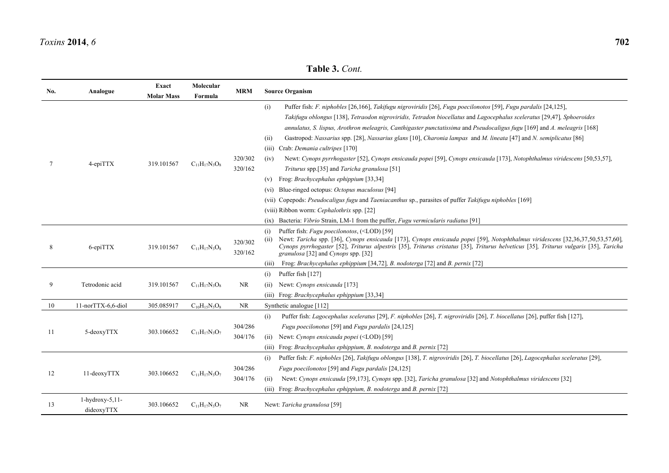| No. | Analogue                         | Exact             | Molecular            | <b>MRM</b>         | <b>Source Organism</b>                                                                                                                                                                                                                                                                                                                                                                                                                                                                                                                               |
|-----|----------------------------------|-------------------|----------------------|--------------------|------------------------------------------------------------------------------------------------------------------------------------------------------------------------------------------------------------------------------------------------------------------------------------------------------------------------------------------------------------------------------------------------------------------------------------------------------------------------------------------------------------------------------------------------------|
|     |                                  | <b>Molar Mass</b> | Formula              |                    |                                                                                                                                                                                                                                                                                                                                                                                                                                                                                                                                                      |
|     |                                  |                   |                      |                    | Puffer fish: F. niphobles [26,166], Takifugu nigroviridis [26], Fugu poecilonotos [59], Fugu pardalis [24,125],<br>(i)<br>Takifugu oblongus [138], Tetraodon nigroviridis, Tetradon biocellatus and Lagocephalus sceleratus [29,47], Sphoeroides<br>annulatus, S. lispus, Arothron meleagris, Canthigaster punctatissima and Pseudocaligus fugu [169] and A. meleagris [168]<br>Gastropod: Nassarius spp. [28], Nassarius glans [10], Charonia lampas and M. lineata [47] and N. semiplicatus [86]<br>(ii)<br>Crab: Demania cultripes [170]<br>(iii) |
| 7   | 4-epiTTX                         | 319.101567        | $C_{11}H_{17}N_3O_8$ | 320/302            | Newt: Cynops pyrrhogaster [52], Cynops ensicauda popei [59], Cynops ensicauda [173], Notophthalmus viridescens [50,53,57],<br>(iv)                                                                                                                                                                                                                                                                                                                                                                                                                   |
|     |                                  |                   |                      | 320/162            | Triturus spp.[35] and Taricha granulosa [51]<br>Frog: Brachycephalus ephippium [33,34]<br>(v)                                                                                                                                                                                                                                                                                                                                                                                                                                                        |
|     |                                  |                   |                      |                    | Blue-ringed octopus: Octopus maculosus [94]<br>(vi)                                                                                                                                                                                                                                                                                                                                                                                                                                                                                                  |
|     |                                  |                   |                      |                    | (vii) Copepods: Pseudocaligus fugu and Taeniacanthus sp., parasites of puffer Takifugu niphobles [169]                                                                                                                                                                                                                                                                                                                                                                                                                                               |
|     |                                  |                   |                      |                    | (viii) Ribbon worm: Cephalothrix spp. [22]                                                                                                                                                                                                                                                                                                                                                                                                                                                                                                           |
|     |                                  |                   |                      |                    | Bacteria: <i>Vibrio</i> Strain, LM-1 from the puffer, <i>Fugu vermicularis radiatus</i> [91]<br>(ix)                                                                                                                                                                                                                                                                                                                                                                                                                                                 |
| 8   | 6-epiTTX                         | 319.101567        | $C_{11}H_{17}N_3O_8$ | 320/302<br>320/162 | Puffer fish: Fugu poecilonotos, ( <lod) [59]<br="">(i)<br/>Newt: Taricha spp. [36], Cynops ensicauda [173], Cynops ensicauda popei [59], Notophthalmus viridescens [32,36,37,50,53,57,60],<br/>(ii)<br/>Cynops pyrrhogaster [52], Triturus alpestris [35], Triturus cristatus [35], Triturus helveticus [35], Triturus vulgaris [35], Taricha<br/>granulosa [32] and Cynops spp. [32]</lod)>                                                                                                                                                         |
|     |                                  |                   |                      |                    | Frog: Brachycephalus ephippium [34,72], B. nodoterga [72] and B. pernix [72]<br>(iii)                                                                                                                                                                                                                                                                                                                                                                                                                                                                |
|     |                                  |                   |                      |                    | Puffer fish [127]<br>(i)                                                                                                                                                                                                                                                                                                                                                                                                                                                                                                                             |
| 9   | Tetrodonic acid                  | 319.101567        | $C_{11}H_{17}N_3O_8$ | <b>NR</b>          | Newt: Cynops ensicauda [173]<br>(ii)                                                                                                                                                                                                                                                                                                                                                                                                                                                                                                                 |
|     |                                  |                   |                      |                    | Frog: Brachycephalus ephippium [33,34]<br>(iii)                                                                                                                                                                                                                                                                                                                                                                                                                                                                                                      |
| 10  | 11-norTTX-6,6-diol               | 305.085917        | $C_{10}H_{15}N_3O_8$ | <b>NR</b>          | Synthetic analogue [112]                                                                                                                                                                                                                                                                                                                                                                                                                                                                                                                             |
| 11  | 5-deoxyTTX                       | 303.106652        | $C_{11}H_{17}N_3O_7$ | 304/286<br>304/176 | Puffer fish: Lagocephalus sceleratus [29], F. niphobles [26], T. nigroviridis [26], T. biocellatus [26], puffer fish [127],<br>(i)<br>Fugu poecilonotus [59] and Fugu pardalis [24,125]<br>Newt: Cynops ensicauda popei ( <lod) [59]<br="">(ii)<br/>Frog: Brachycephalus ephippium, B. nodoterga and B. pernix [72]<br/>(iii)</lod)>                                                                                                                                                                                                                 |
| 12  | 11-deoxyTTX                      | 303.106652        | $C_{11}H_{17}N_3O_7$ | 304/286<br>304/176 | Puffer fish: F. niphobles [26], Takifugu oblongus [138], T. nigroviridis [26], T. biocellatus [26], Lagocephalus sceleratus [29],<br>(i)<br>Fugu poecilonotos [59] and Fugu pardalis [24,125]<br>Newt: Cynops ensicauda [59,173], Cynops spp. [32], Taricha granulosa [32] and Notophthalmus viridescens [32]<br>(ii)<br>Frog: Brachycephalus ephippium, B. nodoterga and B. pernix [72]<br>(iii)                                                                                                                                                    |
| 13  | $1$ -hydroxy-5,11-<br>dideoxyTTX | 303.106652        | $C_{11}H_{17}N_3O_7$ | NR                 | Newt: Taricha granulosa [59]                                                                                                                                                                                                                                                                                                                                                                                                                                                                                                                         |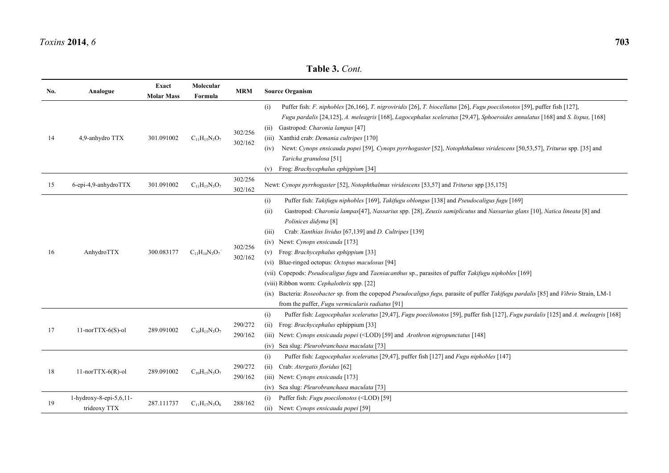| No. | Analogue                                   | Exact             | Molecular            | <b>MRM</b>         | <b>Source Organism</b>                                                                                                                                                                                                                                                                                                                                                                                                                                                                                                                                                                                                                                                                                                                                                                                                                   |
|-----|--------------------------------------------|-------------------|----------------------|--------------------|------------------------------------------------------------------------------------------------------------------------------------------------------------------------------------------------------------------------------------------------------------------------------------------------------------------------------------------------------------------------------------------------------------------------------------------------------------------------------------------------------------------------------------------------------------------------------------------------------------------------------------------------------------------------------------------------------------------------------------------------------------------------------------------------------------------------------------------|
|     |                                            | <b>Molar Mass</b> | Formula              |                    |                                                                                                                                                                                                                                                                                                                                                                                                                                                                                                                                                                                                                                                                                                                                                                                                                                          |
| 14  | 4,9-anhydro TTX                            | 301.091002        | $C_{11}H_{15}N_3O_7$ | 302/256<br>302/162 | Puffer fish: F. niphobles [26,166], T. nigroviridis [26], T. biocellatus [26], Fugu poecilonotos [59], puffer fish [127],<br>(i)<br>Fugu pardalis [24,125], A. meleagris [168], Lagocephalus sceleratus [29,47], Sphoeroides annulatus [168] and S. lispus, [168]<br>Gastropod: Charonia lampas [47]<br>(11)<br>(iii) Xanthid crab: Demania cultripes [170]<br>Newt: Cynops ensicauda popei [59], Cynops pyrrhogaster [52], Notophthalmus viridescens [50,53,57], Triturus spp. [35] and<br>(iv)<br>Taricha granulosa [51]<br>Frog: Brachycephalus ephippium [34]<br>(v)                                                                                                                                                                                                                                                                 |
| 15  | 6-epi-4,9-anhydroTTX                       | 301.091002        | $C_{11}H_{15}N_3O_7$ | 302/256<br>302/162 | Newt: Cynops pyrrhogaster [52], Notophthalmus viridescens [53,57] and Triturus spp [35,175]                                                                                                                                                                                                                                                                                                                                                                                                                                                                                                                                                                                                                                                                                                                                              |
| 16  | AnhydroTTX                                 | 300.083177        | $C_{11}H_{14}N_3O_7$ | 302/256<br>302/162 | Puffer fish: Takifugu niphobles [169], Takifugu oblongus [138] and Pseudocaligus fugu [169]<br>(i)<br>Gastropod: Charonia lampas[47], Nassarius spp. [28], Zeuxis samiplicutus and Nassarius glans [10], Natica lineata [8] and<br>(ii)<br>Polinices didyma [8]<br>Crab: Xanthias lividus [67,139] and D. Cultripes [139]<br>(iii)<br>(iv) Newt: Cynops ensicauda [173]<br>Frog: Brachycephalus ephippium [33]<br>(v)<br>Blue-ringed octopus: Octopus maculosus [94]<br>(V1)<br>(vii) Copepods: Pseudocaligus fugu and Taeniacanthus sp., parasites of puffer Takifugu niphobles [169]<br>(viii) Ribbon worm: Cephalothrix spp. [22]<br>(ix) Bacteria: Roseobacter sp. from the copepod Pseudocaligus fugu, parasite of puffer Takifugu pardalis [85] and Vibrio Strain, LM-1<br>from the puffer, <i>Fugu vermicularis radiatus</i> [91] |
| 17  | $11$ -norTTX-6(S)-ol                       | 289.091002        | $C_{10}H_{15}N_3O_7$ | 290/272<br>290/162 | (i)<br>Puffer fish: Lagocephalus sceleratus [29,47], Fugu poecilonotos [59], puffer fish [127], Fugu pardalis [125] and A. meleagris [168]<br>Frog: Brachycephalus ephippium [33]<br>(ii)<br>(iii) Newt: Cynops ensicauda popei ( <lod) [148]<br="" [59]="" and="" arothron="" nigropunctatus="">(iv) Sea slug: Pleurobranchaea maculata [73]</lod)>                                                                                                                                                                                                                                                                                                                                                                                                                                                                                     |
| 18  | $11-norTTX-6(R)-ol$                        | 289.091002        | $C_{10}H_{15}N_3O_7$ | 290/272<br>290/162 | (i)<br>Puffer fish: Lagocephalus sceleratus [29,47], puffer fish [127] and Fugu niphobles [147]<br>Crab: Atergatis floridus [62]<br>(ii)<br>(iii) Newt: Cynops ensicauda [173]<br>Sea slug: Pleurobranchaea maculata [73]<br>(iv)                                                                                                                                                                                                                                                                                                                                                                                                                                                                                                                                                                                                        |
| 19  | $1$ -hydroxy-8-epi-5,6,11-<br>trideoxy TTX | 287.111737        | $C_{11}H_{17}N_3O_6$ | 288/162            | Puffer fish: Fugu poecilonotos ( <lod) [59]<br="">(i)<br/>(ii) Newt: Cynops ensicauda popei [59]</lod)>                                                                                                                                                                                                                                                                                                                                                                                                                                                                                                                                                                                                                                                                                                                                  |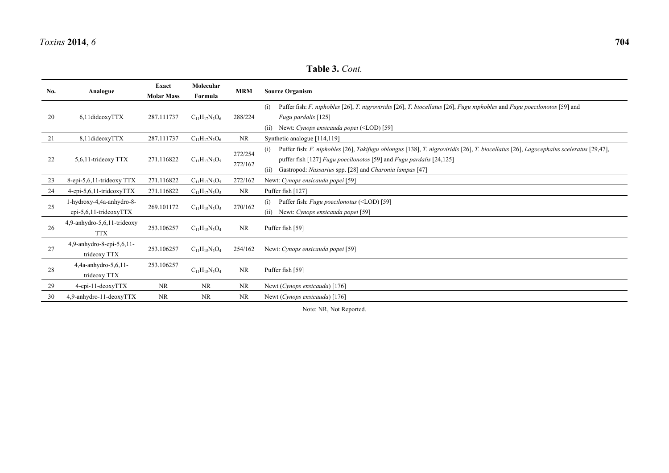| No. | Analogue                                               | Exact<br><b>Molar Mass</b> | Molecular<br>Formula | <b>MRM</b>         | <b>Source Organism</b>                                                                                                                                                                                                                                                                              |
|-----|--------------------------------------------------------|----------------------------|----------------------|--------------------|-----------------------------------------------------------------------------------------------------------------------------------------------------------------------------------------------------------------------------------------------------------------------------------------------------|
| 20  | $6,11$ dideoxy $TTX$                                   | 287.111737                 | $C_{11}H_{17}N_3O_6$ | 288/224            | Puffer fish: F. niphobles [26], T. nigroviridis [26], T. biocellatus [26], Fugu niphobles and Fugu poecilonotos [59] and<br>(i)<br>Fugu pardalis [125]<br>Newt: Cynops ensicauda popei ( <lod) [59]<br="">(ii)</lod)>                                                                               |
| 21  | 8,11dideoxyTTX                                         | 287.111737                 | $C_{11}H_{17}N_3O_6$ | <b>NR</b>          | Synthetic analogue [114,119]                                                                                                                                                                                                                                                                        |
| 22  | 5,6,11-trideoxy TTX                                    | 271.116822                 | $C_{11}H_{17}N_3O_5$ | 272/254<br>272/162 | Puffer fish: F. niphobles [26], Takifugu oblongus [138], T. nigroviridis [26], T. biocellatus [26], Lagocephalus sceleratus [29,47],<br>(i)<br>puffer fish [127] <i>Fugu poecilonotos</i> [59] and <i>Fugu pardalis</i> [24,125]<br>Gastropod: Nassarius spp. [28] and Charonia lampas [47]<br>(ii) |
| 23  | 8-epi-5,6,11-trideoxy TTX                              | 271.116822                 | $C_{11}H_{17}N_3O_5$ | 272/162            | Newt: Cynops ensicauda popei [59]                                                                                                                                                                                                                                                                   |
| 24  | $4$ -epi-5,6,11-trideoxyTTX                            | 271.116822                 | $C_{11}H_{17}N_3O_5$ | <b>NR</b>          | Puffer fish [127]                                                                                                                                                                                                                                                                                   |
| 25  | 1-hydroxy-4,4a-anhydro-8-<br>epi-5,6,11-trideoxy $TTX$ | 269.101172                 | $C_{11}H_{15}N_3O_5$ | 270/162            | Puffer fish: <i>Fugu poecilonotus</i> ( <lod) [59]<br="">(i)<br/>Newt: Cynops ensicauda popei [59]<br/>(11)</lod)>                                                                                                                                                                                  |
| 26  | $4,9$ -anhydro-5,6,11-trideoxy<br><b>TTX</b>           | 253.106257                 | $C_{11}H_{15}N_3O_4$ | <b>NR</b>          | Puffer fish [59]                                                                                                                                                                                                                                                                                    |
| 27  | 4,9-anhydro-8-epi-5,6,11-<br>trideoxy TTX              | 253.106257                 | $C_{11}H_{15}N_3O_4$ | 254/162            | Newt: Cynops ensicauda popei [59]                                                                                                                                                                                                                                                                   |
| 28  | $4,4a$ -anhydro-5,6,11-<br>trideoxy TTX                | 253.106257                 | $C_{11}H_{15}N_3O_4$ | <b>NR</b>          | Puffer fish [59]                                                                                                                                                                                                                                                                                    |
| 29  | $4$ -epi-11-deoxy $TTX$                                | NR                         | <b>NR</b>            | <b>NR</b>          | Newt (Cynops ensicauda) [176]                                                                                                                                                                                                                                                                       |
| 30  | 4,9-anhydro-11-deoxyTTX                                | NR                         | <b>NR</b>            | NR                 | Newt (Cynops ensicauda) [176]                                                                                                                                                                                                                                                                       |

Note: NR, Not Reported.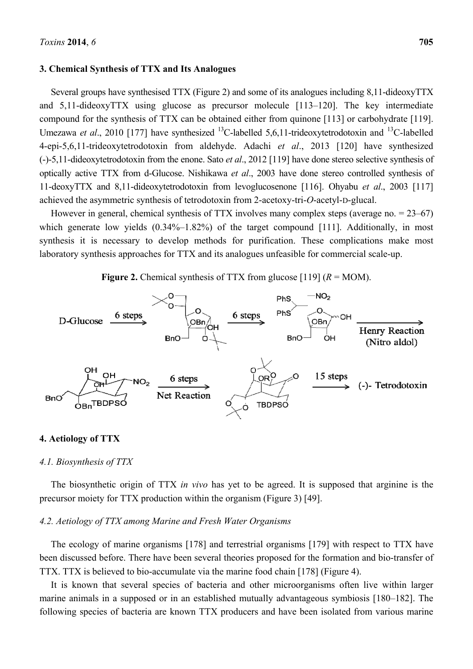### **3. Chemical Synthesis of TTX and Its Analogues**

Several groups have synthesised TTX (Figure 2) and some of its analogues including 8,11-dideoxyTTX and 5,11-dideoxyTTX using glucose as precursor molecule [113–120]. The key intermediate compound for the synthesis of TTX can be obtained either from quinone [113] or carbohydrate [119]. Umezawa *et al.*, 2010 [177] have synthesized <sup>13</sup>C-labelled 5,6,11-trideoxytetrodotoxin and <sup>13</sup>C-labelled 4-epi-5,6,11-trideoxytetrodotoxin from aldehyde. Adachi *et al*., 2013 [120] have synthesized (-)-5,11-dideoxytetrodotoxin from the enone. Sato *et al*., 2012 [119] have done stereo selective synthesis of optically active TTX from d-Glucose. Nishikawa *et al*., 2003 have done stereo controlled synthesis of 11-deoxyTTX and 8,11-dideoxytetrodotoxin from levoglucosenone [116]. Ohyabu *et al*., 2003 [117] achieved the asymmetric synthesis of tetrodotoxin from 2-acetoxy-tri-*O*-acetyl-D-glucal.

However in general, chemical synthesis of TTX involves many complex steps (average no. = 23–67) which generate low yields  $(0.34\% - 1.82\%)$  of the target compound [111]. Additionally, in most synthesis it is necessary to develop methods for purification. These complications make most laboratory synthesis approaches for TTX and its analogues unfeasible for commercial scale-up.

**Figure 2.** Chemical synthesis of TTX from glucose [119]  $(R = MOM)$ .



# **4. Aetiology of TTX**

#### *4.1. Biosynthesis of TTX*

The biosynthetic origin of TTX *in vivo* has yet to be agreed. It is supposed that arginine is the precursor moiety for TTX production within the organism (Figure 3) [49].

#### *4.2. Aetiology of TTX among Marine and Fresh Water Organisms*

The ecology of marine organisms [178] and terrestrial organisms [179] with respect to TTX have been discussed before. There have been several theories proposed for the formation and bio-transfer of TTX. TTX is believed to bio-accumulate via the marine food chain [178] (Figure 4).

It is known that several species of bacteria and other microorganisms often live within larger marine animals in a supposed or in an established mutually advantageous symbiosis [180–182]. The following species of bacteria are known TTX producers and have been isolated from various marine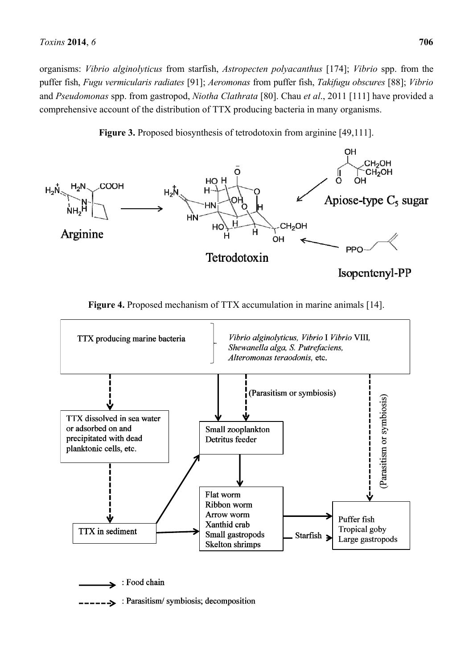organisms: *Vibrio alginolyticus* from starfish, *Astropecten polyacanthus* [174]; *Vibrio* spp. from the puffer fish, *Fugu vermicularis radiates* [91]; *Aeromonas* from puffer fish, *Takifugu obscures* [88]; *Vibrio*  and *Pseudomonas* spp. from gastropod, *Niotha Clathrata* [80]. Chau *et al*., 2011 [111] have provided a comprehensive account of the distribution of TTX producing bacteria in many organisms.







**Figure 4.** Proposed mechanism of TTX accumulation in marine animals [14].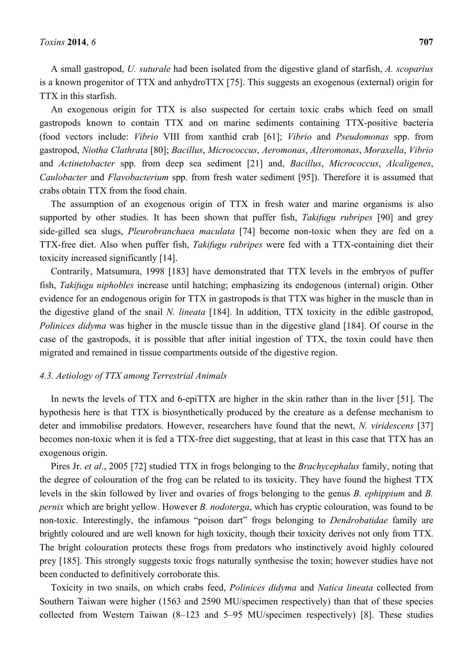A small gastropod, *U. suturale* had been isolated from the digestive gland of starfish, *A. scoparius*  is a known progenitor of TTX and anhydroTTX [75]. This suggests an exogenous (external) origin for TTX in this starfish.

An exogenous origin for TTX is also suspected for certain toxic crabs which feed on small gastropods known to contain TTX and on marine sediments containing TTX-positive bacteria (food vectors include: *Vibrio* VIII from xanthid crab [61]; *Vibrio* and *Pseudomonas* spp. from gastropod, *Niotha Clathrata* [80]; *Bacillus*, *Micrococcus*, *Aeromonas*, *Alteromonas*, *Moraxella*, *Vibrio* and *Actinetobacter* spp. from deep sea sediment [21] and, *Bacillus*, *Micrococcus*, *Alcaligenes*, *Caulobacter* and *Flavobacterium* spp. from fresh water sediment [95]). Therefore it is assumed that crabs obtain TTX from the food chain.

The assumption of an exogenous origin of TTX in fresh water and marine organisms is also supported by other studies. It has been shown that puffer fish, *Takifugu rubripes* [90] and grey side-gilled sea slugs, *Pleurobranchaea maculata* [74] become non-toxic when they are fed on a TTX-free diet. Also when puffer fish, *Takifugu rubripes* were fed with a TTX-containing diet their toxicity increased significantly [14].

Contrarily, Matsumura, 1998 [183] have demonstrated that TTX levels in the embryos of puffer fish, *Takifugu niphobles* increase until hatching; emphasizing its endogenous (internal) origin. Other evidence for an endogenous origin for TTX in gastropods is that TTX was higher in the muscle than in the digestive gland of the snail *N. lineata* [184]. In addition, TTX toxicity in the edible gastropod, *Polinices didyma* was higher in the muscle tissue than in the digestive gland [184]. Of course in the case of the gastropods, it is possible that after initial ingestion of TTX, the toxin could have then migrated and remained in tissue compartments outside of the digestive region.

#### *4.3. Aetiology of TTX among Terrestrial Animals*

In newts the levels of TTX and 6-epiTTX are higher in the skin rather than in the liver [51]. The hypothesis here is that TTX is biosynthetically produced by the creature as a defense mechanism to deter and immobilise predators. However, researchers have found that the newt, *N. viridescens* [37] becomes non-toxic when it is fed a TTX-free diet suggesting, that at least in this case that TTX has an exogenous origin.

Pires Jr. *et al*., 2005 [72] studied TTX in frogs belonging to the *Brachycephalus* family, noting that the degree of colouration of the frog can be related to its toxicity. They have found the highest TTX levels in the skin followed by liver and ovaries of frogs belonging to the genus *B. ephippium* and *B. pernix* which are bright yellow. However *B. nodoterga*, which has cryptic colouration, was found to be non-toxic. Interestingly, the infamous "poison dart" frogs belonging to *Dendrobatidae* family are brightly coloured and are well known for high toxicity, though their toxicity derives not only from TTX. The bright colouration protects these frogs from predators who instinctively avoid highly coloured prey [185]. This strongly suggests toxic frogs naturally synthesise the toxin; however studies have not been conducted to definitively corroborate this.

Toxicity in two snails, on which crabs feed, *Polinices didyma* and *Natica lineata* collected from Southern Taiwan were higher (1563 and 2590 MU/specimen respectively) than that of these species collected from Western Taiwan (8–123 and 5–95 MU/specimen respectively) [8]. These studies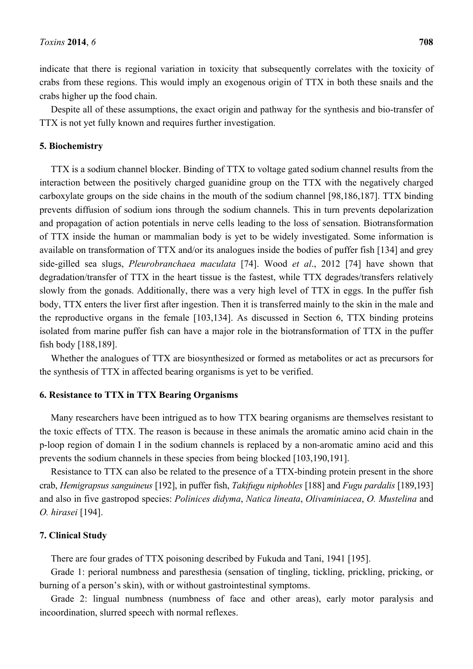indicate that there is regional variation in toxicity that subsequently correlates with the toxicity of crabs from these regions. This would imply an exogenous origin of TTX in both these snails and the crabs higher up the food chain.

Despite all of these assumptions, the exact origin and pathway for the synthesis and bio-transfer of TTX is not yet fully known and requires further investigation.

### **5. Biochemistry**

TTX is a sodium channel blocker. Binding of TTX to voltage gated sodium channel results from the interaction between the positively charged guanidine group on the TTX with the negatively charged carboxylate groups on the side chains in the mouth of the sodium channel [98,186,187]. TTX binding prevents diffusion of sodium ions through the sodium channels. This in turn prevents depolarization and propagation of action potentials in nerve cells leading to the loss of sensation. Biotransformation of TTX inside the human or mammalian body is yet to be widely investigated. Some information is available on transformation of TTX and/or its analogues inside the bodies of puffer fish [134] and grey side-gilled sea slugs, *Pleurobranchaea maculata* [74]. Wood *et al*., 2012 [74] have shown that degradation/transfer of TTX in the heart tissue is the fastest, while TTX degrades/transfers relatively slowly from the gonads. Additionally, there was a very high level of TTX in eggs. In the puffer fish body, TTX enters the liver first after ingestion. Then it is transferred mainly to the skin in the male and the reproductive organs in the female [103,134]. As discussed in Section 6, TTX binding proteins isolated from marine puffer fish can have a major role in the biotransformation of TTX in the puffer fish body [188,189].

Whether the analogues of TTX are biosynthesized or formed as metabolites or act as precursors for the synthesis of TTX in affected bearing organisms is yet to be verified.

# **6. Resistance to TTX in TTX Bearing Organisms**

Many researchers have been intrigued as to how TTX bearing organisms are themselves resistant to the toxic effects of TTX. The reason is because in these animals the aromatic amino acid chain in the p-loop region of domain I in the sodium channels is replaced by a non-aromatic amino acid and this prevents the sodium channels in these species from being blocked [103,190,191].

Resistance to TTX can also be related to the presence of a TTX-binding protein present in the shore crab, *Hemigrapsus sanguineus* [192], in puffer fish, *Takifugu niphobles* [188] and *Fugu pardalis* [189,193] and also in five gastropod species: *Polinices didyma*, *Natica lineata*, *Olivaminiacea*, *O. Mustelina* and *O. hirasei* [194].

# **7. Clinical Study**

There are four grades of TTX poisoning described by Fukuda and Tani, 1941 [195].

Grade 1: perioral numbness and paresthesia (sensation of tingling, tickling, prickling, pricking, or burning of a person's skin), with or without gastrointestinal symptoms.

Grade 2: lingual numbness (numbness of face and other areas), early motor paralysis and incoordination, slurred speech with normal reflexes.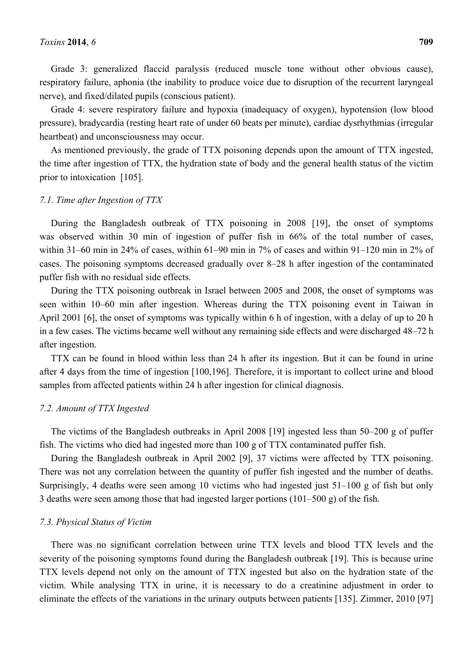Grade 3: generalized flaccid paralysis (reduced muscle tone without other obvious cause), respiratory failure, aphonia (the inability to produce voice due to disruption of the recurrent laryngeal nerve), and fixed/dilated pupils (conscious patient).

Grade 4: severe respiratory failure and hypoxia (inadequacy of oxygen), hypotension (low blood pressure), bradycardia (resting heart rate of under 60 beats per minute), cardiac dysrhythmias (irregular heartbeat) and unconsciousness may occur.

As mentioned previously, the grade of TTX poisoning depends upon the amount of TTX ingested, the time after ingestion of TTX, the hydration state of body and the general health status of the victim prior to intoxication [105].

#### *7.1. Time after Ingestion of TTX*

During the Bangladesh outbreak of TTX poisoning in 2008 [19], the onset of symptoms was observed within 30 min of ingestion of puffer fish in 66% of the total number of cases, within 31–60 min in 24% of cases, within 61–90 min in 7% of cases and within 91–120 min in 2% of cases. The poisoning symptoms decreased gradually over 8–28 h after ingestion of the contaminated puffer fish with no residual side effects.

During the TTX poisoning outbreak in Israel between 2005 and 2008, the onset of symptoms was seen within 10–60 min after ingestion. Whereas during the TTX poisoning event in Taiwan in April 2001 [6], the onset of symptoms was typically within 6 h of ingestion, with a delay of up to 20 h in a few cases. The victims became well without any remaining side effects and were discharged 48–72 h after ingestion.

TTX can be found in blood within less than 24 h after its ingestion. But it can be found in urine after 4 days from the time of ingestion [100,196]. Therefore, it is important to collect urine and blood samples from affected patients within 24 h after ingestion for clinical diagnosis.

# *7.2. Amount of TTX Ingested*

The victims of the Bangladesh outbreaks in April 2008 [19] ingested less than 50–200 g of puffer fish. The victims who died had ingested more than 100 g of TTX contaminated puffer fish.

During the Bangladesh outbreak in April 2002 [9], 37 victims were affected by TTX poisoning. There was not any correlation between the quantity of puffer fish ingested and the number of deaths. Surprisingly, 4 deaths were seen among 10 victims who had ingested just 51–100 g of fish but only 3 deaths were seen among those that had ingested larger portions (101–500 g) of the fish.

#### *7.3. Physical Status of Victim*

There was no significant correlation between urine TTX levels and blood TTX levels and the severity of the poisoning symptoms found during the Bangladesh outbreak [19]. This is because urine TTX levels depend not only on the amount of TTX ingested but also on the hydration state of the victim. While analysing TTX in urine, it is necessary to do a creatinine adjustment in order to eliminate the effects of the variations in the urinary outputs between patients [135]. Zimmer, 2010 [97]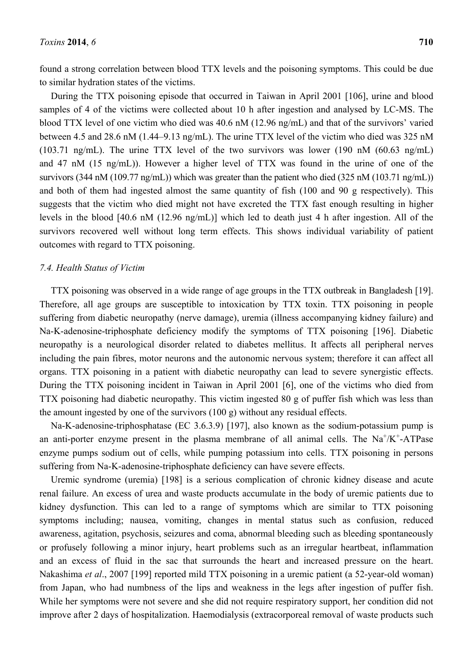found a strong correlation between blood TTX levels and the poisoning symptoms. This could be due to similar hydration states of the victims.

During the TTX poisoning episode that occurred in Taiwan in April 2001 [106], urine and blood samples of 4 of the victims were collected about 10 h after ingestion and analysed by LC-MS. The blood TTX level of one victim who died was 40.6 nM (12.96 ng/mL) and that of the survivors' varied between 4.5 and 28.6 nM (1.44–9.13 ng/mL). The urine TTX level of the victim who died was 325 nM (103.71 ng/mL). The urine TTX level of the two survivors was lower (190 nM (60.63 ng/mL) and 47 nM (15 ng/mL)). However a higher level of TTX was found in the urine of one of the survivors (344 nM (109.77 ng/mL)) which was greater than the patient who died (325 nM (103.71 ng/mL)) and both of them had ingested almost the same quantity of fish (100 and 90 g respectively). This suggests that the victim who died might not have excreted the TTX fast enough resulting in higher levels in the blood [40.6 nM (12.96 ng/mL)] which led to death just 4 h after ingestion. All of the survivors recovered well without long term effects. This shows individual variability of patient outcomes with regard to TTX poisoning.

### *7.4. Health Status of Victim*

TTX poisoning was observed in a wide range of age groups in the TTX outbreak in Bangladesh [19]. Therefore, all age groups are susceptible to intoxication by TTX toxin. TTX poisoning in people suffering from diabetic neuropathy (nerve damage), uremia (illness accompanying kidney failure) and Na-K-adenosine-triphosphate deficiency modify the symptoms of TTX poisoning [196]. Diabetic neuropathy is a neurological disorder related to diabetes mellitus. It affects all peripheral nerves including the pain fibres, motor neurons and the autonomic nervous system; therefore it can affect all organs. TTX poisoning in a patient with diabetic neuropathy can lead to severe synergistic effects. During the TTX poisoning incident in Taiwan in April 2001 [6], one of the victims who died from TTX poisoning had diabetic neuropathy. This victim ingested 80 g of puffer fish which was less than the amount ingested by one of the survivors (100 g) without any residual effects.

Na-K-adenosine-triphosphatase (EC 3.6.3.9) [197], also known as the sodium-potassium pump is an anti-porter enzyme present in the plasma membrane of all animal cells. The  $Na^+/K^+$ -ATPase enzyme pumps sodium out of cells, while pumping potassium into cells. TTX poisoning in persons suffering from Na-K-adenosine-triphosphate deficiency can have severe effects.

Uremic syndrome (uremia) [198] is a serious complication of chronic kidney disease and acute renal failure. An excess of urea and waste products accumulate in the body of uremic patients due to kidney dysfunction. This can led to a range of symptoms which are similar to TTX poisoning symptoms including; nausea, vomiting, changes in mental status such as confusion, reduced awareness, agitation, psychosis, seizures and coma, abnormal bleeding such as bleeding spontaneously or profusely following a minor injury, heart problems such as an irregular heartbeat, inflammation and an excess of fluid in the sac that surrounds the heart and increased pressure on the heart. Nakashima *et al*., 2007 [199] reported mild TTX poisoning in a uremic patient (a 52-year-old woman) from Japan, who had numbness of the lips and weakness in the legs after ingestion of puffer fish. While her symptoms were not severe and she did not require respiratory support, her condition did not improve after 2 days of hospitalization. Haemodialysis (extracorporeal removal of waste products such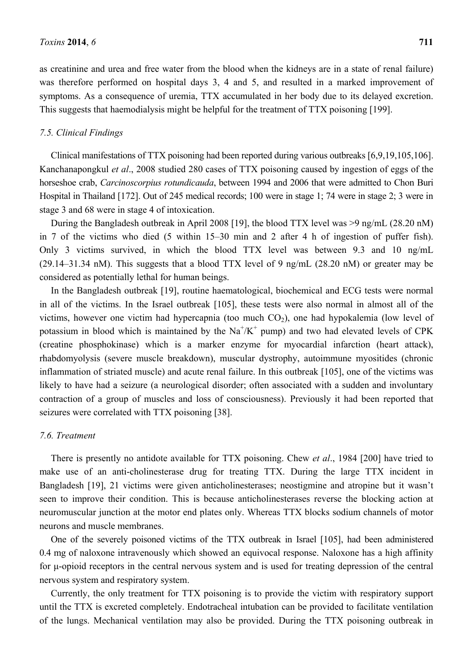as creatinine and urea and free water from the blood when the kidneys are in a state of renal failure) was therefore performed on hospital days 3, 4 and 5, and resulted in a marked improvement of symptoms. As a consequence of uremia, TTX accumulated in her body due to its delayed excretion. This suggests that haemodialysis might be helpful for the treatment of TTX poisoning [199].

# *7.5. Clinical Findings*

Clinical manifestations of TTX poisoning had been reported during various outbreaks [6,9,19,105,106]. Kanchanapongkul *et al*., 2008 studied 280 cases of TTX poisoning caused by ingestion of eggs of the horseshoe crab, *Carcinoscorpius rotundicauda*, between 1994 and 2006 that were admitted to Chon Buri Hospital in Thailand [172]. Out of 245 medical records; 100 were in stage 1; 74 were in stage 2; 3 were in stage 3 and 68 were in stage 4 of intoxication.

During the Bangladesh outbreak in April 2008 [19], the blood TTX level was >9 ng/mL (28.20 nM) in 7 of the victims who died (5 within 15–30 min and 2 after 4 h of ingestion of puffer fish). Only 3 victims survived, in which the blood TTX level was between 9.3 and 10 ng/mL (29.14–31.34 nM). This suggests that a blood TTX level of 9 ng/mL (28.20 nM) or greater may be considered as potentially lethal for human beings.

In the Bangladesh outbreak [19], routine haematological, biochemical and ECG tests were normal in all of the victims. In the Israel outbreak [105], these tests were also normal in almost all of the victims, however one victim had hypercapnia (too much  $CO<sub>2</sub>$ ), one had hypokalemia (low level of potassium in blood which is maintained by the  $\text{Na}^+/ \text{K}^+$  pump) and two had elevated levels of CPK (creatine phosphokinase) which is a marker enzyme for myocardial infarction (heart attack), rhabdomyolysis (severe muscle breakdown), muscular dystrophy, autoimmune myositides (chronic inflammation of striated muscle) and acute renal failure. In this outbreak [105], one of the victims was likely to have had a seizure (a neurological disorder; often associated with a sudden and involuntary contraction of a group of muscles and loss of consciousness). Previously it had been reported that seizures were correlated with TTX poisoning [38].

### *7.6. Treatment*

There is presently no antidote available for TTX poisoning. Chew *et al*., 1984 [200] have tried to make use of an anti-cholinesterase drug for treating TTX. During the large TTX incident in Bangladesh [19], 21 victims were given anticholinesterases; neostigmine and atropine but it wasn't seen to improve their condition. This is because anticholinesterases reverse the blocking action at neuromuscular junction at the motor end plates only. Whereas TTX blocks sodium channels of motor neurons and muscle membranes.

One of the severely poisoned victims of the TTX outbreak in Israel [105], had been administered 0.4 mg of naloxone intravenously which showed an equivocal response. Naloxone has a high affinity for μ-opioid receptors in the central nervous system and is used for treating depression of the central nervous system and respiratory system.

Currently, the only treatment for TTX poisoning is to provide the victim with respiratory support until the TTX is excreted completely. Endotracheal intubation can be provided to facilitate ventilation of the lungs. Mechanical ventilation may also be provided. During the TTX poisoning outbreak in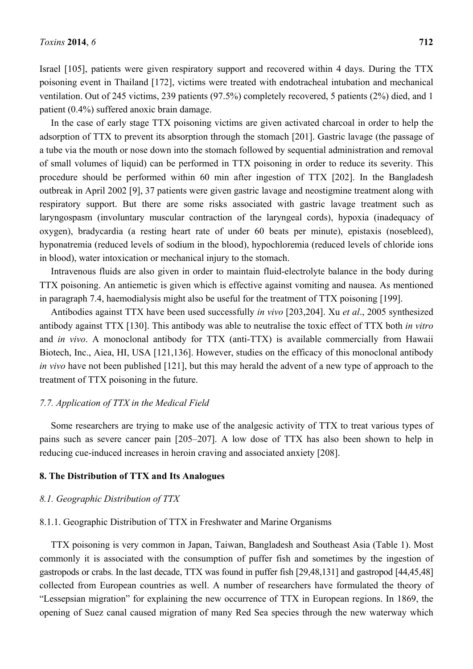Israel [105], patients were given respiratory support and recovered within 4 days. During the TTX poisoning event in Thailand [172], victims were treated with endotracheal intubation and mechanical ventilation. Out of 245 victims, 239 patients (97.5%) completely recovered, 5 patients (2%) died, and 1 patient (0.4%) suffered anoxic brain damage.

In the case of early stage TTX poisoning victims are given activated charcoal in order to help the adsorption of TTX to prevent its absorption through the stomach [201]. Gastric lavage (the passage of a tube via the mouth or nose down into the stomach followed by sequential administration and removal of small volumes of liquid) can be performed in TTX poisoning in order to reduce its severity. This procedure should be performed within 60 min after ingestion of TTX [202]. In the Bangladesh outbreak in April 2002 [9], 37 patients were given gastric lavage and neostigmine treatment along with respiratory support. But there are some risks associated with gastric lavage treatment such as laryngospasm (involuntary muscular contraction of the laryngeal cords), hypoxia (inadequacy of oxygen), bradycardia (a resting heart rate of under 60 beats per minute), epistaxis (nosebleed), hyponatremia (reduced levels of sodium in the blood), hypochloremia (reduced levels of chloride ions in blood), water intoxication or mechanical injury to the stomach.

Intravenous fluids are also given in order to maintain fluid-electrolyte balance in the body during TTX poisoning. An antiemetic is given which is effective against vomiting and nausea. As mentioned in paragraph 7.4, haemodialysis might also be useful for the treatment of TTX poisoning [199].

Antibodies against TTX have been used successfully *in vivo* [203,204]. Xu *et al*., 2005 synthesized antibody against TTX [130]. This antibody was able to neutralise the toxic effect of TTX both *in vitro* and *in vivo*. A monoclonal antibody for TTX (anti-TTX) is available commercially from Hawaii Biotech, Inc., Aiea, HI, USA [121,136]. However, studies on the efficacy of this monoclonal antibody *in vivo* have not been published [121], but this may herald the advent of a new type of approach to the treatment of TTX poisoning in the future.

## *7.7. Application of TTX in the Medical Field*

Some researchers are trying to make use of the analgesic activity of TTX to treat various types of pains such as severe cancer pain [205–207]. A low dose of TTX has also been shown to help in reducing cue-induced increases in heroin craving and associated anxiety [208].

### **8. The Distribution of TTX and Its Analogues**

### *8.1. Geographic Distribution of TTX*

#### 8.1.1. Geographic Distribution of TTX in Freshwater and Marine Organisms

TTX poisoning is very common in Japan, Taiwan, Bangladesh and Southeast Asia (Table 1). Most commonly it is associated with the consumption of puffer fish and sometimes by the ingestion of gastropods or crabs. In the last decade, TTX was found in puffer fish [29,48,131] and gastropod [44,45,48] collected from European countries as well. A number of researchers have formulated the theory of "Lessepsian migration" for explaining the new occurrence of TTX in European regions. In 1869, the opening of Suez canal caused migration of many Red Sea species through the new waterway which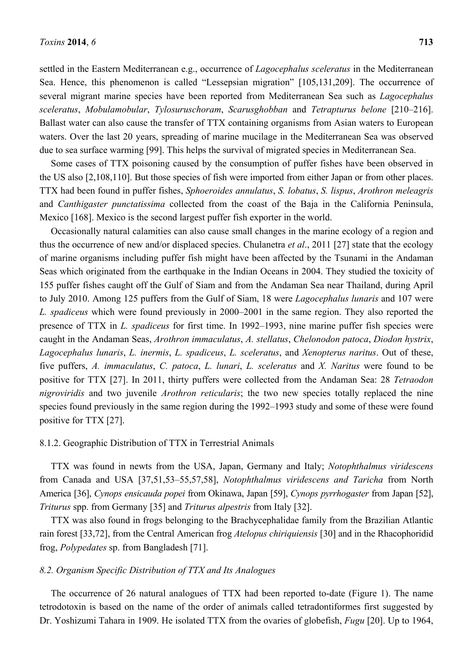settled in the Eastern Mediterranean e.g., occurrence of *Lagocephalus sceleratus* in the Mediterranean Sea. Hence, this phenomenon is called "Lessepsian migration" [105,131,209]. The occurrence of several migrant marine species have been reported from Mediterranean Sea such as *Lagocephalus sceleratus*, *Mobulamobular*, *Tylosuruschoram*, *Scarusghobban* and *Tetrapturus belone* [210–216]. Ballast water can also cause the transfer of TTX containing organisms from Asian waters to European waters. Over the last 20 years, spreading of marine mucilage in the Mediterranean Sea was observed due to sea surface warming [99]. This helps the survival of migrated species in Mediterranean Sea.

Some cases of TTX poisoning caused by the consumption of puffer fishes have been observed in the US also [2,108,110]. But those species of fish were imported from either Japan or from other places. TTX had been found in puffer fishes, *Sphoeroides annulatus*, *S. lobatus*, *S. lispus*, *Arothron meleagris*  and *Canthigaster punctatissima* collected from the coast of the Baja in the California Peninsula, Mexico [168]. Mexico is the second largest puffer fish exporter in the world.

Occasionally natural calamities can also cause small changes in the marine ecology of a region and thus the occurrence of new and/or displaced species. Chulanetra *et al*., 2011 [27] state that the ecology of marine organisms including puffer fish might have been affected by the Tsunami in the Andaman Seas which originated from the earthquake in the Indian Oceans in 2004. They studied the toxicity of 155 puffer fishes caught off the Gulf of Siam and from the Andaman Sea near Thailand, during April to July 2010. Among 125 puffers from the Gulf of Siam, 18 were *Lagocephalus lunaris* and 107 were *L. spadiceus* which were found previously in 2000–2001 in the same region. They also reported the presence of TTX in *L. spadiceus* for first time. In 1992–1993, nine marine puffer fish species were caught in the Andaman Seas, *Arothron immaculatus*, *A. stellatus*, *Chelonodon patoca*, *Diodon hystrix*, *Lagocephalus lunaris*, *L. inermis*, *L. spadiceus*, *L. sceleratus*, and *Xenopterus naritus*. Out of these, five puffers, *A. immaculatus*, *C. patoca*, *L. lunari*, *L. sceleratus* and *X. Naritus* were found to be positive for TTX [27]. In 2011, thirty puffers were collected from the Andaman Sea: 28 *Tetraodon nigroviridis* and two juvenile *Arothron reticularis*; the two new species totally replaced the nine species found previously in the same region during the 1992–1993 study and some of these were found positive for TTX [27].

#### 8.1.2. Geographic Distribution of TTX in Terrestrial Animals

TTX was found in newts from the USA, Japan, Germany and Italy; *Notophthalmus viridescens* from Canada and USA [37,51,53–55,57,58], *Notophthalmus viridescens and Taricha* from North America [36], *Cynops ensicauda popei* from Okinawa, Japan [59], *Cynops pyrrhogaster* from Japan [52], *Triturus* spp. from Germany [35] and *Triturus alpestris* from Italy [32].

TTX was also found in frogs belonging to the Brachycephalidae family from the Brazilian Atlantic rain forest [33,72], from the Central American frog *Atelopus chiriquiensis* [30] and in the Rhacophoridid frog, *Polypedates* sp. from Bangladesh [71].

#### *8.2. Organism Specific Distribution of TTX and Its Analogues*

The occurrence of 26 natural analogues of TTX had been reported to-date (Figure 1). The name tetrodotoxin is based on the name of the order of animals called tetradontiformes first suggested by Dr. Yoshizumi Tahara in 1909. He isolated TTX from the ovaries of globefish, *Fugu* [20]. Up to 1964,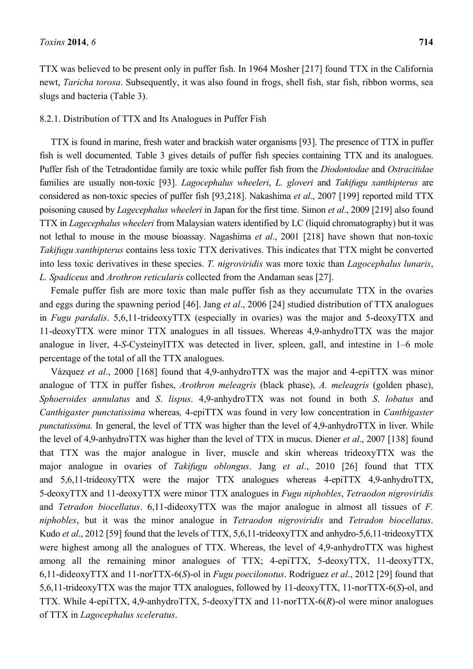TTX was believed to be present only in puffer fish. In 1964 Mosher [217] found TTX in the California newt, *Taricha torosa*. Subsequently, it was also found in frogs, shell fish, star fish, ribbon worms, sea slugs and bacteria (Table 3).

# 8.2.1. Distribution of TTX and Its Analogues in Puffer Fish

TTX is found in marine, fresh water and brackish water organisms [93]. The presence of TTX in puffer fish is well documented. Table 3 gives details of puffer fish species containing TTX and its analogues. Puffer fish of the Tetradontidae family are toxic while puffer fish from the *Diodontodae* and *Ostracitidae* families are usually non-toxic [93]. *Lagocephalus wheeleri*, *L. gloveri* and *Takifugu xanthipterus* are considered as non-toxic species of puffer fish [93,218]. Nakashima *et al*., 2007 [199] reported mild TTX poisoning caused by *Lagecephalus wheeleri* in Japan for the first time. Simon *et al*., 2009 [219] also found TTX in *Lagecephalus wheeleri* from Malaysian waters identified by LC (liquid chromatography) but it was not lethal to mouse in the mouse bioassay. Nagashima *et al*., 2001 [218] have shown that non-toxic *Takifugu xanthipterus* contains less toxic TTX derivatives. This indicates that TTX might be converted into less toxic derivatives in these species. *T. nigroviridis* was more toxic than *Lagocephalus lunaris*, *L. Spadiceus* and *Arothron reticularis* collected from the Andaman seas [27].

Female puffer fish are more toxic than male puffer fish as they accumulate TTX in the ovaries and eggs during the spawning period [46]. Jang *et al*., 2006 [24] studied distribution of TTX analogues in *Fugu pardalis*. 5,6,11-trideoxyTTX (especially in ovaries) was the major and 5-deoxyTTX and 11-deoxyTTX were minor TTX analogues in all tissues. Whereas 4,9-anhydroTTX was the major analogue in liver, 4-*S*-CysteinylTTX was detected in liver, spleen, gall, and intestine in 1–6 mole percentage of the total of all the TTX analogues.

Vázquez *et al*., 2000 [168] found that 4,9-anhydroTTX was the major and 4-epiTTX was minor analogue of TTX in puffer fishes, *Arothron meleagris* (black phase), *A. meleagris* (golden phase), *Sphoeroides annulatus* and *S*. *lispus*. 4,9-anhydroTTX was not found in both *S*. *lobatus* and *Canthigaster punctatissima* whereas*,* 4-epiTTX was found in very low concentration in *Canthigaster punctatissima.* In general, the level of TTX was higher than the level of 4,9-anhydroTTX in liver. While the level of 4,9-anhydroTTX was higher than the level of TTX in mucus. Diener *et al*., 2007 [138] found that TTX was the major analogue in liver, muscle and skin whereas trideoxyTTX was the major analogue in ovaries of *Takifugu oblongus*. Jang *et al*., 2010 [26] found that TTX and 5,6,11-trideoxyTTX were the major TTX analogues whereas 4-epiTTX 4,9-anhydroTTX, 5-deoxyTTX and 11-deoxyTTX were minor TTX analogues in *Fugu niphobles*, *Tetraodon nigroviridis*  and *Tetradon biocellatus*. 6,11-dideoxyTTX was the major analogue in almost all tissues of *F. niphobles*, but it was the minor analogue in *Tetraodon nigroviridis* and *Tetradon biocellatus*. Kudo *et al.*, 2012 [59] found that the levels of TTX, 5,6,11-trideoxyTTX and anhydro-5,6,11-trideoxyTTX were highest among all the analogues of TTX. Whereas, the level of 4,9-anhydroTTX was highest among all the remaining minor analogues of TTX; 4-epiTTX, 5-deoxyTTX, 11-deoxyTTX, 6,11-dideoxyTTX and 11-norTTX-6(*S*)-ol in *Fugu poecilonotus*. Rodríguez *et al*., 2012 [29] found that 5,6,11-trideoxyTTX was the major TTX analogues, followed by 11-deoxyTTX, 11-norTTX-6(*S*)-ol, and TTX. While 4-epiTTX, 4,9-anhydroTTX, 5-deoxyTTX and 11-norTTX-6(*R*)-ol were minor analogues of TTX in *Lagocephalus sceleratus*.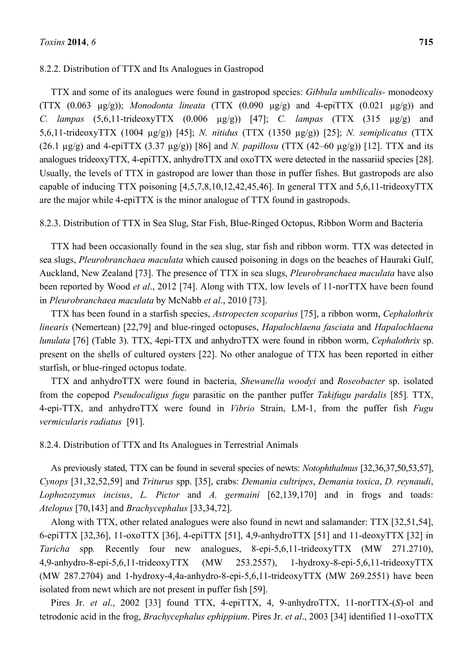TTX and some of its analogues were found in gastropod species: *Gibbula umbilicalis-* monodeoxy (TTX (0.063 µg/g)); *Monodonta lineata* (TTX (0.090 µg/g) and 4-epiTTX (0.021 µg/g)) and *C. lampas* (5,6,11-trideoxyTTX (0.006 µg/g)) [47]; *C. lampas* (TTX (315 µg/g) and 5,6,11-trideoxyTTX (1004 µg/g)) [45]; *N. nitidus* (TTX (1350 µg/g)) [25]; *N. semiplicatus* (TTX (26.1 µg/g) and 4-epiTTX (3.37 µg/g)) [86] and *N. papillosu* (TTX (42–60 µg/g)) [12]. TTX and its analogues trideoxyTTX, 4-epiTTX, anhydroTTX and oxoTTX were detected in the nassariid species [28]. Usually, the levels of TTX in gastropod are lower than those in puffer fishes. But gastropods are also capable of inducing TTX poisoning [4,5,7,8,10,12,42,45,46]. In general TTX and 5,6,11-trideoxyTTX are the major while 4-epiTTX is the minor analogue of TTX found in gastropods.

8.2.3. Distribution of TTX in Sea Slug, Star Fish, Blue-Ringed Octopus, Ribbon Worm and Bacteria

TTX had been occasionally found in the sea slug, star fish and ribbon worm. TTX was detected in sea slugs, *Pleurobranchaea maculata* which caused poisoning in dogs on the beaches of Hauraki Gulf, Auckland, New Zealand [73]. The presence of TTX in sea slugs, *Pleurobranchaea maculata* have also been reported by Wood *et al*., 2012 [74]. Along with TTX, low levels of 11-norTTX have been found in *Pleurobranchaea maculata* by McNabb *et al*., 2010 [73].

TTX has been found in a starfish species, *Astropecten scoparius* [75], a ribbon worm, *Cephalothrix linearis* (Nemertean) [22,79] and blue-ringed octopuses, *Hapalochlaena fasciata* and *Hapalochlaena lunulata* [76] (Table 3). TTX, 4epi-TTX and anhydroTTX were found in ribbon worm, *Cephalothrix* sp. present on the shells of cultured oysters [22]. No other analogue of TTX has been reported in either starfish, or blue-ringed octopus todate.

TTX and anhydroTTX were found in bacteria, *Shewanella woodyi* and *Roseobacter* sp. isolated from the copepod *Pseudocaligus fugu* parasitic on the panther puffer *Takifugu pardalis* [85]*.* TTX, 4-epi-TTX, and anhydroTTX were found in *Vibrio* Strain, LM-1, from the puffer fish *Fugu vermicularis radiatus* [91].

8.2.4. Distribution of TTX and Its Analogues in Terrestrial Animals

As previously stated, TTX can be found in several species of newts: *Notophthalmus* [32,36,37,50,53,57], *Cynops* [31,32,52,59] and *Triturus* spp. [35], crabs: *Demania cultripes*, *Demania toxica*, *D. reynaudi*, *Lophozozymus incisus*, *L. Pictor* and *A. germaini* [62,139,170] and in frogs and toads: *Atelopus* [70,143] and *Brachycephalus* [33,34,72].

Along with TTX, other related analogues were also found in newt and salamander: TTX [32,51,54], 6-epiTTX [32,36], 11-oxoTTX [36], 4-epiTTX [51], 4,9-anhydroTTX [51] and 11-deoxyTTX [32] in *Taricha* spp*.* Recently four new analogues, 8-epi-5,6,11-trideoxyTTX (MW 271.2710), 4,9-anhydro-8-epi-5,6,11-trideoxyTTX (MW 253.2557), 1-hydroxy-8-epi-5,6,11-trideoxyTTX (MW 287.2704) and 1-hydroxy-4,4a-anhydro-8-epi-5,6,11-trideoxyTTX (MW 269.2551) have been isolated from newt which are not present in puffer fish [59].

Pires Jr. *et al.*, 2002 [33] found TTX, 4-epiTTX, 4, 9-anhydroTTX, 11-norTTX-(*S*)-ol and tetrodonic acid in the frog, *Brachycephalus ephippium*. Pires Jr. *et al*., 2003 [34] identified 11-oxoTTX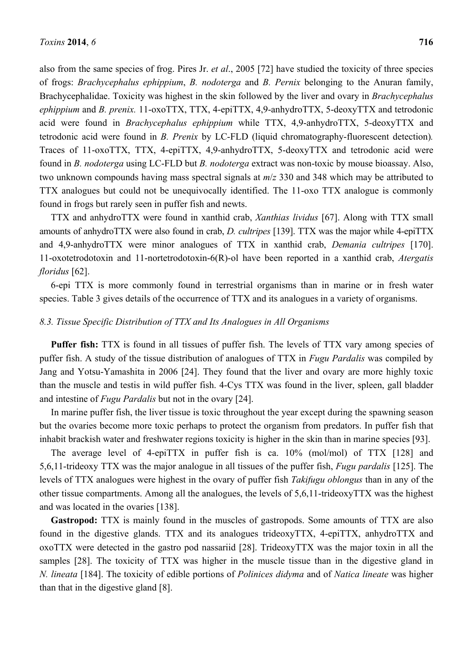also from the same species of frog. Pires Jr. *et al*., 2005 [72] have studied the toxicity of three species of frogs: *Brachycephalus ephippium*, *B. nodoterga* and *B. Pernix* belonging to the Anuran family, Brachycephalidae. Toxicity was highest in the skin followed by the liver and ovary in *Brachycephalus ephippium* and *B. prenix.* 11-oxoTTX, TTX, 4-epiTTX, 4,9-anhydroTTX, 5-deoxyTTX and tetrodonic acid were found in *Brachycephalus ephippium* while TTX, 4,9-anhydroTTX, 5-deoxyTTX and tetrodonic acid were found in *B. Prenix* by LC-FLD (liquid chromatography-fluorescent detection)*.*  Traces of 11-oxoTTX, TTX, 4-epiTTX, 4,9-anhydroTTX, 5-deoxyTTX and tetrodonic acid were found in *B. nodoterga* using LC-FLD but *B. nodoterga* extract was non-toxic by mouse bioassay. Also, two unknown compounds having mass spectral signals at *m*/*z* 330 and 348 which may be attributed to TTX analogues but could not be unequivocally identified. The 11-oxo TTX analogue is commonly found in frogs but rarely seen in puffer fish and newts.

TTX and anhydroTTX were found in xanthid crab, *Xanthias lividus* [67]. Along with TTX small amounts of anhydroTTX were also found in crab, *D. cultripes* [139]. TTX was the major while 4-epiTTX and 4,9-anhydroTTX were minor analogues of TTX in xanthid crab, *Demania cultripes* [170]. 11-oxotetrodotoxin and 11-nortetrodotoxin-6(R)-ol have been reported in a xanthid crab, *Atergatis floridus* [62].

6-epi TTX is more commonly found in terrestrial organisms than in marine or in fresh water species. Table 3 gives details of the occurrence of TTX and its analogues in a variety of organisms.

# *8.3. Tissue Specific Distribution of TTX and Its Analogues in All Organisms*

**Puffer fish:** TTX is found in all tissues of puffer fish. The levels of TTX vary among species of puffer fish. A study of the tissue distribution of analogues of TTX in *Fugu Pardalis* was compiled by Jang and Yotsu-Yamashita in 2006 [24]. They found that the liver and ovary are more highly toxic than the muscle and testis in wild puffer fish. 4-Cys TTX was found in the liver, spleen, gall bladder and intestine of *Fugu Pardalis* but not in the ovary [24].

In marine puffer fish, the liver tissue is toxic throughout the year except during the spawning season but the ovaries become more toxic perhaps to protect the organism from predators. In puffer fish that inhabit brackish water and freshwater regions toxicity is higher in the skin than in marine species [93].

The average level of 4-epiTTX in puffer fish is ca. 10% (mol/mol) of TTX [128] and 5,6,11-trideoxy TTX was the major analogue in all tissues of the puffer fish, *Fugu pardalis* [125]. The levels of TTX analogues were highest in the ovary of puffer fish *Takifugu oblongus* than in any of the other tissue compartments. Among all the analogues, the levels of 5,6,11-trideoxyTTX was the highest and was located in the ovaries [138].

**Gastropod:** TTX is mainly found in the muscles of gastropods. Some amounts of TTX are also found in the digestive glands. TTX and its analogues trideoxyTTX, 4-epiTTX, anhydroTTX and oxoTTX were detected in the gastro pod nassariid [28]. TrideoxyTTX was the major toxin in all the samples [28]. The toxicity of TTX was higher in the muscle tissue than in the digestive gland in *N. lineata* [184]. The toxicity of edible portions of *Polinices didyma* and of *Natica lineate* was higher than that in the digestive gland [8].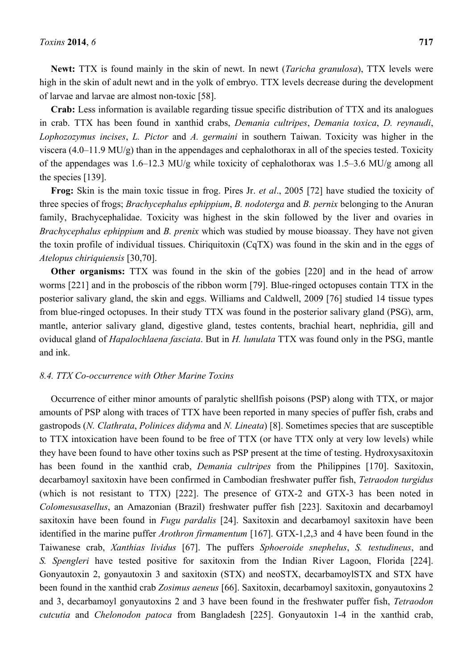**Newt:** TTX is found mainly in the skin of newt. In newt (*Taricha granulosa*), TTX levels were high in the skin of adult newt and in the yolk of embryo. TTX levels decrease during the development of larvae and larvae are almost non-toxic [58].

**Crab:** Less information is available regarding tissue specific distribution of TTX and its analogues in crab. TTX has been found in xanthid crabs, *Demania cultripes*, *Demania toxica*, *D. reynaudi*, *Lophozozymus incises*, *L. Pictor* and *A. germaini* in southern Taiwan. Toxicity was higher in the viscera (4.0–11.9 MU/g) than in the appendages and cephalothorax in all of the species tested. Toxicity of the appendages was 1.6–12.3 MU/g while toxicity of cephalothorax was 1.5–3.6 MU/g among all the species [139].

**Frog:** Skin is the main toxic tissue in frog. Pires Jr. *et al*., 2005 [72] have studied the toxicity of three species of frogs; *Brachycephalus ephippium*, *B. nodoterga* and *B. pernix* belonging to the Anuran family, Brachycephalidae. Toxicity was highest in the skin followed by the liver and ovaries in *Brachycephalus ephippium* and *B. prenix* which was studied by mouse bioassay. They have not given the toxin profile of individual tissues. Chiriquitoxin (CqTX) was found in the skin and in the eggs of *Atelopus chiriquiensis* [30,70].

**Other organisms:** TTX was found in the skin of the gobies [220] and in the head of arrow worms [221] and in the proboscis of the ribbon worm [79]. Blue-ringed octopuses contain TTX in the posterior salivary gland, the skin and eggs. Williams and Caldwell, 2009 [76] studied 14 tissue types from blue-ringed octopuses. In their study TTX was found in the posterior salivary gland (PSG), arm, mantle, anterior salivary gland, digestive gland, testes contents, brachial heart, nephridia, gill and oviducal gland of *Hapalochlaena fasciata*. But in *H. lunulata* TTX was found only in the PSG, mantle and ink.

## *8.4. TTX Co-occurrence with Other Marine Toxins*

Occurrence of either minor amounts of paralytic shellfish poisons (PSP) along with TTX, or major amounts of PSP along with traces of TTX have been reported in many species of puffer fish, crabs and gastropods (*N. Clathrata*, *Polinices didyma* and *N. Lineata*) [8]. Sometimes species that are susceptible to TTX intoxication have been found to be free of TTX (or have TTX only at very low levels) while they have been found to have other toxins such as PSP present at the time of testing. Hydroxysaxitoxin has been found in the xanthid crab, *Demania cultripes* from the Philippines [170]. Saxitoxin, decarbamoyl saxitoxin have been confirmed in Cambodian freshwater puffer fish, *Tetraodon turgidus*  (which is not resistant to TTX) [222]. The presence of GTX-2 and GTX-3 has been noted in *Colomesusasellus*, an Amazonian (Brazil) freshwater puffer fish [223]. Saxitoxin and decarbamoyl saxitoxin have been found in *Fugu pardalis* [24]. Saxitoxin and decarbamoyl saxitoxin have been identified in the marine puffer *Arothron firmamentum* [167]. GTX-1,2,3 and 4 have been found in the Taiwanese crab, *Xanthias lividus* [67]. The puffers *Sphoeroide snephelus*, *S. testudineus*, and *S. Spengleri* have tested positive for saxitoxin from the Indian River Lagoon, Florida [224]. Gonyautoxin 2, gonyautoxin 3 and saxitoxin (STX) and neoSTX, decarbamoylSTX and STX have been found in the xanthid crab *Zosimus aeneus* [66]. Saxitoxin, decarbamoyl saxitoxin, gonyautoxins 2 and 3, decarbamoyl gonyautoxins 2 and 3 have been found in the freshwater puffer fish, *Tetraodon cutcutia* and *Chelonodon patoca* from Bangladesh [225]. Gonyautoxin 1-4 in the xanthid crab,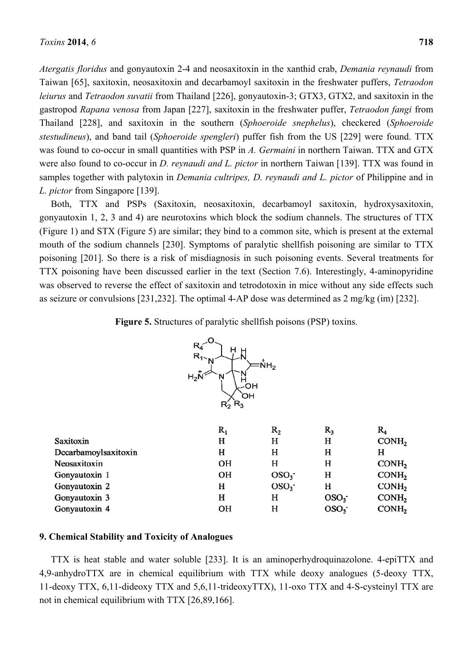*Atergatis floridus* and gonyautoxin 2-4 and neosaxitoxin in the xanthid crab, *Demania reynaudi* from Taiwan [65], saxitoxin, neosaxitoxin and decarbamoyl saxitoxin in the freshwater puffers, *Tetraodon leiurus* and *Tetraodon suvatii* from Thailand [226], gonyautoxin-3; GTX3, GTX2, and saxitoxin in the gastropod *Rapana venosa* from Japan [227], saxitoxin in the freshwater puffer, *Tetraodon fangi* from Thailand [228], and saxitoxin in the southern (*Sphoeroide snephelus*), checkered (*Sphoeroide stestudineus*), and band tail (*Sphoeroide spengleri*) puffer fish from the US [229] were found. TTX was found to co-occur in small quantities with PSP in *A. Germaini* in northern Taiwan. TTX and GTX were also found to co-occur in *D. reynaudi and L. pictor* in northern Taiwan [139]. TTX was found in samples together with palytoxin in *Demania cultripes, D. reynaudi and L. pictor* of Philippine and in *L. pictor* from Singapore [139].

Both, TTX and PSPs (Saxitoxin, neosaxitoxin, decarbamoyl saxitoxin, hydroxysaxitoxin, gonyautoxin 1, 2, 3 and 4) are neurotoxins which block the sodium channels. The structures of TTX (Figure 1) and STX (Figure 5) are similar; they bind to a common site, which is present at the external mouth of the sodium channels [230]. Symptoms of paralytic shellfish poisoning are similar to TTX poisoning [201]. So there is a risk of misdiagnosis in such poisoning events. Several treatments for TTX poisoning have been discussed earlier in the text (Section 7.6). Interestingly, 4-aminopyridine was observed to reverse the effect of saxitoxin and tetrodotoxin in mice without any side effects such as seizure or convulsions [231,232]. The optimal 4-AP dose was determined as 2 mg/kg (im) [232].

**Figure 5.** Structures of paralytic shellfish poisons (PSP) toxins.



|                      | $\rm R_1$ | $R_{2}$          | R,               | $\rm R_{4}$       |
|----------------------|-----------|------------------|------------------|-------------------|
| Saxitoxin            | н         | н                | н                | COMH <sub>2</sub> |
| Decarbamoylsaxitoxin | н         | н                | н                | н                 |
| Neosaxitoxin         | <b>OH</b> | н                | н                | CONH <sub>2</sub> |
| Gonyautoxin 1        | <b>OH</b> | OSO <sub>3</sub> | н                | COMH <sub>2</sub> |
| Gonyautoxin 2        | н         | OSO <sub>3</sub> | н                | CONH <sub>2</sub> |
| Gonyautoxin 3        | н         | н                | OSO <sub>3</sub> | COMH <sub>2</sub> |
| Gonyautoxin 4        | <b>OH</b> | н                | OSO <sub>3</sub> | COMH <sub>2</sub> |

# **9. Chemical Stability and Toxicity of Analogues**

TTX is heat stable and water soluble [233]. It is an aminoperhydroquinazolone. 4-epiTTX and 4,9-anhydroTTX are in chemical equilibrium with TTX while deoxy analogues (5-deoxy TTX, 11-deoxy TTX, 6,11-dideoxy TTX and 5,6,11-trideoxyTTX), 11-oxo TTX and 4-S-cysteinyl TTX are not in chemical equilibrium with TTX [26,89,166].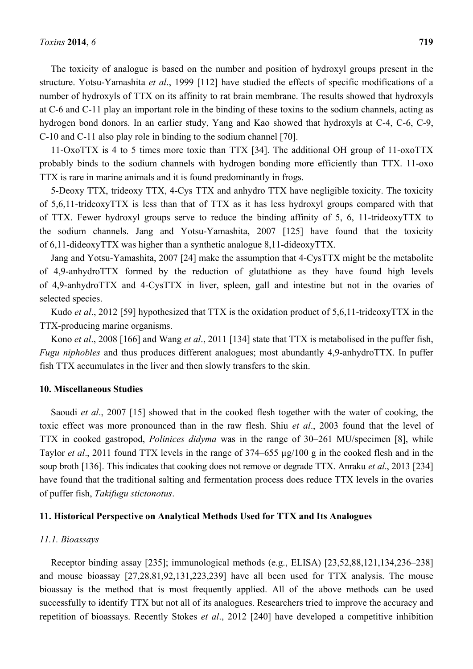The toxicity of analogue is based on the number and position of hydroxyl groups present in the structure. Yotsu-Yamashita *et al*., 1999 [112] have studied the effects of specific modifications of a number of hydroxyls of TTX on its affinity to rat brain membrane. The results showed that hydroxyls at C-6 and C-11 play an important role in the binding of these toxins to the sodium channels, acting as hydrogen bond donors. In an earlier study, Yang and Kao showed that hydroxyls at C-4, C-6, C-9, C-10 and C-11 also play role in binding to the sodium channel [70].

11-OxoTTX is 4 to 5 times more toxic than TTX [34]. The additional OH group of 11-oxoTTX probably binds to the sodium channels with hydrogen bonding more efficiently than TTX. 11-oxo TTX is rare in marine animals and it is found predominantly in frogs.

5-Deoxy TTX, trideoxy TTX, 4-Cys TTX and anhydro TTX have negligible toxicity. The toxicity of 5,6,11-trideoxyTTX is less than that of TTX as it has less hydroxyl groups compared with that of TTX. Fewer hydroxyl groups serve to reduce the binding affinity of 5, 6, 11-trideoxyTTX to the sodium channels. Jang and Yotsu-Yamashita, 2007 [125] have found that the toxicity of 6,11-dideoxyTTX was higher than a synthetic analogue 8,11-dideoxyTTX.

Jang and Yotsu-Yamashita, 2007 [24] make the assumption that 4-CysTTX might be the metabolite of 4,9-anhydroTTX formed by the reduction of glutathione as they have found high levels of 4,9-anhydroTTX and 4-CysTTX in liver, spleen, gall and intestine but not in the ovaries of selected species.

Kudo *et al*., 2012 [59] hypothesized that TTX is the oxidation product of 5,6,11-trideoxyTTX in the TTX-producing marine organisms.

Kono *et al*., 2008 [166] and Wang *et al*., 2011 [134] state that TTX is metabolised in the puffer fish, *Fugu niphobles* and thus produces different analogues; most abundantly 4,9-anhydroTTX. In puffer fish TTX accumulates in the liver and then slowly transfers to the skin.

# **10. Miscellaneous Studies**

Saoudi *et al*., 2007 [15] showed that in the cooked flesh together with the water of cooking, the toxic effect was more pronounced than in the raw flesh. Shiu *et al*., 2003 found that the level of TTX in cooked gastropod, *Polinices didyma* was in the range of 30–261 MU/specimen [8], while Taylor *et al*., 2011 found TTX levels in the range of 374–655 µg/100 g in the cooked flesh and in the soup broth [136]. This indicates that cooking does not remove or degrade TTX. Anraku *et al*., 2013 [234] have found that the traditional salting and fermentation process does reduce TTX levels in the ovaries of puffer fish, *Takifugu stictonotus*.

### **11. Historical Perspective on Analytical Methods Used for TTX and Its Analogues**

#### *11.1. Bioassays*

Receptor binding assay [235]; immunological methods (e.g., ELISA) [23,52,88,121,134,236–238] and mouse bioassay [27,28,81,92,131,223,239] have all been used for TTX analysis. The mouse bioassay is the method that is most frequently applied. All of the above methods can be used successfully to identify TTX but not all of its analogues. Researchers tried to improve the accuracy and repetition of bioassays. Recently Stokes *et al*., 2012 [240] have developed a competitive inhibition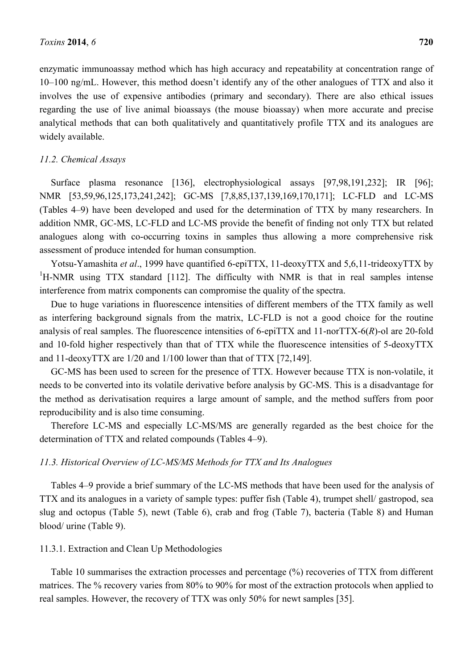enzymatic immunoassay method which has high accuracy and repeatability at concentration range of 10–100 ng/mL. However, this method doesn't identify any of the other analogues of TTX and also it involves the use of expensive antibodies (primary and secondary). There are also ethical issues regarding the use of live animal bioassays (the mouse bioassay) when more accurate and precise analytical methods that can both qualitatively and quantitatively profile TTX and its analogues are widely available.

# *11.2. Chemical Assays*

Surface plasma resonance [136], electrophysiological assays [97,98,191,232]; IR [96]; NMR [53,59,96,125,173,241,242]; GC-MS [7,8,85,137,139,169,170,171]; LC-FLD and LC-MS (Tables 4–9) have been developed and used for the determination of TTX by many researchers. In addition NMR, GC-MS, LC-FLD and LC-MS provide the benefit of finding not only TTX but related analogues along with co-occurring toxins in samples thus allowing a more comprehensive risk assessment of produce intended for human consumption.

Yotsu-Yamashita *et al*., 1999 have quantified 6-epiTTX, 11-deoxyTTX and 5,6,11-trideoxyTTX by <sup>1</sup>H-NMR using TTX standard [112]. The difficulty with NMR is that in real samples intense interference from matrix components can compromise the quality of the spectra.

Due to huge variations in fluorescence intensities of different members of the TTX family as well as interfering background signals from the matrix, LC-FLD is not a good choice for the routine analysis of real samples. The fluorescence intensities of 6-epiTTX and 11-norTTX-6(*R*)-ol are 20-fold and 10-fold higher respectively than that of TTX while the fluorescence intensities of 5-deoxyTTX and 11-deoxyTTX are 1/20 and 1/100 lower than that of TTX [72,149].

GC-MS has been used to screen for the presence of TTX. However because TTX is non-volatile, it needs to be converted into its volatile derivative before analysis by GC-MS. This is a disadvantage for the method as derivatisation requires a large amount of sample, and the method suffers from poor reproducibility and is also time consuming.

Therefore LC-MS and especially LC-MS/MS are generally regarded as the best choice for the determination of TTX and related compounds (Tables 4–9).

# *11.3. Historical Overview of LC-MS/MS Methods for TTX and Its Analogues*

Tables 4–9 provide a brief summary of the LC-MS methods that have been used for the analysis of TTX and its analogues in a variety of sample types: puffer fish (Table 4), trumpet shell/ gastropod, sea slug and octopus (Table 5), newt (Table 6), crab and frog (Table 7), bacteria (Table 8) and Human blood/ urine (Table 9).

# 11.3.1. Extraction and Clean Up Methodologies

Table 10 summarises the extraction processes and percentage (%) recoveries of TTX from different matrices. The % recovery varies from 80% to 90% for most of the extraction protocols when applied to real samples. However, the recovery of TTX was only 50% for newt samples [35].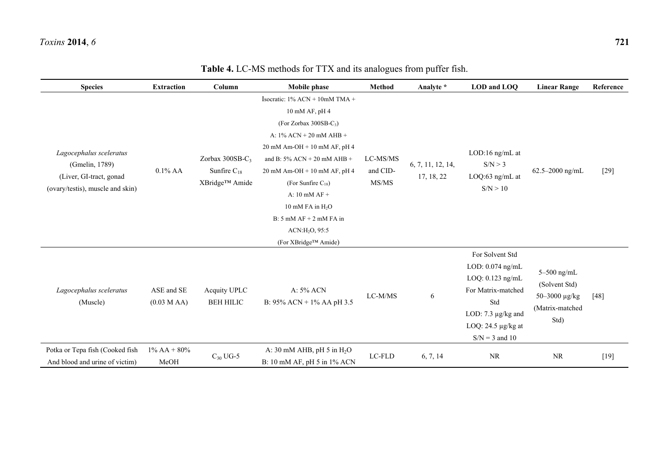| <b>Species</b>                                                                                           | <b>Extraction</b>        | Column                                                | Mobile phase                                                                                                                                                                                                                                                                                                                                                                              | Method                        | Analyte *                       | LOD and LOQ                                                                                                                                                      | <b>Linear Range</b>                                                        | Reference |
|----------------------------------------------------------------------------------------------------------|--------------------------|-------------------------------------------------------|-------------------------------------------------------------------------------------------------------------------------------------------------------------------------------------------------------------------------------------------------------------------------------------------------------------------------------------------------------------------------------------------|-------------------------------|---------------------------------|------------------------------------------------------------------------------------------------------------------------------------------------------------------|----------------------------------------------------------------------------|-----------|
| Lagocephalus sceleratus<br>(Gmelin, 1789)<br>(Liver, GI-tract, gonad<br>(ovary/testis), muscle and skin) | $0.1\%$ AA               | Zorbax 300SB-C3<br>Sunfire $C_{18}$<br>XBridge™ Amide | Isocratic: 1% ACN + 10mM TMA +<br>10 mM AF, pH 4<br>(For Zorbax 300SB- $C_3$ )<br>A: $1\%$ ACN + 20 mM AHB +<br>$20$ mM Am-OH + 10 mM AF, pH 4<br>and B: $5\%$ ACN + 20 mM AHB +<br>$20$ mM Am-OH + 10 mM AF, pH 4<br>(For Sunfire $C_{18}$ )<br>A: $10$ mM $AF +$<br>10 mM FA in H <sub>2</sub> O<br>$B: 5$ mM $AF + 2$ mM $FA$ in<br>ACN:H <sub>2</sub> O, 95:5<br>(For XBridge™ Amide) | LC-MS/MS<br>and CID-<br>MS/MS | 6, 7, 11, 12, 14,<br>17, 18, 22 | LOD:16 ng/mL at<br>S/N > 3<br>LOQ:63 ng/mL at<br>S/N > 10                                                                                                        | 62.5-2000 ng/mL                                                            | $[29]$    |
| Lagocephalus sceleratus<br>(Muscle)                                                                      | ASE and SE<br>(0.03 MAA) | Acquity UPLC<br><b>BEH HILIC</b>                      | A: 5% ACN<br>B: 95% ACN + 1% AA pH 3.5                                                                                                                                                                                                                                                                                                                                                    | LC-M/MS                       | 6                               | For Solvent Std<br>LOD: 0.074 ng/mL<br>LOQ: $0.123$ ng/mL<br>For Matrix-matched<br>Std<br>LOD: $7.3 \mu g/kg$ and<br>LOQ: $24.5 \mu g/kg$ at<br>$S/N = 3$ and 10 | $5-500$ ng/mL<br>(Solvent Std)<br>50-3000 μg/kg<br>(Matrix-matched<br>Std) | [48]      |
| Potka or Tepa fish (Cooked fish<br>And blood and urine of victim)                                        | $1\%$ AA + 80%<br>MeOH   | $C_{30}$ UG-5                                         | A: 30 mM AHB, pH 5 in $H_2O$<br>B: 10 mM AF, pH 5 in 1% ACN                                                                                                                                                                                                                                                                                                                               | LC-FLD                        | 6, 7, 14                        | <b>NR</b>                                                                                                                                                        | <b>NR</b>                                                                  | $[19]$    |

**Table 4.** LC-MS methods for TTX and its analogues from puffer fish.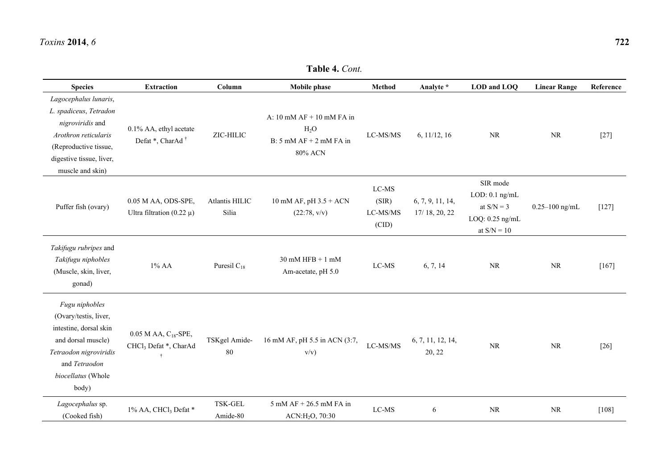| <b>Species</b>                                                                                                                                                       | <b>Extraction</b>                                                | Column                     | <b>Mobile phase</b>                                                                                         | Method                                | Analyte *                         | LOD and LOQ                                                                        | <b>Linear Range</b> | Reference |
|----------------------------------------------------------------------------------------------------------------------------------------------------------------------|------------------------------------------------------------------|----------------------------|-------------------------------------------------------------------------------------------------------------|---------------------------------------|-----------------------------------|------------------------------------------------------------------------------------|---------------------|-----------|
| Lagocephalus lunaris,<br>L. spadiceus, Tetradon<br>nigroviridis and<br>Arothron reticularis<br>(Reproductive tissue,<br>digestive tissue, liver,<br>muscle and skin) | 0.1% AA, ethyl acetate<br>Defat *, CharAd <sup>†</sup>           | ZIC-HILIC                  | A: $10 \text{ mM AF} + 10 \text{ mM FA in}$<br>H <sub>2</sub> O<br>$B: 5$ mM $AF + 2$ mM $FA$ in<br>80% ACN | $LC-MS/MS$                            | 6, 11/12, 16                      | <b>NR</b>                                                                          | <b>NR</b>           | $[27]$    |
| Puffer fish (ovary)                                                                                                                                                  | 0.05 M AA, ODS-SPE,<br>Ultra filtration (0.22 $\mu$ )            | Atlantis HILIC<br>Silia    | 10 mM AF, pH $3.5 + ACN$<br>(22:78, v/v)                                                                    | $LC-MS$<br>(SIR)<br>LC-MS/MS<br>(CID) | 6, 7, 9, 11, 14,<br>17/18, 20, 22 | SIR mode<br>$LOD: 0.1$ ng/mL<br>at $S/N = 3$<br>LOQ: $0.25$ ng/mL<br>at $S/N = 10$ | $0.25 - 100$ ng/mL  | $[127]$   |
| Takifugu rubripes and<br>Takifugu niphobles<br>(Muscle, skin, liver,<br>gonad)                                                                                       | $1\%$ AA                                                         | Puresil $C_{18}$           | $30$ mM HFB + 1 mM<br>Am-acetate, pH 5.0                                                                    | LC-MS                                 | 6, 7, 14                          | <b>NR</b>                                                                          | NR                  | $[167]$   |
| Fugu niphobles<br>(Ovary/testis, liver,<br>intestine, dorsal skin<br>and dorsal muscle)<br>Tetraodon nigroviridis<br>and Tetraodon<br>biocellatus (Whole<br>body)    | $0.05$ M AA, $C_{18}$ -SPE,<br>CHCl <sub>3</sub> Defat *, CharAd | TSKgel Amide-<br>80        | 16 mM AF, pH 5.5 in ACN (3:7,<br>$v/v$ )                                                                    | LC-MS/MS                              | 6, 7, 11, 12, 14,<br>20, 22       | <b>NR</b>                                                                          | NR                  | $[26]$    |
| Lagocephalus sp.<br>(Cooked fish)                                                                                                                                    | 1% AA, CHCl <sub>3</sub> Defat *                                 | <b>TSK-GEL</b><br>Amide-80 | $5$ mM AF $+$ 26.5 mM FA in<br>ACN:H <sub>2</sub> O, 70:30                                                  | $LC-MS$                               | 6                                 | <b>NR</b>                                                                          | $\rm NR$            | $[108]$   |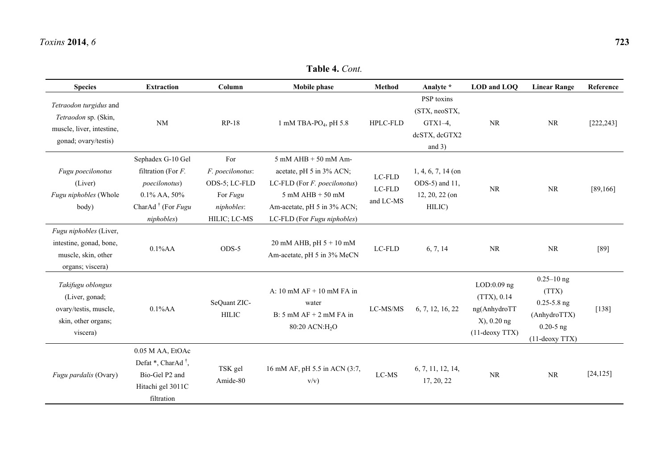| <b>Species</b>                                                                                      | <b>Extraction</b>                                                                                                                                            | Column                                                                             | <b>Mobile phase</b>                                                                                                                                                       | <b>Method</b>                                 | Analyte *                                                              | LOD and LOQ                                                                    | <b>Linear Range</b>                                                                              | Reference  |
|-----------------------------------------------------------------------------------------------------|--------------------------------------------------------------------------------------------------------------------------------------------------------------|------------------------------------------------------------------------------------|---------------------------------------------------------------------------------------------------------------------------------------------------------------------------|-----------------------------------------------|------------------------------------------------------------------------|--------------------------------------------------------------------------------|--------------------------------------------------------------------------------------------------|------------|
| Tetraodon turgidus and<br>Tetraodon sp. (Skin,<br>muscle, liver, intestine,<br>gonad; ovary/testis) | $\rm NM$                                                                                                                                                     | <b>RP-18</b>                                                                       | 1 mM TBA-PO <sub>4</sub> , pH $5.8$                                                                                                                                       | <b>HPLC-FLD</b>                               | PSP toxins<br>(STX, neoSTX,<br>$GTX1-4$ ,<br>dcSTX, dcGTX2<br>and $3)$ | <b>NR</b>                                                                      | $\rm NR$                                                                                         | [222, 243] |
| Fugu poecilonotus<br>(Liver)<br>Fugu niphobles (Whole<br>body)                                      | Sephadex G-10 Gel<br>filtration (For $F$ .<br><i>poecilonotus</i> )<br>0.1% AA, 50%<br>CharAd <sup><math>\dagger</math></sup> (For <i>Fugu</i><br>niphobles) | For<br>F. poecilonotus:<br>ODS-5; LC-FLD<br>For Fugu<br>niphobles:<br>HILIC; LC-MS | $5$ mM AHB $+50$ mM Am-<br>acetate, pH 5 in 3% ACN;<br>LC-FLD (For F. poecilonotus)<br>$5$ mM AHB $+$ 50 mM<br>Am-acetate, pH 5 in 3% ACN;<br>LC-FLD (For Fugu niphobles) | $_{\rm LC\text{-}FLD}$<br>LC-FLD<br>and LC-MS | $1, 4, 6, 7, 14$ (on<br>ODS-5) and 11,<br>12, 20, 22 (on<br>HILIC)     | $\rm NR$                                                                       | NR                                                                                               | [89, 166]  |
| Fugu niphobles (Liver,<br>intestine, gonad, bone,<br>muscle, skin, other<br>organs; viscera)        | $0.1\%AA$                                                                                                                                                    | ODS-5                                                                              | 20 mM AHB, pH $5 + 10$ mM<br>Am-acetate, pH 5 in 3% MeCN                                                                                                                  | LC-FLD                                        | 6, 7, 14                                                               | <b>NR</b>                                                                      | <b>NR</b>                                                                                        | $[89]$     |
| Takifugu oblongus<br>(Liver, gonad;<br>ovary/testis, muscle,<br>skin, other organs;<br>viscera)     | $0.1\%AA$                                                                                                                                                    | SeQuant ZIC-<br><b>HILIC</b>                                                       | A: $10 \text{ mM AF} + 10 \text{ mM FA in}$<br>water<br>$B: 5$ mM $AF + 2$ mM $FA$ in<br>80:20 ACN:H <sub>2</sub> O                                                       | LC-MS/MS                                      | 6, 7, 12, 16, 22                                                       | LOD:0.09 ng<br>(TTX), 0.14<br>ng(AnhydroTT<br>X), 0.20 ng<br>$(11$ -deoxy TTX) | $0.25 - 10$ ng<br>(TTX)<br>$0.25 - 5.8$ ng<br>(AnhydroTTX)<br>$0.20 - 5$ ng<br>$(11$ -deoxy TTX) | $[138]$    |
| Fugu pardalis (Ovary)                                                                               | 0.05 M AA, EtOAc<br>Defat $^*$ , CharAd $^{\dagger}$ ,<br>Bio-Gel P2 and<br>Hitachi gel 3011C<br>filtration                                                  | TSK gel<br>Amide-80                                                                | 16 mM AF, pH 5.5 in ACN (3:7,<br>v/v)                                                                                                                                     | $LC-MS$                                       | 6, 7, 11, 12, 14,<br>17, 20, 22                                        | <b>NR</b>                                                                      | $\rm NR$                                                                                         | [24, 125]  |

**Table 4.** *Cont.*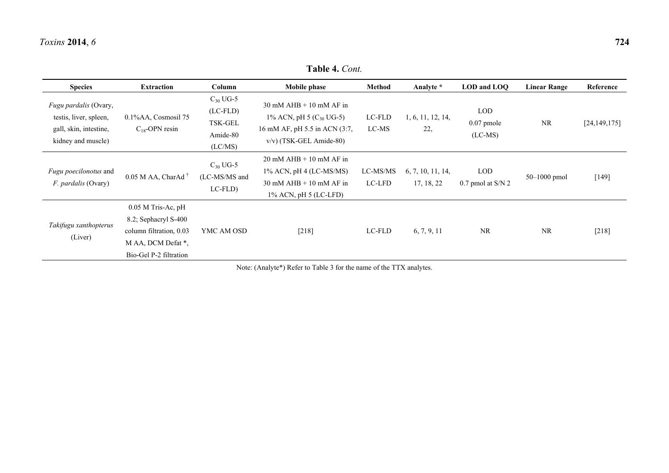Bio-Gel P-2 filtration

**Species Extraction Column Mobile phase Method Analyte \* LOD and LOQ Linear Range Reference**  *Fugu pardalis* (Ovary, testis, liver, spleen, gall, skin, intestine, kidney and muscle) 0.1%AA, Cosmosil 75  $C_{18}$ -OPN resin  $C_{30}$  UG-5 (LC-FLD) TSK-GEL Amide-80 (LC/MS) 30 mM AHB + 10 mM AF in 1% ACN, pH 5  $(C_{30}$  UG-5) 16 mM AF, pH 5.5 in ACN (3:7, v/v) (TSK-GEL Amide-80) LC-FLD LC-MS 1, 6, 11, 12, 14, 22, LOD 0.07 pmole (LC-MS) NR [24,149,175] *Fugu poecilonotus* and *F. pardalis* (Ovary) 0.05 M AA, CharAd<sup>†</sup>  $C_{30}$  UG-5 (LC-MS/MS and LC-FLD) 20 mM AHB + 10 mM AF in 1% ACN, pH 4 (LC-MS/MS) 30 mM AHB + 10 mM AF in 1% ACN, pH 5 (LC-LFD) LC-MS/MS LC-LFD 6, 7, 10, 11, 14, 17, 18, 22 LOD 0.7 pmol at S/N 2  $50-1000$  pmol [149] *Takifugu xanthopterus* (Liver) 0.05 M Tris-Ac, pH 8.2; Sephacryl S-400 column filtration, 0.03 M AA, DCM Defat \*, YMC AM OSD [218] LC-FLD 6, 7, 9, 11 NR NR [218]

**Table 4.** *Cont.*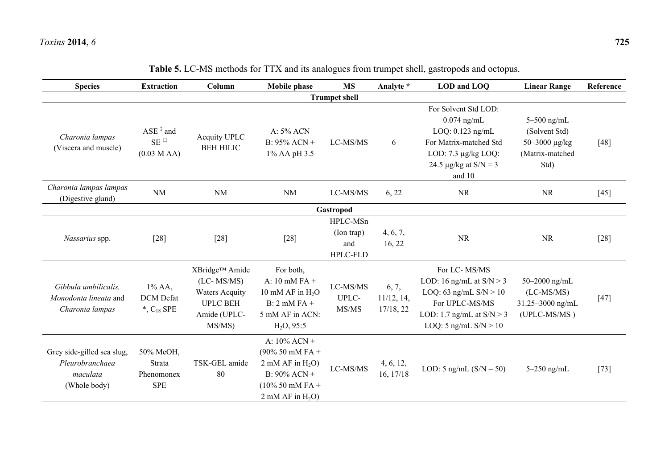| <b>Species</b>                                                            | <b>Extraction</b>                                        | Column                                                                                               | <b>Mobile phase</b>                                                                                                              | <b>MS</b>                                        | Analyte *                        | LOD and LOO                                                                                                                                               | <b>Linear Range</b>                                                        | Reference |
|---------------------------------------------------------------------------|----------------------------------------------------------|------------------------------------------------------------------------------------------------------|----------------------------------------------------------------------------------------------------------------------------------|--------------------------------------------------|----------------------------------|-----------------------------------------------------------------------------------------------------------------------------------------------------------|----------------------------------------------------------------------------|-----------|
|                                                                           |                                                          |                                                                                                      |                                                                                                                                  | <b>Trumpet shell</b>                             |                                  |                                                                                                                                                           |                                                                            |           |
| Charonia lampas<br>(Viscera and muscle)                                   | $ASE^{\ddagger}$ and<br>$SE$ <sup>##</sup><br>(0.03 MAA) | Acquity UPLC<br><b>BEH HILIC</b>                                                                     | A: 5% ACN<br>B: $95\%$ ACN +<br>1% AA pH 3.5                                                                                     | LC-MS/MS                                         | 6                                | For Solvent Std LOD:<br>$0.074$ ng/mL<br>$LOQ: 0.123$ ng/mL<br>For Matrix-matched Std<br>LOD: $7.3 \mu g/kg$ LOQ:<br>24.5 $\mu$ g/kg at S/N = 3<br>and 10 | $5-500$ ng/mL<br>(Solvent Std)<br>50-3000 μg/kg<br>(Matrix-matched<br>Std) | [48]      |
| Charonia lampas lampas<br>(Digestive gland)                               | <b>NM</b>                                                | <b>NM</b>                                                                                            | NM                                                                                                                               | LC-MS/MS                                         | 6, 22                            | <b>NR</b>                                                                                                                                                 | NR                                                                         | $[45]$    |
|                                                                           |                                                          |                                                                                                      |                                                                                                                                  | Gastropod                                        |                                  |                                                                                                                                                           |                                                                            |           |
| Nassarius spp.                                                            | $[28]$                                                   | $[28]$                                                                                               | $[28]$                                                                                                                           | HPLC-MSn<br>(Ion trap)<br>and<br><b>HPLC-FLD</b> | 4, 6, 7,<br>16, 22               | <b>NR</b>                                                                                                                                                 | <b>NR</b>                                                                  | $[28]$    |
| Gibbula umbilicalis.<br>Monodonta lineata and<br>Charonia lampas          | $1\%$ AA,<br><b>DCM</b> Defat<br>$*, C_{18}$ SPE         | XBridge™ Amide<br>$(LC-MS/MS)$<br><b>Waters Acquity</b><br><b>UPLC BEH</b><br>Amide (UPLC-<br>MS/MS) | For both,<br>A: $10$ mM FA +<br>10 mM AF in $H_2O$<br>$B: 2$ mM $FA +$<br>5 mM AF in ACN:<br>$H2O$ , 95:5                        | LC-MS/MS<br>UPLC-<br>MS/MS                       | 6, 7,<br>11/12, 14,<br>17/18, 22 | For LC-MS/MS<br>LOD: 16 ng/mL at $S/N > 3$<br>LOQ: 63 ng/mL $S/N > 10$<br>For UPLC-MS/MS<br>LOD: 1.7 ng/mL at $S/N > 3$<br>LOQ: 5 ng/mL $S/N > 10$        | 50 $-2000$ ng/mL<br>$(LC-MS/MS)$<br>31.25-3000 ng/mL<br>(UPLC-MS/MS)       | $[47]$    |
| Grey side-gilled sea slug,<br>Pleurobranchaea<br>maculata<br>(Whole body) | 50% MeOH,<br>Strata<br>Phenomonex<br><b>SPE</b>          | TSK-GEL amide<br>80                                                                                  | A: $10\%$ ACN +<br>$(90\% 50$ mM FA +<br>$2$ mM AF in $H_2O$ )<br>$B: 90\%$ ACN +<br>$(10\% 50$ mM FA +<br>$2$ mM AF in $H_2O$ ) | LC-MS/MS                                         | 4, 6, 12,<br>16, 17/18           | LOD: 5 ng/mL $(S/N = 50)$                                                                                                                                 | $5-250$ ng/mL                                                              | $[73]$    |

# **Table 5.** LC-MS methods for TTX and its analogues from trumpet shell, gastropods and octopus.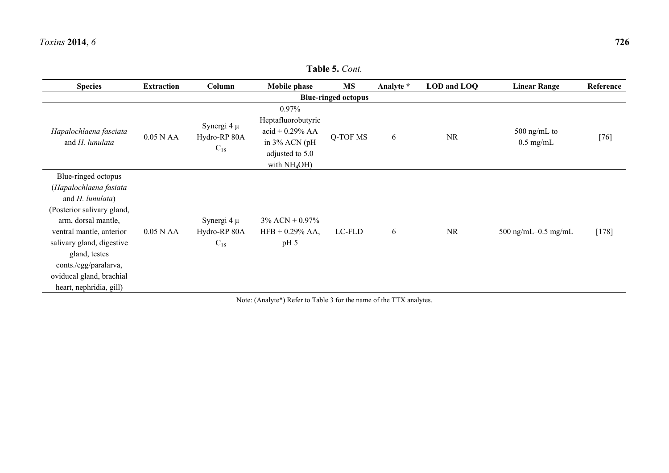| <b>Table 5. Cont.</b>                                                                                                                                                                                                                                                            |                   |                                             |                                                                                                          |                            |           |             |                               |           |
|----------------------------------------------------------------------------------------------------------------------------------------------------------------------------------------------------------------------------------------------------------------------------------|-------------------|---------------------------------------------|----------------------------------------------------------------------------------------------------------|----------------------------|-----------|-------------|-------------------------------|-----------|
| <b>Species</b>                                                                                                                                                                                                                                                                   | <b>Extraction</b> | Column                                      | <b>Mobile phase</b>                                                                                      | <b>MS</b>                  | Analyte * | LOD and LOQ | <b>Linear Range</b>           | Reference |
|                                                                                                                                                                                                                                                                                  |                   |                                             |                                                                                                          | <b>Blue-ringed octopus</b> |           |             |                               |           |
| Hapalochlaena fasciata<br>and H. lunulata                                                                                                                                                                                                                                        | $0.05$ N AA       | Synergi 4 $\mu$<br>Hydro-RP 80A<br>$C_{18}$ | $0.97\%$<br>Heptafluorobutyric<br>$acid + 0.29%$ AA<br>in 3% ACN (pH<br>adjusted to 5.0<br>with $NH4OH)$ | Q-TOF MS                   | 6         | <b>NR</b>   | $500$ ng/mL to<br>$0.5$ mg/mL | $[76]$    |
| Blue-ringed octopus<br>(Hapalochlaena fasiata<br>and H. lunulata)<br>(Posterior salivary gland,<br>arm, dorsal mantle,<br>ventral mantle, anterior<br>salivary gland, digestive<br>gland, testes<br>conts./egg/paralarva,<br>oviducal gland, brachial<br>heart, nephridia, gill) | $0.05$ N AA       | Synergi 4 $\mu$<br>Hydro-RP 80A<br>$C_{18}$ | $3\%$ ACN + 0.97%<br>$HFB + 0.29%$ AA,<br>pH <sub>5</sub>                                                | LC-FLD                     | 6         | <b>NR</b>   | 500 ng/mL $-0.5$ mg/mL        | $[178]$   |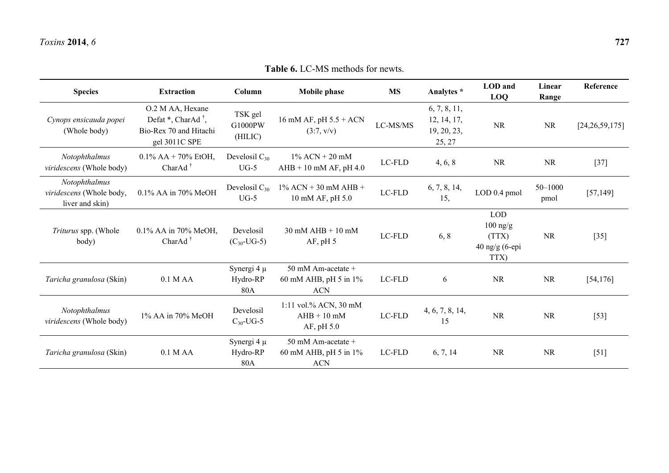| <b>Species</b>                                               | <b>Extraction</b>                                                                                 | Column                             | <b>Mobile phase</b>                                       | <b>MS</b> | Analytes *                                           | LOD and<br><b>LOQ</b>                                         | Linear<br>Range | Reference         |
|--------------------------------------------------------------|---------------------------------------------------------------------------------------------------|------------------------------------|-----------------------------------------------------------|-----------|------------------------------------------------------|---------------------------------------------------------------|-----------------|-------------------|
| Cynops ensicauda popei<br>(Whole body)                       | O.2 M AA, Hexane<br>Defat $^*$ , CharAd $^{\dagger}$ ,<br>Bio-Rex 70 and Hitachi<br>gel 3011C SPE | TSK gel<br>G1000PW<br>(HILIC)      | 16 mM AF, pH $5.5 + ACN$<br>(3:7, v/v)                    | LC-MS/MS  | 6, 7, 8, 11,<br>12, 14, 17,<br>19, 20, 23,<br>25, 27 | <b>NR</b>                                                     | <b>NR</b>       | [24, 26, 59, 175] |
| Notophthalmus<br>viridescens (Whole body)                    | $0.1\%$ AA + 70% EtOH,<br>Char $Ad†$                                                              | Develosil $C_{30}$<br>$UG-5$       | $1\%$ ACN + 20 mM<br>$AHB + 10$ mM AF, pH 4.0             | LC-FLD    | 4, 6, 8                                              | <b>NR</b>                                                     | <b>NR</b>       | $[37]$            |
| Notophthalmus<br>viridescens (Whole body,<br>liver and skin) | $0.1\%$ AA in 70% MeOH                                                                            | Develosil $C_{30}$<br>$UG-5$       | $1\%$ ACN + 30 mM AHB +<br>10 mM AF, pH 5.0               | LC-FLD    | 6, 7, 8, 14,<br>15,                                  | LOD 0.4 pmol                                                  | 50-1000<br>pmol | [57, 149]         |
| Triturus spp. (Whole<br>body)                                | 0.1% AA in 70% MeOH,<br>Char $Ad†$                                                                | Develosil<br>$(C_{30}$ -UG-5)      | $30$ mM AHB $+10$ mM<br>AF, pH 5                          | LC-FLD    | 6, 8                                                 | <b>LOD</b><br>$100$ ng/g<br>(TTX)<br>$40$ ng/g (6-epi<br>TTX) | <b>NR</b>       | $[35]$            |
| Taricha granulosa (Skin)                                     | $0.1$ M AA                                                                                        | Synergi 4 $\mu$<br>Hydro-RP<br>80A | 50 mM Am-acetate +<br>60 mM AHB, pH 5 in 1%<br><b>ACN</b> | LC-FLD    | 6                                                    | <b>NR</b>                                                     | <b>NR</b>       | [54, 176]         |
| Notophthalmus<br>viridescens (Whole body)                    | 1% AA in 70% MeOH                                                                                 | Develosil<br>$C_{30}$ -UG-5        | 1:11 vol.% ACN, 30 mM<br>$AHB + 10$ mM<br>AF, pH 5.0      | LC-FLD    | 4, 6, 7, 8, 14,<br>15                                | <b>NR</b>                                                     | <b>NR</b>       | $[53]$            |
| Taricha granulosa (Skin)                                     | $0.1$ M AA                                                                                        | Synergi 4 $\mu$<br>Hydro-RP<br>80A | 50 mM Am-acetate +<br>60 mM AHB, pH 5 in 1%<br><b>ACN</b> | LC-FLD    | 6, 7, 14                                             | <b>NR</b>                                                     | <b>NR</b>       | $[51]$            |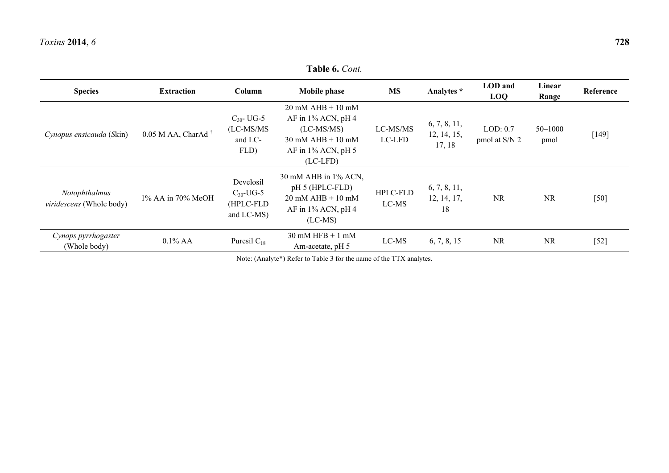**Table 6.** *Cont.*  **Species Extraction Column Mobile phase MS Analytes \* LOD and LOQ Linear Range Reference**  *Cynopus ensicauda* (*S*kin) 0.05 M AA, CharAd †  $C_{30}$ - UG-5 (LC-MS/MS and LC-FLD) 20 mM AHB + 10 mM AF in 1% ACN, pH 4 (LC-MS/MS) 30 mM AHB + 10 mM AF in 1% ACN, pH 5 (LC-LFD) LC-MS/MS LC-LFD 6, 7, 8, 11, 12, 14, 15, 17, 18 LOD: 0.7 pmol at S/N 2 50–1000  $p_{\text{mod}}$  [149] *Notophthalmus viridescens* (Whole body) 1% AA in 70% MeOH Develosil  $C_{30}$ -UG-5 (HPLC-FLD and LC-MS) 30 mM AHB in 1% ACN, pH 5 (HPLC-FLD) 20 mM AHB + 10 mM AF in 1% ACN, pH 4 (LC-MS) HPLC-FLD LC-MS 6, 7, 8, 11, 12, 14, 17, 18 NRNR [50] *Cynops pyrrhogaster*  $(0.1\% \text{ A})$  0.1% AA Puresil C<sub>18</sub> 30 mM HFB + 1 mM LC-MS 6, 7, 8, 15 NR NR [52]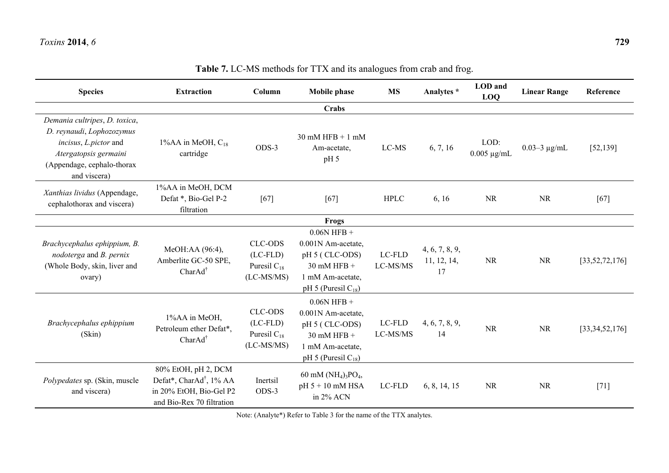| <b>Species</b>                                                                                                                                             | <b>Extraction</b>                                                                                                  | Column                                                           | <b>Mobile phase</b>                                                                                                    | <b>MS</b>          | Analytes *                          | LOD and<br><b>LOQ</b>    | <b>Linear Range</b> | Reference         |
|------------------------------------------------------------------------------------------------------------------------------------------------------------|--------------------------------------------------------------------------------------------------------------------|------------------------------------------------------------------|------------------------------------------------------------------------------------------------------------------------|--------------------|-------------------------------------|--------------------------|---------------------|-------------------|
|                                                                                                                                                            |                                                                                                                    |                                                                  | Crabs                                                                                                                  |                    |                                     |                          |                     |                   |
| Demania cultripes, D. toxica,<br>D. reynaudi, Lophozozymus<br>incisus, L.pictor and<br>Atergatopsis germaini<br>(Appendage, cephalo-thorax<br>and viscera) | $1\%AA$ in MeOH, $C_{18}$<br>cartridge                                                                             | ODS-3                                                            | $30$ mM HFB + 1 mM<br>Am-acetate,<br>pH <sub>5</sub>                                                                   | LC-MS              | 6, 7, 16                            | LOD:<br>$0.005 \mu g/mL$ | $0.03 - 3 \mu g/mL$ | [52, 139]         |
| Xanthias lividus (Appendage,<br>cephalothorax and viscera)                                                                                                 | 1%AA in MeOH, DCM<br>Defat *, Bio-Gel P-2<br>filtration                                                            | [67]                                                             | [67]                                                                                                                   | <b>HPLC</b>        | 6, 16                               | <b>NR</b>                | <b>NR</b>           | $[67]$            |
|                                                                                                                                                            |                                                                                                                    |                                                                  | Frogs                                                                                                                  |                    |                                     |                          |                     |                   |
| Brachycephalus ephippium, B.<br>nodoterga and B. pernix<br>(Whole Body, skin, liver and<br>ovary)                                                          | MeOH:AA (96:4),<br>Amberlite GC-50 SPE,<br>CharAd <sup>†</sup>                                                     | <b>CLC-ODS</b><br>$(LC-FLD)$<br>Puresil $C_{18}$<br>$(LC-MS/MS)$ | $0.06N$ HFB +<br>0.001N Am-acetate,<br>pH 5 (CLC-ODS)<br>$30$ mM HFB +<br>1 mM Am-acetate,<br>pH 5 (Puresil $C_{18}$ ) | LC-FLD<br>LC-MS/MS | 4, 6, 7, 8, 9,<br>11, 12, 14,<br>17 | <b>NR</b>                | <b>NR</b>           | [33, 52, 72, 176] |
| Brachycephalus ephippium<br>(Skin)                                                                                                                         | 1%AA in MeOH,<br>Petroleum ether Defat*,<br>CharAd <sup>†</sup>                                                    | <b>CLC-ODS</b><br>$(LC-FLD)$<br>Puresil $C_{18}$<br>$(LC-MS/MS)$ | $0.06N$ HFB +<br>0.001N Am-acetate,<br>pH 5 (CLC-ODS)<br>$30$ mM HFB +<br>1 mM Am-acetate,<br>pH 5 (Puresil $C_{18}$ ) | LC-FLD<br>LC-MS/MS | 4, 6, 7, 8, 9,<br>14                | <b>NR</b>                | <b>NR</b>           | [33,34,52,176]    |
| Polypedates sp. (Skin, muscle<br>and viscera)                                                                                                              | 80% EtOH, pH 2, DCM<br>Defat*, CharAd <sup>†</sup> , 1% AA<br>in 20% EtOH, Bio-Gel P2<br>and Bio-Rex 70 filtration | Inertsil<br>ODS-3                                                | 60 mM $(NH_4)_3PO_4$ ,<br>pH 5 + 10 mM HSA<br>in 2% ACN                                                                | LC-FLD             | 6, 8, 14, 15                        | <b>NR</b>                | <b>NR</b>           | $[71]$            |

# **Table 7.** LC-MS methods for TTX and its analogues from crab and frog.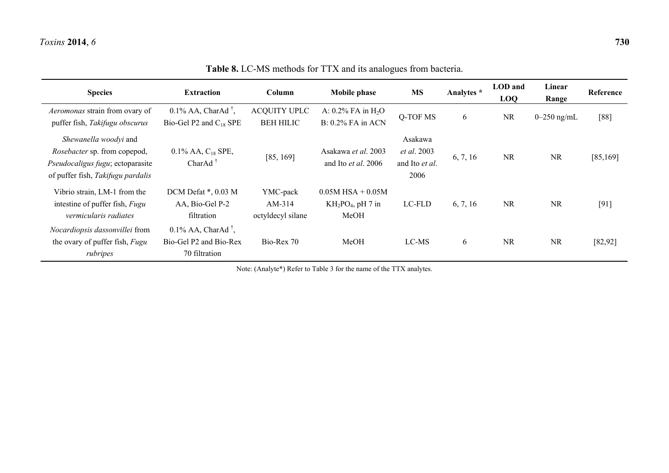| <b>Species</b>                                                                                                                        | <b>Extraction</b>                                                            | Column                                    | <b>Mobile phase</b>                                    | <b>MS</b>                                               | Analytes * | LOD and<br><b>LOQ</b> | Linear<br>Range | Reference |
|---------------------------------------------------------------------------------------------------------------------------------------|------------------------------------------------------------------------------|-------------------------------------------|--------------------------------------------------------|---------------------------------------------------------|------------|-----------------------|-----------------|-----------|
| Aeromonas strain from ovary of<br>puffer fish, Takifugu obscurus                                                                      | $0.1\%$ AA, CharAd <sup>†</sup> ,<br>Bio-Gel P2 and $C_{18}$ SPE             | <b>ACQUITY UPLC</b><br><b>BEH HILIC</b>   | A: $0.2\%$ FA in H <sub>2</sub> O<br>B: 0.2% FA in ACN | Q-TOF MS                                                | 6          | <b>NR</b>             | $0-250$ ng/mL   | $[88]$    |
| Shewanella woodyi and<br><i>Rosebacter</i> sp. from copepod,<br>Pseudocaligus fugu; ectoparasite<br>of puffer fish, Takifugu pardalis | $0.1\%$ AA, $C_{18}$ SPE,<br>Char $Ad†$                                      | [85, 169]                                 | Asakawa et al. 2003<br>and Ito et al. 2006             | Asakawa<br><i>et al.</i> 2003<br>and Ito et al.<br>2006 | 6, 7, 16   | <b>NR</b>             | <b>NR</b>       | [85, 169] |
| Vibrio strain, LM-1 from the<br>intestine of puffer fish, Fugu<br>vermicularis radiates                                               | DCM Defat *, 0.03 M<br>AA, Bio-Gel P-2<br>filtration                         | YMC-pack<br>$AM-314$<br>octyldecyl silane | $0.05M$ HSA + $0.05M$<br>$KH_2PO_4$ , pH 7 in<br>MeOH  | LC-FLD                                                  | 6, 7, 16   | <b>NR</b>             | <b>NR</b>       | $[91]$    |
| Nocardiopsis dassonvillei from<br>the ovary of puffer fish, Fugu<br>rubripes                                                          | $0.1\%$ AA, CharAd <sup>†</sup> ,<br>Bio-Gel P2 and Bio-Rex<br>70 filtration | Bio-Rex 70                                | MeOH                                                   | LC-MS                                                   | 6          | <b>NR</b>             | <b>NR</b>       | [82, 92]  |

**Table 8.** LC-MS methods for TTX and its analogues from bacteria.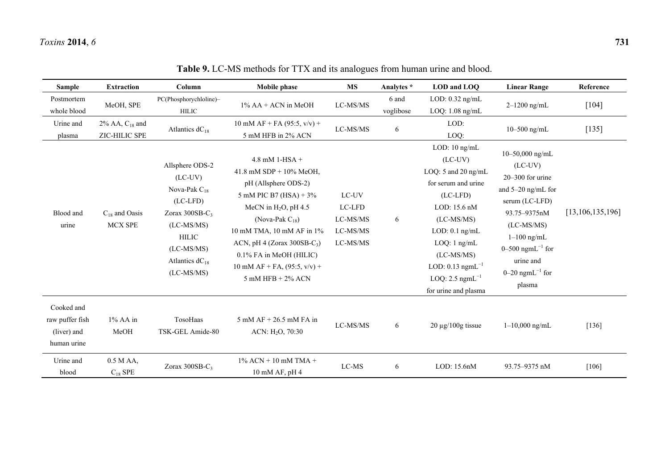| <b>Sample</b>                                               | <b>Extraction</b>                    | Column                                                                                                                                                                      | Mobile phase                                                                                                                                                                                                                                                                                                    | <b>MS</b>                                           | Analytes *         | LOD and LOQ                                                                                                                                                                                                                                                             | <b>Linear Range</b>                                                                                                                                                                                                                          | Reference           |
|-------------------------------------------------------------|--------------------------------------|-----------------------------------------------------------------------------------------------------------------------------------------------------------------------------|-----------------------------------------------------------------------------------------------------------------------------------------------------------------------------------------------------------------------------------------------------------------------------------------------------------------|-----------------------------------------------------|--------------------|-------------------------------------------------------------------------------------------------------------------------------------------------------------------------------------------------------------------------------------------------------------------------|----------------------------------------------------------------------------------------------------------------------------------------------------------------------------------------------------------------------------------------------|---------------------|
| Postmortem<br>whole blood                                   | MeOH, SPE                            | PC(Phosphorychloline)-<br><b>HILIC</b>                                                                                                                                      | $1\%$ AA + ACN in MeOH                                                                                                                                                                                                                                                                                          | LC-MS/MS                                            | 6 and<br>voglibose | LOD: $0.32$ ng/mL<br>$LOQ: 1.08$ ng/mL                                                                                                                                                                                                                                  | $2 - 1200$ ng/mL                                                                                                                                                                                                                             | $[104]$             |
| Urine and<br>plasma                                         | 2% AA, $C_{18}$ and<br>ZIC-HILIC SPE | Atlantics $dC_{18}$                                                                                                                                                         | 10 mM AF + FA (95:5, $v/v$ ) +<br>5 mM HFB in 2% ACN                                                                                                                                                                                                                                                            | LC-MS/MS                                            | 6                  | LOD:<br>LOQ:                                                                                                                                                                                                                                                            | 10-500 ng/mL                                                                                                                                                                                                                                 | $[135]$             |
| Blood and<br>urine                                          | $C_{18}$ and Oasis<br><b>MCX SPE</b> | Allsphere ODS-2<br>$(LC-UV)$<br>Nova-Pak $C_{18}$<br>$(LC-LED)$<br>Zorax $300SB-C_3$<br>$(LC-MS/MS)$<br><b>HILIC</b><br>$(LC-MS/MS)$<br>Atlantics $dC_{18}$<br>$(LC-MS/MS)$ | $4.8$ mM 1-HSA +<br>41.8 mM SDP + $10\%$ MeOH,<br>pH (Allsphere ODS-2)<br>5 mM PIC B7 (HSA) + $3\%$<br>MeCN in $H_2O$ , pH 4.5<br>(Nova-Pak $C_{18}$ )<br>10 mM TMA, 10 mM AF in 1%<br>ACN, pH 4 (Zorax $300SB-C_3$ )<br>$0.1\%$ FA in MeOH (HILIC)<br>10 mM AF + FA, $(95:5, v/v)$ +<br>$5$ mM HFB + $2\%$ ACN | LC-UV<br>LC-LFD<br>LC-MS/MS<br>LC-MS/MS<br>LC-MS/MS | 6                  | LOD: 10 ng/mL<br>$(LC-UV)$<br>LOQ: 5 and 20 ng/mL<br>for serum and urine<br>$(LC-LFD)$<br>LOD: 15.6 nM<br>$(LC-MS/MS)$<br>$LOD: 0.1$ ng/mL<br>$LOQ: 1$ ng/mL<br>$(LC-MS/MS)$<br>LOD: $0.13$ ngmL <sup>-1</sup><br>LOQ: $2.5$ ngmL <sup>-1</sup><br>for urine and plasma | 10-50,000 ng/mL<br>$(LC-UV)$<br>$20 - 300$ for urine<br>and 5-20 ng/mL for<br>serum (LC-LFD)<br>93.75-9375nM<br>$(LC-MS/MS)$<br>$1-100$ ng/mL<br>0–500 ngm $L^{-1}$ for<br>urine and<br>$0-20$ ngmL <sup><math>-1</math></sup> for<br>plasma | [13, 106, 135, 196] |
| Cooked and<br>raw puffer fish<br>(liver) and<br>human urine | 1% AA in<br>MeOH                     | TosoHaas<br>TSK-GEL Amide-80                                                                                                                                                | $5$ mM AF + 26.5 mM FA in<br>ACN: $H_2O$ , 70:30                                                                                                                                                                                                                                                                | LC-MS/MS                                            | 6                  | $20 \mu g/100g$ tissue                                                                                                                                                                                                                                                  | $1 - 10,000$ ng/mL                                                                                                                                                                                                                           | $[136]$             |
| Urine and<br>blood                                          | $0.5$ M AA,<br>$C_{18}$ SPE          | Zorax $300SB-C_3$                                                                                                                                                           | $1\%$ ACN + 10 mM TMA +<br>10 mM AF, pH 4                                                                                                                                                                                                                                                                       | LC-MS                                               | 6                  | LOD: 15.6nM                                                                                                                                                                                                                                                             | 93.75-9375 nM                                                                                                                                                                                                                                | [106]               |

# **Table 9.** LC-MS methods for TTX and its analogues from human urine and blood.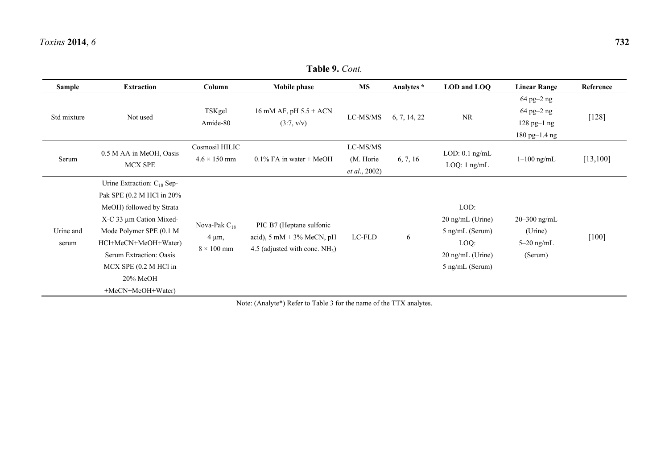| Sample             | <b>Extraction</b>                                                                                                                                                                                                                                               | Column                                                | Mobile phase                                                                                                        | MS                                     | Analytes *   | LOD and LOQ                                                                                  | <b>Linear Range</b>                                        | Reference |
|--------------------|-----------------------------------------------------------------------------------------------------------------------------------------------------------------------------------------------------------------------------------------------------------------|-------------------------------------------------------|---------------------------------------------------------------------------------------------------------------------|----------------------------------------|--------------|----------------------------------------------------------------------------------------------|------------------------------------------------------------|-----------|
| Std mixture        | Not used                                                                                                                                                                                                                                                        | TSKgel<br>Amide-80                                    | 16 mM AF, pH $5.5 + ACN$<br>(3:7, v/v)                                                                              | LC-MS/MS                               | 6, 7, 14, 22 | <b>NR</b>                                                                                    | 64 pg-2 ng<br>64 pg-2 ng<br>$128$ pg-1 ng<br>180 pg-1.4 ng | $[128]$   |
| Serum              | 0.5 M AA in MeOH, Oasis<br><b>MCX SPE</b>                                                                                                                                                                                                                       | Cosmosil HILIC<br>$4.6 \times 150$ mm                 | $0.1\%$ FA in water + MeOH                                                                                          | LC-MS/MS<br>(M. Horie<br>et al., 2002) | 6, 7, 16     | $LOD: 0.1$ ng/mL<br>$LOQ: 1$ ng/mL                                                           | $1-100$ ng/mL                                              | [13, 100] |
| Urine and<br>serum | Urine Extraction: $C_{18}$ Sep-<br>Pak SPE (0.2 M HCl in 20%<br>MeOH) followed by Strata<br>X-C 33 µm Cation Mixed-<br>Mode Polymer SPE (0.1 M<br>HCl+MeCN+MeOH+Water)<br>Serum Extraction: Oasis<br>$MCX$ SPE $(0.2 M$ HCl in<br>20% MeOH<br>+MeCN+MeOH+Water) | Nova-Pak $C_{18}$<br>$4 \mu m$ ,<br>$8 \times 100$ mm | PIC B7 (Heptane sulfonic<br>acid), $5 \text{ mM} + 3\% \text{ MeCN}, \text{pH}$<br>4.5 (adjusted with conc. $NH3$ ) | LC-FLD                                 | 6            | LOD:<br>$20$ ng/mL (Urine)<br>5 ng/mL (Serum)<br>LOQ:<br>20 ng/mL (Urine)<br>5 ng/mL (Serum) | $20 - 300$ ng/mL<br>(Urine)<br>$5-20$ ng/mL<br>(Serum)     | $[100]$   |

**Table 9.** *Cont.*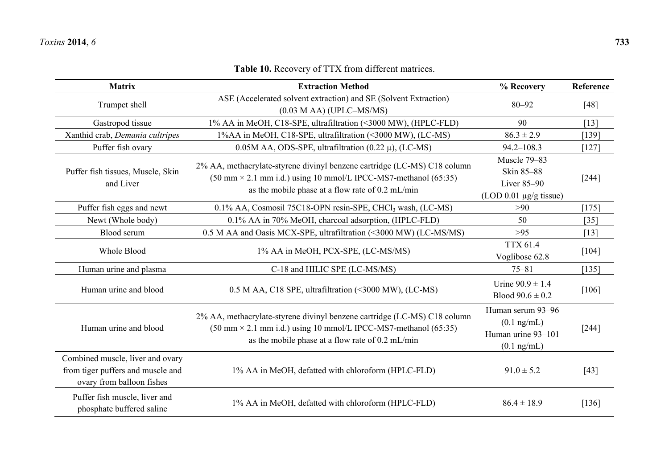| <b>Matrix</b>                                                                                      | <b>Extraction Method</b>                                                                                                                                                                                                         | % Recovery                                                                        | Reference |
|----------------------------------------------------------------------------------------------------|----------------------------------------------------------------------------------------------------------------------------------------------------------------------------------------------------------------------------------|-----------------------------------------------------------------------------------|-----------|
| Trumpet shell                                                                                      | ASE (Accelerated solvent extraction) and SE (Solvent Extraction)<br>$(0.03 \text{ M} \text{AA})$ (UPLC-MS/MS)                                                                                                                    | $80 - 92$                                                                         | [48]      |
| Gastropod tissue                                                                                   | 1% AA in MeOH, C18-SPE, ultrafiltration (<3000 MW), (HPLC-FLD)                                                                                                                                                                   | 90                                                                                | $[13]$    |
| Xanthid crab, Demania cultripes                                                                    | 1%AA in MeOH, C18-SPE, ultrafiltration (<3000 MW), (LC-MS)                                                                                                                                                                       | $86.3 \pm 2.9$                                                                    | [139]     |
| Puffer fish ovary                                                                                  | $0.05M$ AA, ODS-SPE, ultrafiltration $(0.22 \mu)$ , (LC-MS)                                                                                                                                                                      | 94.2-108.3                                                                        | $[127]$   |
| Puffer fish tissues, Muscle, Skin<br>and Liver                                                     | 2% AA, methacrylate-styrene divinyl benzene cartridge (LC-MS) C18 column<br>$(50 \text{ mm} \times 2.1 \text{ mm} \text{ i.d.})$ using 10 mmol/L IPCC-MS7-methanol $(65:35)$<br>as the mobile phase at a flow rate of 0.2 mL/min | Muscle 79-83<br>Skin 85-88<br>Liver 85-90<br>$(LOD 0.01 \mu g/g$ tissue)          | $[244]$   |
| Puffer fish eggs and newt                                                                          | 0.1% AA, Cosmosil 75C18-OPN resin-SPE, CHCl <sub>3</sub> wash, (LC-MS)                                                                                                                                                           | >90                                                                               | $[175]$   |
| Newt (Whole body)                                                                                  | 0.1% AA in 70% MeOH, charcoal adsorption, (HPLC-FLD)                                                                                                                                                                             | 50                                                                                | $[35]$    |
| Blood serum                                                                                        | 0.5 M AA and Oasis MCX-SPE, ultrafiltration (<3000 MW) (LC-MS/MS)                                                                                                                                                                | $>95$                                                                             | $[13]$    |
| Whole Blood                                                                                        | 1% AA in MeOH, PCX-SPE, (LC-MS/MS)                                                                                                                                                                                               | <b>TTX 61.4</b><br>Voglibose 62.8                                                 | $[104]$   |
| Human urine and plasma                                                                             | C-18 and HILIC SPE (LC-MS/MS)                                                                                                                                                                                                    | $75 - 81$                                                                         | [135]     |
| Human urine and blood                                                                              | 0.5 M AA, C18 SPE, ultrafiltration (<3000 MW), (LC-MS)                                                                                                                                                                           | Urine $90.9 \pm 1.4$<br>Blood $90.6 \pm 0.2$                                      | $[106]$   |
| Human urine and blood                                                                              | 2% AA, methacrylate-styrene divinyl benzene cartridge (LC-MS) C18 column<br>$(50 \text{ mm} \times 2.1 \text{ mm} \text{ i.d.})$ using 10 mmol/L IPCC-MS7-methanol $(65:35)$<br>as the mobile phase at a flow rate of 0.2 mL/min | Human serum 93-96<br>$(0.1$ ng/mL)<br>Human urine 93-101<br>$(0.1 \text{ ng/mL})$ | $[244]$   |
| Combined muscle, liver and ovary<br>from tiger puffers and muscle and<br>ovary from balloon fishes | 1% AA in MeOH, defatted with chloroform (HPLC-FLD)                                                                                                                                                                               | $91.0 \pm 5.2$                                                                    | $[43]$    |
| Puffer fish muscle, liver and<br>phosphate buffered saline                                         | 1% AA in MeOH, defatted with chloroform (HPLC-FLD)                                                                                                                                                                               | $86.4 \pm 18.9$                                                                   | [136]     |

# **Table 10.** Recovery of TTX from different matrices.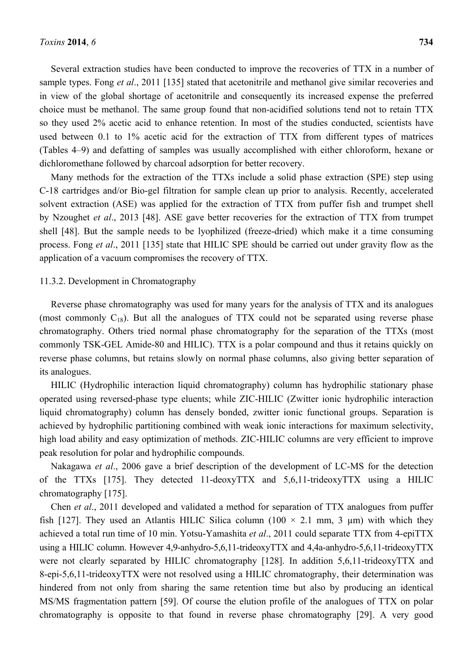Several extraction studies have been conducted to improve the recoveries of TTX in a number of sample types. Fong *et al*., 2011 [135] stated that acetonitrile and methanol give similar recoveries and in view of the global shortage of acetonitrile and consequently its increased expense the preferred choice must be methanol. The same group found that non-acidified solutions tend not to retain TTX so they used 2% acetic acid to enhance retention. In most of the studies conducted, scientists have used between 0.1 to 1% acetic acid for the extraction of TTX from different types of matrices (Tables 4–9) and defatting of samples was usually accomplished with either chloroform, hexane or dichloromethane followed by charcoal adsorption for better recovery.

Many methods for the extraction of the TTXs include a solid phase extraction (SPE) step using C-18 cartridges and/or Bio-gel filtration for sample clean up prior to analysis. Recently, accelerated solvent extraction (ASE) was applied for the extraction of TTX from puffer fish and trumpet shell by Nzoughet *et al*., 2013 [48]. ASE gave better recoveries for the extraction of TTX from trumpet shell [48]. But the sample needs to be lyophilized (freeze-dried) which make it a time consuming process. Fong *et al*., 2011 [135] state that HILIC SPE should be carried out under gravity flow as the application of a vacuum compromises the recovery of TTX.

# 11.3.2. Development in Chromatography

Reverse phase chromatography was used for many years for the analysis of TTX and its analogues (most commonly  $C_{18}$ ). But all the analogues of TTX could not be separated using reverse phase chromatography. Others tried normal phase chromatography for the separation of the TTXs (most commonly TSK-GEL Amide-80 and HILIC). TTX is a polar compound and thus it retains quickly on reverse phase columns, but retains slowly on normal phase columns, also giving better separation of its analogues.

HILIC (Hydrophilic interaction liquid chromatography) column has hydrophilic stationary phase operated using reversed-phase type eluents; while ZIC-HILIC (Zwitter ionic hydrophilic interaction liquid chromatography) column has densely bonded, zwitter ionic functional groups. Separation is achieved by hydrophilic partitioning combined with weak ionic interactions for maximum selectivity, high load ability and easy optimization of methods. ZIC-HILIC columns are very efficient to improve peak resolution for polar and hydrophilic compounds.

Nakagawa *et al*., 2006 gave a brief description of the development of LC-MS for the detection of the TTXs [175]. They detected 11-deoxyTTX and 5,6,11-trideoxyTTX using a HILIC chromatography [175].

Chen *et al*., 2011 developed and validated a method for separation of TTX analogues from puffer fish [127]. They used an Atlantis HILIC Silica column (100  $\times$  2.1 mm, 3 µm) with which they achieved a total run time of 10 min. Yotsu-Yamashita *et al*., 2011 could separate TTX from 4-epiTTX using a HILIC column. However 4,9-anhydro-5,6,11-trideoxyTTX and 4,4a-anhydro-5,6,11-trideoxyTTX were not clearly separated by HILIC chromatography [128]. In addition 5,6,11-trideoxyTTX and 8-epi-5,6,11-trideoxyTTX were not resolved using a HILIC chromatography, their determination was hindered from not only from sharing the same retention time but also by producing an identical MS/MS fragmentation pattern [59]. Of course the elution profile of the analogues of TTX on polar chromatography is opposite to that found in reverse phase chromatography [29]. A very good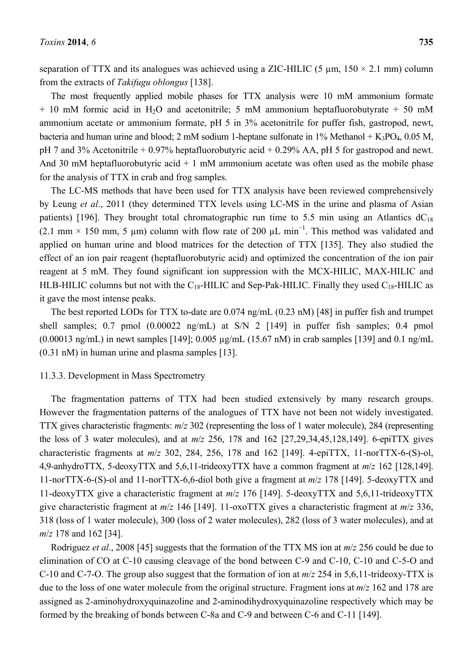separation of TTX and its analogues was achieved using a ZIC-HILIC (5  $\mu$ m, 150  $\times$  2.1 mm) column from the extracts of *Takifugu oblongus* [138].

The most frequently applied mobile phases for TTX analysis were 10 mM ammonium formate  $+$  10 mM formic acid in H<sub>2</sub>O and acetonitrile; 5 mM ammonium heptafluorobutyrate  $+$  50 mM ammonium acetate or ammonium formate, pH 5 in 3% acetonitrile for puffer fish, gastropod, newt, bacteria and human urine and blood; 2 mM sodium 1-heptane sulfonate in  $1\%$  Methanol + K<sub>3</sub>PO<sub>4</sub>, 0.05 M, pH 7 and 3% Acetonitrile + 0.97% heptafluorobutyric acid + 0.29% AA, pH 5 for gastropod and newt. And 30 mM heptafluorobutyric acid  $+ 1$  mM ammonium acetate was often used as the mobile phase for the analysis of TTX in crab and frog samples.

The LC-MS methods that have been used for TTX analysis have been reviewed comprehensively by Leung *et al*., 2011 (they determined TTX levels using LC-MS in the urine and plasma of Asian patients) [196]. They brought total chromatographic run time to 5.5 min using an Atlantics  $dC_{18}$ (2.1 mm × 150 mm, 5 µm) column with flow rate of 200 µL min<sup>-1</sup>. This method was validated and applied on human urine and blood matrices for the detection of TTX [135]. They also studied the effect of an ion pair reagent (heptafluorobutyric acid) and optimized the concentration of the ion pair reagent at 5 mM. They found significant ion suppression with the MCX-HILIC, MAX-HILIC and HLB-HILIC columns but not with the  $C_{18}$ -HILIC and Sep-Pak-HILIC. Finally they used  $C_{18}$ -HILIC as it gave the most intense peaks.

The best reported LODs for TTX to-date are 0.074 ng/mL (0.23 nM) [48] in puffer fish and trumpet shell samples; 0.7 pmol (0.00022 ng/mL) at S/N 2 [149] in puffer fish samples; 0.4 pmol (0.00013 ng/mL) in newt samples [149]; 0.005 µg/mL (15.67 nM) in crab samples [139] and 0.1 ng/mL (0.31 nM) in human urine and plasma samples [13].

#### 11.3.3. Development in Mass Spectrometry

The fragmentation patterns of TTX had been studied extensively by many research groups. However the fragmentation patterns of the analogues of TTX have not been not widely investigated. TTX gives characteristic fragments: *m*/*z* 302 (representing the loss of 1 water molecule), 284 (representing the loss of 3 water molecules), and at *m*/*z* 256, 178 and 162 [27,29,34,45,128,149]. 6-epiTTX gives characteristic fragments at *m*/*z* 302, 284, 256, 178 and 162 [149]. 4-epiTTX, 11-norTTX-6-(S)-ol, 4,9-anhydroTTX, 5-deoxyTTX and 5,6,11-trideoxyTTX have a common fragment at *m*/*z* 162 [128,149]. 11-norTTX-6-(S)-ol and 11-norTTX-6,6-diol both give a fragment at *m*/*z* 178 [149]. 5-deoxyTTX and 11-deoxyTTX give a characteristic fragment at *m*/*z* 176 [149]. 5-deoxyTTX and 5,6,11-trideoxyTTX give characteristic fragment at *m*/*z* 146 [149]. 11-oxoTTX gives a characteristic fragment at *m*/*z* 336, 318 (loss of 1 water molecule), 300 (loss of 2 water molecules), 282 (loss of 3 water molecules), and at *m*/*z* 178 and 162 [34].

Rodriguez *et al*., 2008 [45] suggests that the formation of the TTX MS ion at *m*/*z* 256 could be due to elimination of CO at C-10 causing cleavage of the bond between C-9 and C-10, C-10 and C-5-O and C-10 and C-7-O. The group also suggest that the formation of ion at *m*/*z* 254 in 5,6,11-trideoxy-TTX is due to the loss of one water molecule from the original structure. Fragment ions at *m*/*z* 162 and 178 are assigned as 2-aminohydroxyquinazoline and 2-aminodihydroxyquinazoline respectively which may be formed by the breaking of bonds between C-8a and C-9 and between C-6 and C-11 [149].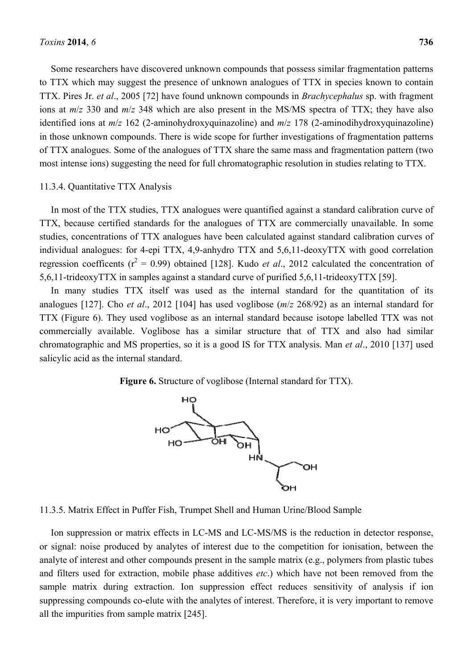Some researchers have discovered unknown compounds that possess similar fragmentation patterns to TTX which may suggest the presence of unknown analogues of TTX in species known to contain TTX. Pires Jr. *et al*., 2005 [72] have found unknown compounds in *Brachycephalus* sp. with fragment ions at *m*/*z* 330 and *m*/*z* 348 which are also present in the MS/MS spectra of TTX; they have also identified ions at *m*/*z* 162 (2-aminohydroxyquinazoline) and *m*/*z* 178 (2-aminodihydroxyquinazoline) in those unknown compounds. There is wide scope for further investigations of fragmentation patterns of TTX analogues. Some of the analogues of TTX share the same mass and fragmentation pattern (two most intense ions) suggesting the need for full chromatographic resolution in studies relating to TTX.

#### 11.3.4. Quantitative TTX Analysis

In most of the TTX studies, TTX analogues were quantified against a standard calibration curve of TTX, because certified standards for the analogues of TTX are commercially unavailable. In some studies, concentrations of TTX analogues have been calculated against standard calibration curves of individual analogues: for 4-epi TTX, 4,9-anhydro TTX and 5,6,11-deoxyTTX with good correlation regression coefficents ( $r^2 = 0.99$ ) obtained [128]. Kudo *et al.*, 2012 calculated the concentration of 5,6,11-trideoxyTTX in samples against a standard curve of purified 5,6,11-trideoxyTTX [59].

In many studies TTX itself was used as the internal standard for the quantitation of its analogues [127]. Cho *et al*., 2012 [104] has used voglibose (*m*/*z* 268/92) as an internal standard for TTX (Figure 6). They used voglibose as an internal standard because isotope labelled TTX was not commercially available. Voglibose has a similar structure that of TTX and also had similar chromatographic and MS properties, so it is a good IS for TTX analysis. Man *et al*., 2010 [137] used salicylic acid as the internal standard.

**Figure 6.** Structure of voglibose (Internal standard for TTX).



11.3.5. Matrix Effect in Puffer Fish, Trumpet Shell and Human Urine/Blood Sample

Ion suppression or matrix effects in LC-MS and LC-MS/MS is the reduction in detector response, or signal: noise produced by analytes of interest due to the competition for ionisation, between the analyte of interest and other compounds present in the sample matrix (e.g., polymers from plastic tubes and filters used for extraction, mobile phase additives *etc*.) which have not been removed from the sample matrix during extraction. Ion suppression effect reduces sensitivity of analysis if ion suppressing compounds co-elute with the analytes of interest. Therefore, it is very important to remove all the impurities from sample matrix [245].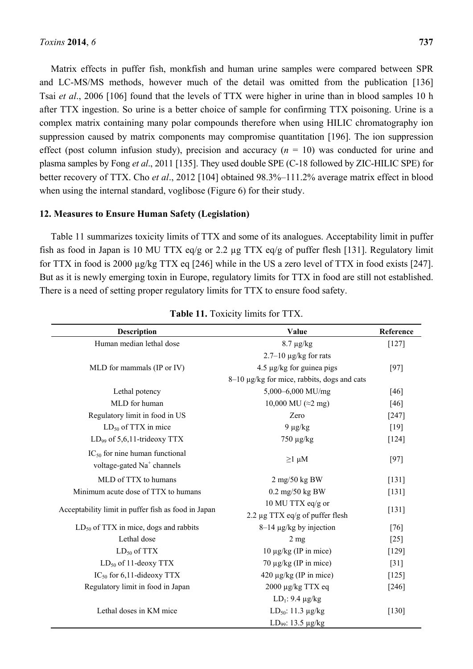Matrix effects in puffer fish, monkfish and human urine samples were compared between SPR and LC-MS/MS methods, however much of the detail was omitted from the publication [136] Tsai *et al*., 2006 [106] found that the levels of TTX were higher in urine than in blood samples 10 h after TTX ingestion. So urine is a better choice of sample for confirming TTX poisoning. Urine is a complex matrix containing many polar compounds therefore when using HILIC chromatography ion suppression caused by matrix components may compromise quantitation [196]. The ion suppression effect (post column infusion study), precision and accuracy  $(n = 10)$  was conducted for urine and plasma samples by Fong *et al*., 2011 [135]. They used double SPE (C-18 followed by ZIC-HILIC SPE) for better recovery of TTX. Cho *et al*., 2012 [104] obtained 98.3%–111.2% average matrix effect in blood when using the internal standard, voglibose (Figure 6) for their study.

# **12. Measures to Ensure Human Safety (Legislation)**

Table 11 summarizes toxicity limits of TTX and some of its analogues. Acceptability limit in puffer fish as food in Japan is 10 MU TTX eq/g or 2.2 µg TTX eq/g of puffer flesh [131]. Regulatory limit for TTX in food is 2000 µg/kg TTX eq [246] while in the US a zero level of TTX in food exists [247]. But as it is newly emerging toxin in Europe, regulatory limits for TTX in food are still not established. There is a need of setting proper regulatory limits for TTX to ensure food safety.

| <b>Description</b>                                  | Value                                                     | Reference |
|-----------------------------------------------------|-----------------------------------------------------------|-----------|
| Human median lethal dose                            | $8.7 \mu g/kg$                                            | $[127]$   |
|                                                     | $2.7-10 \mu g/kg$ for rats                                |           |
| MLD for mammals (IP or IV)                          | $4.5 \mu g/kg$ for guinea pigs                            | $[97]$    |
|                                                     | 8–10 μg/kg for mice, rabbits, dogs and cats               |           |
| Lethal potency                                      | 5,000-6,000 MU/mg                                         | [46]      |
| MLD for human                                       | 10,000 MU ( $\approx$ 2 mg)                               | [46]      |
| Regulatory limit in food in US                      | Zero                                                      | $[247]$   |
| $LD_{50}$ of TTX in mice                            | $9 \mu g/kg$                                              | $[19]$    |
| $LD_{99}$ of 5,6,11-trideoxy TTX                    | 750 μg/kg                                                 | $[124]$   |
| $IC_{50}$ for nine human functional                 | $\geq$ 1 µM                                               | $[97]$    |
| voltage-gated Na <sup>+</sup> channels              |                                                           |           |
| MLD of TTX to humans                                | $2$ mg/50 kg BW                                           | $[131]$   |
| Minimum acute dose of TTX to humans                 | $0.2 \text{ mg}/50 \text{ kg BW}$                         | $[131]$   |
| Acceptability limit in puffer fish as food in Japan | 10 MU TTX eq/g or<br>2.2 $\mu$ g TTX eq/g of puffer flesh | $[131]$   |
| $LD_{50}$ of TTX in mice, dogs and rabbits          | $8-14 \mu g/kg$ by injection                              | $[76]$    |
| Lethal dose                                         | $2 \text{ mg}$                                            | $[25]$    |
| $LD_{50}$ of TTX                                    | $10 \mu g/kg$ (IP in mice)                                | $[129]$   |
| $LD_{50}$ of 11-deoxy TTX                           | $70 \mu g/kg$ (IP in mice)                                | $[31]$    |
| $IC_{50}$ for 6,11-dideoxy TTX                      | $420 \mu g/kg$ (IP in mice)                               | $[125]$   |
| Regulatory limit in food in Japan                   | $2000 \mu g/kg$ TTX eq                                    | $[246]$   |
|                                                     | $LD_1$ : 9.4 $\mu$ g/kg                                   |           |
| Lethal doses in KM mice                             | LD <sub>50</sub> : 11.3 $\mu$ g/kg                        | $[130]$   |
|                                                     | LD <sub>99</sub> : 13.5 µg/kg                             |           |

| <b>Table 11.</b> Toxicity limits for TTX. |  |  |  |  |
|-------------------------------------------|--|--|--|--|
|-------------------------------------------|--|--|--|--|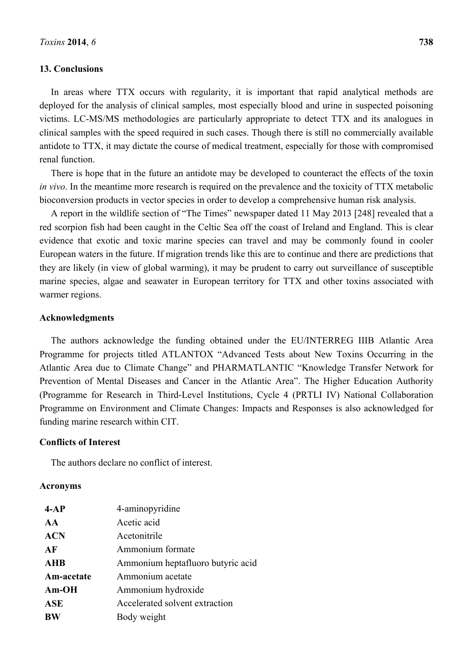### **13. Conclusions**

In areas where TTX occurs with regularity, it is important that rapid analytical methods are deployed for the analysis of clinical samples, most especially blood and urine in suspected poisoning victims. LC-MS/MS methodologies are particularly appropriate to detect TTX and its analogues in clinical samples with the speed required in such cases. Though there is still no commercially available antidote to TTX, it may dictate the course of medical treatment, especially for those with compromised renal function.

There is hope that in the future an antidote may be developed to counteract the effects of the toxin *in vivo*. In the meantime more research is required on the prevalence and the toxicity of TTX metabolic bioconversion products in vector species in order to develop a comprehensive human risk analysis.

A report in the wildlife section of "The Times" newspaper dated 11 May 2013 [248] revealed that a red scorpion fish had been caught in the Celtic Sea off the coast of Ireland and England. This is clear evidence that exotic and toxic marine species can travel and may be commonly found in cooler European waters in the future. If migration trends like this are to continue and there are predictions that they are likely (in view of global warming), it may be prudent to carry out surveillance of susceptible marine species, algae and seawater in European territory for TTX and other toxins associated with warmer regions.

## **Acknowledgments**

The authors acknowledge the funding obtained under the EU/INTERREG IIIB Atlantic Area Programme for projects titled ATLANTOX "Advanced Tests about New Toxins Occurring in the Atlantic Area due to Climate Change" and PHARMATLANTIC "Knowledge Transfer Network for Prevention of Mental Diseases and Cancer in the Atlantic Area". The Higher Education Authority (Programme for Research in Third-Level Institutions, Cycle 4 (PRTLI IV) National Collaboration Programme on Environment and Climate Changes: Impacts and Responses is also acknowledged for funding marine research within CIT.

# **Conflicts of Interest**

The authors declare no conflict of interest.

#### **Acronyms**

| $4-AP$     | 4-aminopyridine                   |
|------------|-----------------------------------|
| AA         | Acetic acid                       |
| <b>ACN</b> | Acetonitrile                      |
| AF         | Ammonium formate                  |
| <b>AHB</b> | Ammonium heptafluoro butyric acid |
| Am-acetate | Ammonium acetate                  |
| $Am-OH$    | Ammonium hydroxide                |
| <b>ASE</b> | Accelerated solvent extraction    |
| <b>BW</b>  | Body weight                       |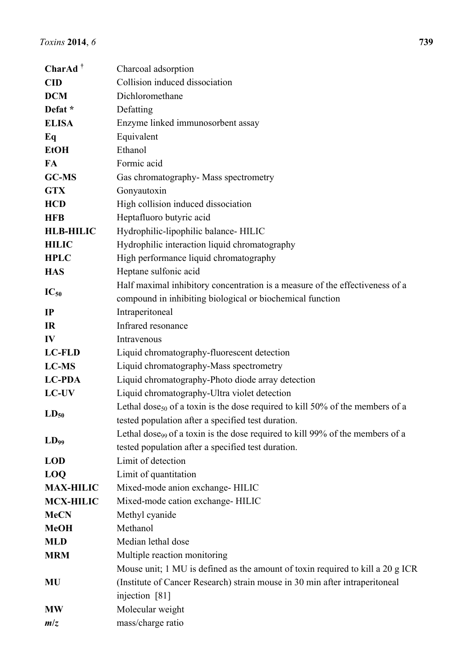| CharAd <sup>†</sup> | Charcoal adsorption                                                                       |
|---------------------|-------------------------------------------------------------------------------------------|
| <b>CID</b>          | Collision induced dissociation                                                            |
| <b>DCM</b>          | Dichloromethane                                                                           |
| Defat *             | Defatting                                                                                 |
| <b>ELISA</b>        | Enzyme linked immunosorbent assay                                                         |
| Eq                  | Equivalent                                                                                |
| <b>EtOH</b>         | Ethanol                                                                                   |
| FA                  | Formic acid                                                                               |
| GC-MS               | Gas chromatography- Mass spectrometry                                                     |
| <b>GTX</b>          | Gonyautoxin                                                                               |
| <b>HCD</b>          | High collision induced dissociation                                                       |
| <b>HFB</b>          | Heptafluoro butyric acid                                                                  |
| <b>HLB-HILIC</b>    | Hydrophilic-lipophilic balance- HILIC                                                     |
| <b>HILIC</b>        | Hydrophilic interaction liquid chromatography                                             |
| <b>HPLC</b>         | High performance liquid chromatography                                                    |
| <b>HAS</b>          | Heptane sulfonic acid                                                                     |
|                     | Half maximal inhibitory concentration is a measure of the effectiveness of a              |
| $IC_{50}$           | compound in inhibiting biological or biochemical function                                 |
| IP                  | Intraperitoneal                                                                           |
| <b>IR</b>           | Infrared resonance                                                                        |
| IV                  | Intravenous                                                                               |
| <b>LC-FLD</b>       | Liquid chromatography-fluorescent detection                                               |
| LC-MS               | Liquid chromatography-Mass spectrometry                                                   |
| <b>LC-PDA</b>       | Liquid chromatography-Photo diode array detection                                         |
| LC-UV               | Liquid chromatography-Ultra violet detection                                              |
| $LD_{50}$           | Lethal dose <sub>50</sub> of a toxin is the dose required to kill 50% of the members of a |
|                     | tested population after a specified test duration.                                        |
| $LD_{99}$           | Lethal dose <sub>99</sub> of a toxin is the dose required to kill 99% of the members of a |
|                     | tested population after a specified test duration.                                        |
| <b>LOD</b>          | Limit of detection                                                                        |
| <b>LOQ</b>          | Limit of quantitation                                                                     |
| <b>MAX-HILIC</b>    | Mixed-mode anion exchange- HILIC                                                          |
| <b>MCX-HILIC</b>    | Mixed-mode cation exchange- HILIC                                                         |
| <b>MeCN</b>         | Methyl cyanide                                                                            |
| <b>MeOH</b>         | Methanol                                                                                  |
| <b>MLD</b>          | Median lethal dose                                                                        |
| <b>MRM</b>          | Multiple reaction monitoring                                                              |
|                     | Mouse unit; 1 MU is defined as the amount of toxin required to kill a 20 g ICR            |
| <b>MU</b>           | (Institute of Cancer Research) strain mouse in 30 min after intraperitoneal               |
|                     | injection [81]                                                                            |
| <b>MW</b>           | Molecular weight                                                                          |
| m/z                 | mass/charge ratio                                                                         |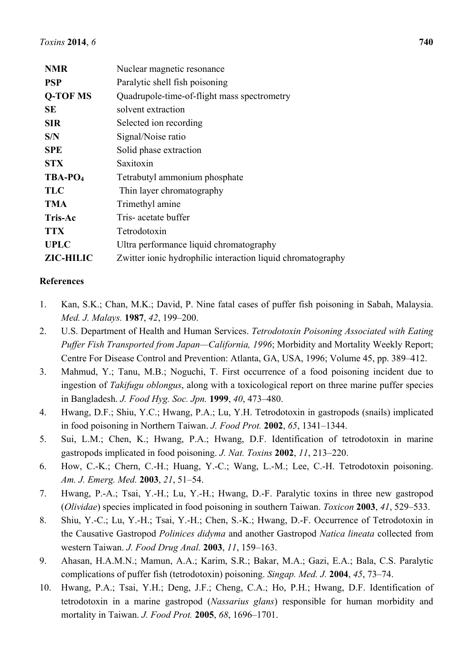| <b>NMR</b>          | Nuclear magnetic resonance                                  |
|---------------------|-------------------------------------------------------------|
| <b>PSP</b>          | Paralytic shell fish poisoning                              |
| <b>Q-TOF MS</b>     | Quadrupole-time-of-flight mass spectrometry                 |
| <b>SE</b>           | solvent extraction                                          |
| <b>SIR</b>          | Selected ion recording                                      |
| S/N                 | Signal/Noise ratio                                          |
| <b>SPE</b>          | Solid phase extraction                                      |
| <b>STX</b>          | Saxitoxin                                                   |
| TBA-PO <sub>4</sub> | Tetrabutyl ammonium phosphate                               |
| <b>TLC</b>          | Thin layer chromatography                                   |
| <b>TMA</b>          | Trimethyl amine                                             |
| <b>Tris-Ac</b>      | Tris-acetate buffer                                         |
| <b>TTX</b>          | Tetrodotoxin                                                |
| <b>UPLC</b>         | Ultra performance liquid chromatography                     |
| <b>ZIC-HILIC</b>    | Zwitter ionic hydrophilic interaction liquid chromatography |

# **References**

- 1. Kan, S.K.; Chan, M.K.; David, P. Nine fatal cases of puffer fish poisoning in Sabah, Malaysia. *Med. J. Malays.* **1987**, *42*, 199–200.
- 2. U.S. Department of Health and Human Services. *Tetrodotoxin Poisoning Associated with Eating Puffer Fish Transported from Japan—California, 1996*; Morbidity and Mortality Weekly Report; Centre For Disease Control and Prevention: Atlanta, GA, USA, 1996; Volume 45, pp. 389–412.
- 3. Mahmud, Y.; Tanu, M.B.; Noguchi, T. First occurrence of a food poisoning incident due to ingestion of *Takifugu oblongus*, along with a toxicological report on three marine puffer species in Bangladesh. *J. Food Hyg. Soc. Jpn.* **1999**, *40*, 473–480.
- 4. Hwang, D.F.; Shiu, Y.C.; Hwang, P.A.; Lu, Y.H. Tetrodotoxin in gastropods (snails) implicated in food poisoning in Northern Taiwan. *J. Food Prot.* **2002**, *65*, 1341–1344.
- 5. Sui, L.M.; Chen, K.; Hwang, P.A.; Hwang, D.F. Identification of tetrodotoxin in marine gastropods implicated in food poisoning. *J. Nat. Toxins* **2002**, *11*, 213–220.
- 6. How, C.-K.; Chern, C.-H.; Huang, Y.-C.; Wang, L.-M.; Lee, C.-H. Tetrodotoxin poisoning. *Am. J. Emerg. Med.* **2003**, *21*, 51–54.
- 7. Hwang, P.-A.; Tsai, Y.-H.; Lu, Y.-H.; Hwang, D.-F. Paralytic toxins in three new gastropod (*Olividae*) species implicated in food poisoning in southern Taiwan. *Toxicon* **2003**, *41*, 529–533.
- 8. Shiu, Y.-C.; Lu, Y.-H.; Tsai, Y.-H.; Chen, S.-K.; Hwang, D.-F. Occurrence of Tetrodotoxin in the Causative Gastropod *Polinices didyma* and another Gastropod *Natica lineata* collected from western Taiwan. *J. Food Drug Anal.* **2003**, *11*, 159–163.
- 9. Ahasan, H.A.M.N.; Mamun, A.A.; Karim, S.R.; Bakar, M.A.; Gazi, E.A.; Bala, C.S. Paralytic complications of puffer fish (tetrodotoxin) poisoning. *Singap. Med. J.* **2004**, *45*, 73–74.
- 10. Hwang, P.A.; Tsai, Y.H.; Deng, J.F.; Cheng, C.A.; Ho, P.H.; Hwang, D.F. Identification of tetrodotoxin in a marine gastropod (*Nassarius glans*) responsible for human morbidity and mortality in Taiwan. *J. Food Prot.* **2005**, *68*, 1696–1701.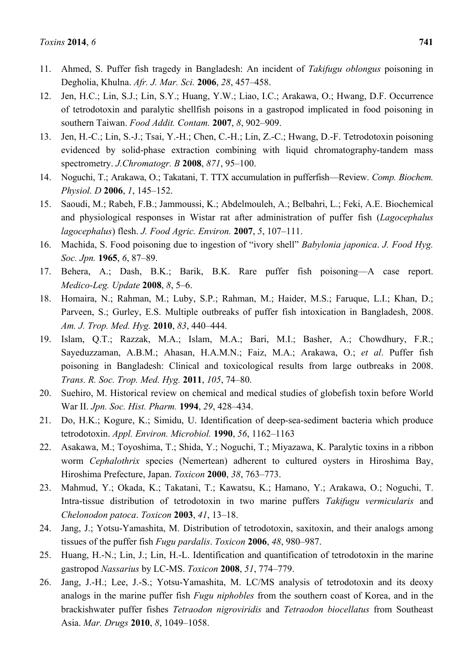- 11. Ahmed, S. Puffer fish tragedy in Bangladesh: An incident of *Takifugu oblongus* poisoning in Degholia, Khulna. *Afr. J. Mar. Sci.* **2006**, *28*, 457–458.
- 12. Jen, H.C.; Lin, S.J.; Lin, S.Y.; Huang, Y.W.; Liao, I.C.; Arakawa, O.; Hwang, D.F. Occurrence of tetrodotoxin and paralytic shellfish poisons in a gastropod implicated in food poisoning in southern Taiwan. *Food Addit. Contam.* **2007**, *8*, 902–909.
- 13. Jen, H.-C.; Lin, S.-J.; Tsai, Y.-H.; Chen, C.-H.; Lin, Z.-C.; Hwang, D.-F. Tetrodotoxin poisoning evidenced by solid-phase extraction combining with liquid chromatography-tandem mass spectrometry. *J.Chromatogr. B* **2008**, *871*, 95–100.
- 14. Noguchi, T.; Arakawa, O.; Takatani, T. TTX accumulation in pufferfish—Review. *Comp. Biochem. Physiol. D* **2006**, *1*, 145–152.
- 15. Saoudi, M.; Rabeh, F.B.; Jammoussi, K.; Abdelmouleh, A.; Belbahri, L.; Feki, A.E. Biochemical and physiological responses in Wistar rat after administration of puffer fish (*Lagocephalus lagocephalus*) flesh. *J. Food Agric. Environ.* **2007**, *5*, 107–111.
- 16. Machida, S. Food poisoning due to ingestion of "ivory shell" *Babylonia japonica*. *J. Food Hyg. Soc. Jpn.* **1965**, *6*, 87–89.
- 17. Behera, A.; Dash, B.K.; Barik, B.K. Rare puffer fish poisoning—A case report. *Medico-Leg. Update* **2008**, *8*, 5–6.
- 18. Homaira, N.; Rahman, M.; Luby, S.P.; Rahman, M.; Haider, M.S.; Faruque, L.I.; Khan, D.; Parveen, S.; Gurley, E.S. Multiple outbreaks of puffer fish intoxication in Bangladesh, 2008. *Am. J. Trop. Med. Hyg.* **2010**, *83*, 440–444.
- 19. Islam, Q.T.; Razzak, M.A.; Islam, M.A.; Bari, M.I.; Basher, A.; Chowdhury, F.R.; Sayeduzzaman, A.B.M.; Ahasan, H.A.M.N.; Faiz, M.A.; Arakawa, O.; *et al*. Puffer fish poisoning in Bangladesh: Clinical and toxicological results from large outbreaks in 2008. *Trans. R. Soc. Trop. Med. Hyg.* **2011**, *105*, 74–80.
- 20. Suehiro, M. Historical review on chemical and medical studies of globefish toxin before World War II. *Jpn. Soc. Hist. Pharm.* **1994**, *29*, 428–434.
- 21. Do, H.K.; Kogure, K.; Simidu, U. Identification of deep-sea-sediment bacteria which produce tetrodotoxin. *Appl. Environ. Microbiol.* **1990**, *56*, 1162–1163
- 22. Asakawa, M.; Toyoshima, T.; Shida, Y.; Noguchi, T.; Miyazawa, K. Paralytic toxins in a ribbon worm *Cephalothrix* species (Nemertean) adherent to cultured oysters in Hiroshima Bay, Hiroshima Prefecture, Japan. *Toxicon* **2000**, *38*, 763–773.
- 23. Mahmud, Y.; Okada, K.; Takatani, T.; Kawatsu, K.; Hamano, Y.; Arakawa, O.; Noguchi, T. Intra-tissue distribution of tetrodotoxin in two marine puffers *Takifugu vermicularis* and *Chelonodon patoca*. *Toxicon* **2003**, *41*, 13–18.
- 24. Jang, J.; Yotsu-Yamashita, M. Distribution of tetrodotoxin, saxitoxin, and their analogs among tissues of the puffer fish *Fugu pardalis*. *Toxicon* **2006**, *48*, 980–987.
- 25. Huang, H.-N.; Lin, J.; Lin, H.-L. Identification and quantification of tetrodotoxin in the marine gastropod *Nassarius* by LC-MS. *Toxicon* **2008**, *51*, 774–779.
- 26. Jang, J.-H.; Lee, J.-S.; Yotsu-Yamashita, M. LC/MS analysis of tetrodotoxin and its deoxy analogs in the marine puffer fish *Fugu niphobles* from the southern coast of Korea, and in the brackishwater puffer fishes *Tetraodon nigroviridis* and *Tetraodon biocellatus* from Southeast Asia. *Mar. Drugs* **2010**, *8*, 1049–1058.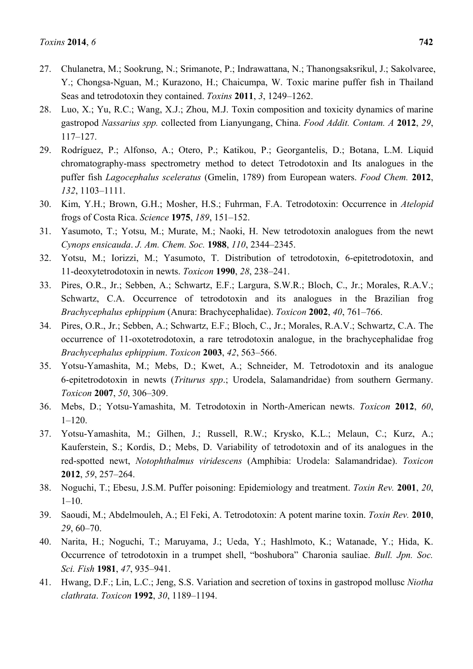- 27. Chulanetra, M.; Sookrung, N.; Srimanote, P.; Indrawattana, N.; Thanongsaksrikul, J.; Sakolvaree, Y.; Chongsa-Nguan, M.; Kurazono, H.; Chaicumpa, W. Toxic marine puffer fish in Thailand Seas and tetrodotoxin they contained. *Toxins* **2011**, *3*, 1249–1262.
- 28. Luo, X.; Yu, R.C.; Wang, X.J.; Zhou, M.J. Toxin composition and toxicity dynamics of marine gastropod *Nassarius spp.* collected from Lianyungang, China. *Food Addit. Contam. A* **2012**, *29*, 117–127.
- 29. Rodríguez, P.; Alfonso, A.; Otero, P.; Katikou, P.; Georgantelis, D.; Botana, L.M. Liquid chromatography-mass spectrometry method to detect Tetrodotoxin and Its analogues in the puffer fish *Lagocephalus sceleratus* (Gmelin, 1789) from European waters. *Food Chem.* **2012**, *132*, 1103–1111.
- 30. Kim, Y.H.; Brown, G.H.; Mosher, H.S.; Fuhrman, F.A. Tetrodotoxin: Occurrence in *Atelopid*  frogs of Costa Rica. *Science* **1975**, *189*, 151–152.
- 31. Yasumoto, T.; Yotsu, M.; Murate, M.; Naoki, H. New tetrodotoxin analogues from the newt *Cynops ensicauda*. *J. Am. Chem. Soc.* **1988**, *110*, 2344–2345.
- 32. Yotsu, M.; Iorizzi, M.; Yasumoto, T. Distribution of tetrodotoxin, 6-epitetrodotoxin, and 11-deoxytetrodotoxin in newts. *Toxicon* **1990**, *28*, 238–241.
- 33. Pires, O.R., Jr.; Sebben, A.; Schwartz, E.F.; Largura, S.W.R.; Bloch, C., Jr.; Morales, R.A.V.; Schwartz, C.A. Occurrence of tetrodotoxin and its analogues in the Brazilian frog *Brachycephalus ephippium* (Anura: Brachycephalidae). *Toxicon* **2002**, *40*, 761–766.
- 34. Pires, O.R., Jr.; Sebben, A.; Schwartz, E.F.; Bloch, C., Jr.; Morales, R.A.V.; Schwartz, C.A. The occurrence of 11-oxotetrodotoxin, a rare tetrodotoxin analogue, in the brachycephalidae frog *Brachycephalus ephippium*. *Toxicon* **2003**, *42*, 563–566.
- 35. Yotsu-Yamashita, M.; Mebs, D.; Kwet, A.; Schneider, M. Tetrodotoxin and its analogue 6-epitetrodotoxin in newts (*Triturus spp*.; Urodela, Salamandridae) from southern Germany. *Toxicon* **2007**, *50*, 306–309.
- 36. Mebs, D.; Yotsu-Yamashita, M. Tetrodotoxin in North-American newts. *Toxicon* **2012**, *60*, 1–120.
- 37. Yotsu-Yamashita, M.; Gilhen, J.; Russell, R.W.; Krysko, K.L.; Melaun, C.; Kurz, A.; Kauferstein, S.; Kordis, D.; Mebs, D. Variability of tetrodotoxin and of its analogues in the red-spotted newt, *Notophthalmus viridescens* (Amphibia: Urodela: Salamandridae). *Toxicon*  **2012**, *59*, 257–264.
- 38. Noguchi, T.; Ebesu, J.S.M. Puffer poisoning: Epidemiology and treatment. *Toxin Rev.* **2001**, *20*, 1–10.
- 39. Saoudi, M.; Abdelmouleh, A.; El Feki, A. Tetrodotoxin: A potent marine toxin. *Toxin Rev.* **2010**, *29*, 60–70.
- 40. Narita, H.; Noguchi, T.; Maruyama, J.; Ueda, Y.; Hashlmoto, K.; Watanade, Y.; Hida, K. Occurrence of tetrodotoxin in a trumpet shell, "boshubora" Charonia sauliae. *Bull. Jpn. Soc. Sci. Fish* **1981**, *47*, 935–941.
- 41. Hwang, D.F.; Lin, L.C.; Jeng, S.S. Variation and secretion of toxins in gastropod mollusc *Niotha clathrata*. *Toxicon* **1992**, *30*, 1189–1194.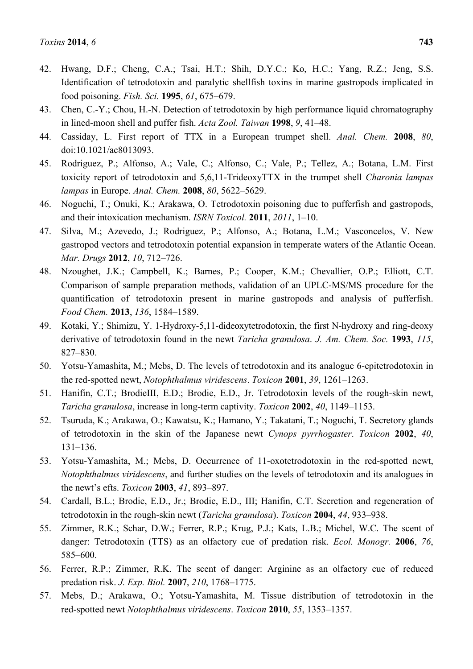- 42. Hwang, D.F.; Cheng, C.A.; Tsai, H.T.; Shih, D.Y.C.; Ko, H.C.; Yang, R.Z.; Jeng, S.S. Identification of tetrodotoxin and paralytic shellfish toxins in marine gastropods implicated in food poisoning. *Fish. Sci.* **1995**, *61*, 675–679.
- 43. Chen, C.-Y.; Chou, H.-N. Detection of tetrodotoxin by high performance liquid chromatography in lined-moon shell and puffer fish. *Acta Zool. Taiwan* **1998**, *9*, 41–48.
- 44. Cassiday, L. First report of TTX in a European trumpet shell. *Anal. Chem.* **2008**, *80*, doi:10.1021/ac8013093.
- 45. Rodriguez, P.; Alfonso, A.; Vale, C.; Alfonso, C.; Vale, P.; Tellez, A.; Botana, L.M. First toxicity report of tetrodotoxin and 5,6,11-TrideoxyTTX in the trumpet shell *Charonia lampas lampas* in Europe. *Anal. Chem.* **2008**, *80*, 5622–5629.
- 46. Noguchi, T.; Onuki, K.; Arakawa, O. Tetrodotoxin poisoning due to pufferfish and gastropods, and their intoxication mechanism. *ISRN Toxicol.* **2011**, *2011*, 1–10.
- 47. Silva, M.; Azevedo, J.; Rodriguez, P.; Alfonso, A.; Botana, L.M.; Vasconcelos, V. New gastropod vectors and tetrodotoxin potential expansion in temperate waters of the Atlantic Ocean. *Mar. Drugs* **2012**, *10*, 712–726.
- 48. Nzoughet, J.K.; Campbell, K.; Barnes, P.; Cooper, K.M.; Chevallier, O.P.; Elliott, C.T. Comparison of sample preparation methods, validation of an UPLC-MS/MS procedure for the quantification of tetrodotoxin present in marine gastropods and analysis of pufferfish. *Food Chem.* **2013**, *136*, 1584–1589.
- 49. Kotaki, Y.; Shimizu, Y. 1-Hydroxy-5,11-dideoxytetrodotoxin, the first N-hydroxy and ring-deoxy derivative of tetrodotoxin found in the newt *Taricha granulosa*. *J. Am. Chem. Soc.* **1993**, *115*, 827–830.
- 50. Yotsu-Yamashita, M.; Mebs, D. The levels of tetrodotoxin and its analogue 6-epitetrodotoxin in the red-spotted newt, *Notophthalmus viridescens*. *Toxicon* **2001**, *39*, 1261–1263.
- 51. Hanifin, C.T.; BrodieIII, E.D.; Brodie, E.D., Jr. Tetrodotoxin levels of the rough-skin newt, *Taricha granulosa*, increase in long-term captivity. *Toxicon* **2002**, *40*, 1149–1153.
- 52. Tsuruda, K.; Arakawa, O.; Kawatsu, K.; Hamano, Y.; Takatani, T.; Noguchi, T. Secretory glands of tetrodotoxin in the skin of the Japanese newt *Cynops pyrrhogaster*. *Toxicon* **2002**, *40*, 131–136.
- 53. Yotsu-Yamashita, M.; Mebs, D. Occurrence of 11-oxotetrodotoxin in the red-spotted newt, *Notophthalmus viridescens*, and further studies on the levels of tetrodotoxin and its analogues in the newt's efts. *Toxicon* **2003**, *41*, 893–897.
- 54. Cardall, B.L.; Brodie, E.D., Jr.; Brodie, E.D., III; Hanifin, C.T. Secretion and regeneration of tetrodotoxin in the rough-skin newt (*Taricha granulosa*). *Toxicon* **2004**, *44*, 933–938.
- 55. Zimmer, R.K.; Schar, D.W.; Ferrer, R.P.; Krug, P.J.; Kats, L.B.; Michel, W.C. The scent of danger: Tetrodotoxin (TTS) as an olfactory cue of predation risk. *Ecol. Monogr.* **2006**, *76*, 585–600.
- 56. Ferrer, R.P.; Zimmer, R.K. The scent of danger: Arginine as an olfactory cue of reduced predation risk. *J. Exp. Biol.* **2007**, *210*, 1768–1775.
- 57. Mebs, D.; Arakawa, O.; Yotsu-Yamashita, M. Tissue distribution of tetrodotoxin in the red-spotted newt *Notophthalmus viridescens*. *Toxicon* **2010**, *55*, 1353–1357.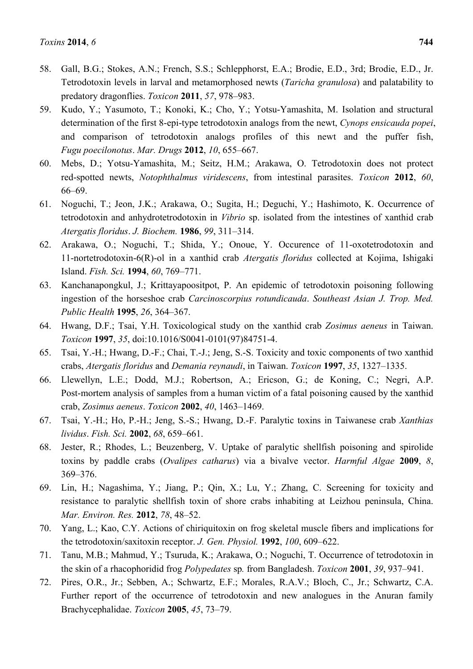- 58. Gall, B.G.; Stokes, A.N.; French, S.S.; Schlepphorst, E.A.; Brodie, E.D., 3rd; Brodie, E.D., Jr. Tetrodotoxin levels in larval and metamorphosed newts (*Taricha granulosa*) and palatability to predatory dragonflies. *Toxicon* **2011**, *57*, 978–983.
- 59. Kudo, Y.; Yasumoto, T.; Konoki, K.; Cho, Y.; Yotsu-Yamashita, M. Isolation and structural determination of the first 8-epi-type tetrodotoxin analogs from the newt, *Cynops ensicauda popei*, and comparison of tetrodotoxin analogs profiles of this newt and the puffer fish, *Fugu poecilonotus*. *Mar. Drugs* **2012**, *10*, 655–667.
- 60. Mebs, D.; Yotsu-Yamashita, M.; Seitz, H.M.; Arakawa, O. Tetrodotoxin does not protect red-spotted newts, *Notophthalmus viridescens*, from intestinal parasites. *Toxicon* **2012**, *60*, 66–69.
- 61. Noguchi, T.; Jeon, J.K.; Arakawa, O.; Sugita, H.; Deguchi, Y.; Hashimoto, K. Occurrence of tetrodotoxin and anhydrotetrodotoxin in *Vibrio* sp. isolated from the intestines of xanthid crab *Atergatis floridus*. *J. Biochem.* **1986**, *99*, 311–314.
- 62. Arakawa, O.; Noguchi, T.; Shida, Y.; Onoue, Y. Occurence of 11-oxotetrodotoxin and 11-nortetrodotoxin-6(R)-ol in a xanthid crab *Atergatis floridus* collected at Kojima, Ishigaki Island. *Fish. Sci.* **1994**, *60*, 769–771.
- 63. Kanchanapongkul, J.; Krittayapoositpot, P. An epidemic of tetrodotoxin poisoning following ingestion of the horseshoe crab *Carcinoscorpius rotundicauda*. *Southeast Asian J. Trop. Med. Public Health* **1995**, *26*, 364–367.
- 64. Hwang, D.F.; Tsai, Y.H. Toxicological study on the xanthid crab *Zosimus aeneus* in Taiwan. *Toxicon* **1997**, *35*, doi:10.1016/S0041-0101(97)84751-4.
- 65. Tsai, Y.-H.; Hwang, D.-F.; Chai, T.-J.; Jeng, S.-S. Toxicity and toxic components of two xanthid crabs, *Atergatis floridus* and *Demania reynaudi*, in Taiwan. *Toxicon* **1997**, *35*, 1327–1335.
- 66. Llewellyn, L.E.; Dodd, M.J.; Robertson, A.; Ericson, G.; de Koning, C.; Negri, A.P. Post-mortem analysis of samples from a human victim of a fatal poisoning caused by the xanthid crab, *Zosimus aeneus*. *Toxicon* **2002**, *40*, 1463–1469.
- 67. Tsai, Y.-H.; Ho, P.-H.; Jeng, S.-S.; Hwang, D.-F. Paralytic toxins in Taiwanese crab *Xanthias lividus*. *Fish. Sci.* **2002**, *68*, 659–661.
- 68. Jester, R.; Rhodes, L.; Beuzenberg, V. Uptake of paralytic shellfish poisoning and spirolide toxins by paddle crabs (*Ovalipes catharus*) via a bivalve vector. *Harmful Algae* **2009**, *8*, 369–376.
- 69. Lin, H.; Nagashima, Y.; Jiang, P.; Qin, X.; Lu, Y.; Zhang, C. Screening for toxicity and resistance to paralytic shellfish toxin of shore crabs inhabiting at Leizhou peninsula, China. *Mar. Environ. Res.* **2012**, *78*, 48–52.
- 70. Yang, L.; Kao, C.Y. Actions of chiriquitoxin on frog skeletal muscle fibers and implications for the tetrodotoxin/saxitoxin receptor. *J. Gen. Physiol.* **1992**, *100*, 609–622.
- 71. Tanu, M.B.; Mahmud, Y.; Tsuruda, K.; Arakawa, O.; Noguchi, T. Occurrence of tetrodotoxin in the skin of a rhacophoridid frog *Polypedates* sp*.* from Bangladesh. *Toxicon* **2001**, *39*, 937–941.
- 72. Pires, O.R., Jr.; Sebben, A.; Schwartz, E.F.; Morales, R.A.V.; Bloch, C., Jr.; Schwartz, C.A. Further report of the occurrence of tetrodotoxin and new analogues in the Anuran family Brachycephalidae. *Toxicon* **2005**, *45*, 73–79.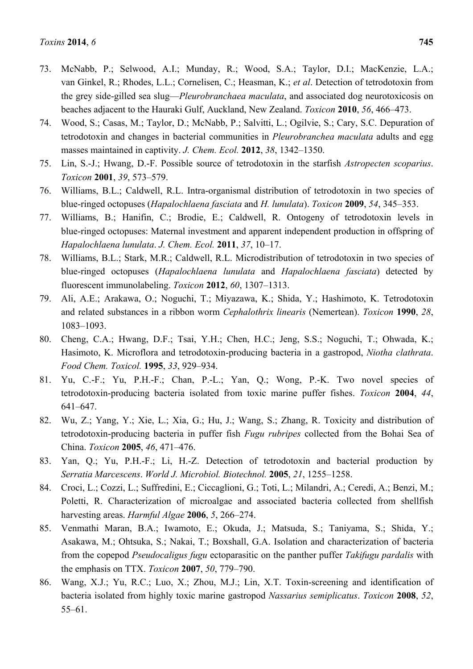- 73. McNabb, P.; Selwood, A.I.; Munday, R.; Wood, S.A.; Taylor, D.I.; MacKenzie, L.A.; van Ginkel, R.; Rhodes, L.L.; Cornelisen, C.; Heasman, K.; *et al*. Detection of tetrodotoxin from the grey side-gilled sea slug—*Pleurobranchaea maculata*, and associated dog neurotoxicosis on beaches adjacent to the Hauraki Gulf, Auckland, New Zealand. *Toxicon* **2010**, *56*, 466–473.
- 74. Wood, S.; Casas, M.; Taylor, D.; McNabb, P.; Salvitti, L.; Ogilvie, S.; Cary, S.C. Depuration of tetrodotoxin and changes in bacterial communities in *Pleurobranchea maculata* adults and egg masses maintained in captivity. *J. Chem. Ecol.* **2012**, *38*, 1342–1350.
- 75. Lin, S.-J.; Hwang, D.-F. Possible source of tetrodotoxin in the starfish *Astropecten scoparius*. *Toxicon* **2001**, *39*, 573–579.
- 76. Williams, B.L.; Caldwell, R.L. Intra-organismal distribution of tetrodotoxin in two species of blue-ringed octopuses (*Hapalochlaena fasciata* and *H. lunulata*). *Toxicon* **2009**, *54*, 345–353.
- 77. Williams, B.; Hanifin, C.; Brodie, E.; Caldwell, R. Ontogeny of tetrodotoxin levels in blue-ringed octopuses: Maternal investment and apparent independent production in offspring of *Hapalochlaena lunulata*. *J. Chem. Ecol.* **2011**, *37*, 10–17.
- 78. Williams, B.L.; Stark, M.R.; Caldwell, R.L. Microdistribution of tetrodotoxin in two species of blue-ringed octopuses (*Hapalochlaena lunulata* and *Hapalochlaena fasciata*) detected by fluorescent immunolabeling. *Toxicon* **2012**, *60*, 1307–1313.
- 79. Ali, A.E.; Arakawa, O.; Noguchi, T.; Miyazawa, K.; Shida, Y.; Hashimoto, K. Tetrodotoxin and related substances in a ribbon worm *Cephalothrix linearis* (Nemertean). *Toxicon* **1990**, *28*, 1083–1093.
- 80. Cheng, C.A.; Hwang, D.F.; Tsai, Y.H.; Chen, H.C.; Jeng, S.S.; Noguchi, T.; Ohwada, K.; Hasimoto, K. Microflora and tetrodotoxin-producing bacteria in a gastropod, *Niotha clathrata*. *Food Chem. Toxicol.* **1995**, *33*, 929–934.
- 81. Yu, C.-F.; Yu, P.H.-F.; Chan, P.-L.; Yan, Q.; Wong, P.-K. Two novel species of tetrodotoxin-producing bacteria isolated from toxic marine puffer fishes. *Toxicon* **2004**, *44*, 641–647.
- 82. Wu, Z.; Yang, Y.; Xie, L.; Xia, G.; Hu, J.; Wang, S.; Zhang, R. Toxicity and distribution of tetrodotoxin-producing bacteria in puffer fish *Fugu rubripes* collected from the Bohai Sea of China. *Toxicon* **2005**, *46*, 471–476.
- 83. Yan, Q.; Yu, P.H.-F.; Li, H.-Z. Detection of tetrodotoxin and bacterial production by *Serratia Marcescens*. *World J. Microbiol. Biotechnol.* **2005**, *21*, 1255–1258.
- 84. Croci, L.; Cozzi, L.; Suffredini, E.; Ciccaglioni, G.; Toti, L.; Milandri, A.; Ceredi, A.; Benzi, M.; Poletti, R. Characterization of microalgae and associated bacteria collected from shellfish harvesting areas. *Harmful Algae* **2006**, *5*, 266–274.
- 85. Venmathi Maran, B.A.; Iwamoto, E.; Okuda, J.; Matsuda, S.; Taniyama, S.; Shida, Y.; Asakawa, M.; Ohtsuka, S.; Nakai, T.; Boxshall, G.A. Isolation and characterization of bacteria from the copepod *Pseudocaligus fugu* ectoparasitic on the panther puffer *Takifugu pardalis* with the emphasis on TTX. *Toxicon* **2007**, *50*, 779–790.
- 86. Wang, X.J.; Yu, R.C.; Luo, X.; Zhou, M.J.; Lin, X.T. Toxin-screening and identification of bacteria isolated from highly toxic marine gastropod *Nassarius semiplicatus*. *Toxicon* **2008**, *52*, 55–61.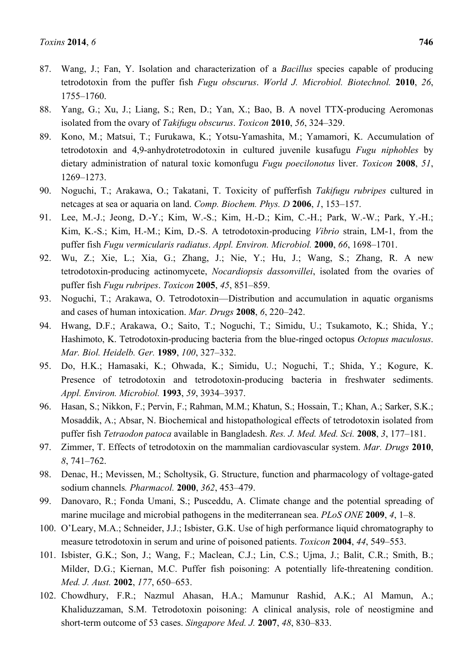- 87. Wang, J.; Fan, Y. Isolation and characterization of a *Bacillus* species capable of producing tetrodotoxin from the puffer fish *Fugu obscurus*. *World J. Microbiol. Biotechnol.* **2010**, *26*, 1755–1760.
- 88. Yang, G.; Xu, J.; Liang, S.; Ren, D.; Yan, X.; Bao, B. A novel TTX-producing Aeromonas isolated from the ovary of *Takifugu obscurus*. *Toxicon* **2010**, *56*, 324–329.
- 89. Kono, M.; Matsui, T.; Furukawa, K.; Yotsu-Yamashita, M.; Yamamori, K. Accumulation of tetrodotoxin and 4,9-anhydrotetrodotoxin in cultured juvenile kusafugu *Fugu niphobles* by dietary administration of natural toxic komonfugu *Fugu poecilonotus* liver. *Toxicon* **2008**, *51*, 1269–1273.
- 90. Noguchi, T.; Arakawa, O.; Takatani, T. Toxicity of pufferfish *Takifugu rubripes* cultured in netcages at sea or aquaria on land. *Comp. Biochem. Phys. D* **2006**, *1*, 153–157.
- 91. Lee, M.-J.; Jeong, D.-Y.; Kim, W.-S.; Kim, H.-D.; Kim, C.-H.; Park, W.-W.; Park, Y.-H.; Kim, K.-S.; Kim, H.-M.; Kim, D.-S. A tetrodotoxin-producing *Vibrio* strain, LM-1, from the puffer fish *Fugu vermicularis radiatus*. *Appl. Environ. Microbiol.* **2000**, *66*, 1698–1701.
- 92. Wu, Z.; Xie, L.; Xia, G.; Zhang, J.; Nie, Y.; Hu, J.; Wang, S.; Zhang, R. A new tetrodotoxin-producing actinomycete, *Nocardiopsis dassonvillei*, isolated from the ovaries of puffer fish *Fugu rubripes*. *Toxicon* **2005**, *45*, 851–859.
- 93. Noguchi, T.; Arakawa, O. Tetrodotoxin—Distribution and accumulation in aquatic organisms and cases of human intoxication. *Mar. Drugs* **2008**, *6*, 220–242.
- 94. Hwang, D.F.; Arakawa, O.; Saito, T.; Noguchi, T.; Simidu, U.; Tsukamoto, K.; Shida, Y.; Hashimoto, K. Tetrodotoxin-producing bacteria from the blue-ringed octopus *Octopus maculosus*. *Mar. Biol. Heidelb. Ger.* **1989**, *100*, 327–332.
- 95. Do, H.K.; Hamasaki, K.; Ohwada, K.; Simidu, U.; Noguchi, T.; Shida, Y.; Kogure, K. Presence of tetrodotoxin and tetrodotoxin-producing bacteria in freshwater sediments. *Appl. Environ. Microbiol.* **1993**, *59*, 3934–3937.
- 96. Hasan, S.; Nikkon, F.; Pervin, F.; Rahman, M.M.; Khatun, S.; Hossain, T.; Khan, A.; Sarker, S.K.; Mosaddik, A.; Absar, N. Biochemical and histopathological effects of tetrodotoxin isolated from puffer fish *Tetraodon patoca* available in Bangladesh. *Res. J. Med. Med. Sci.* **2008**, *3*, 177–181.
- 97. Zimmer, T. Effects of tetrodotoxin on the mammalian cardiovascular system. *Mar. Drugs* **2010**, *8*, 741–762.
- 98. Denac, H.; Mevissen, M.; Scholtysik, G. Structure, function and pharmacology of voltage-gated sodium channels*. Pharmacol.* **2000**, *362*, 453–479.
- 99. Danovaro, R.; Fonda Umani, S.; Pusceddu, A. Climate change and the potential spreading of marine mucilage and microbial pathogens in the mediterranean sea. *PLoS ONE* **2009**, *4*, 1–8.
- 100. O'Leary, M.A.; Schneider, J.J.; Isbister, G.K. Use of high performance liquid chromatography to measure tetrodotoxin in serum and urine of poisoned patients. *Toxicon* **2004**, *44*, 549–553.
- 101. Isbister, G.K.; Son, J.; Wang, F.; Maclean, C.J.; Lin, C.S.; Ujma, J.; Balit, C.R.; Smith, B.; Milder, D.G.; Kiernan, M.C. Puffer fish poisoning: A potentially life-threatening condition. *Med. J. Aust.* **2002**, *177*, 650–653.
- 102. Chowdhury, F.R.; Nazmul Ahasan, H.A.; Mamunur Rashid, A.K.; Al Mamun, A.; Khaliduzzaman, S.M. Tetrodotoxin poisoning: A clinical analysis, role of neostigmine and short-term outcome of 53 cases. *Singapore Med. J.* **2007**, *48*, 830–833.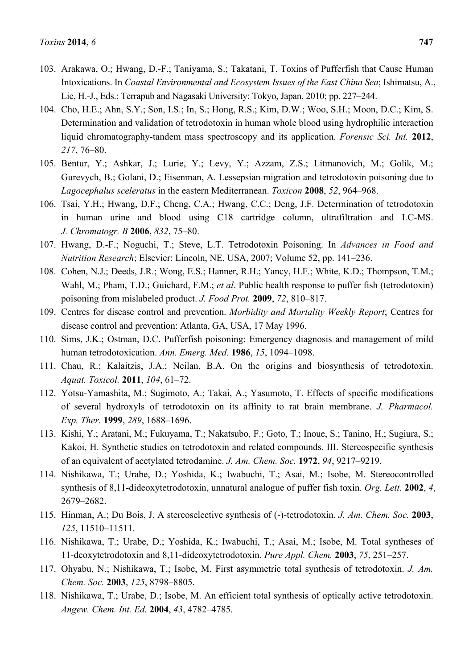- 103. Arakawa, O.; Hwang, D.-F.; Taniyama, S.; Takatani, T. Toxins of Pufferfish that Cause Human Intoxications. In *Coastal Environmental and Ecosystem Issues of the East China Sea*; Ishimatsu, A., Lie, H.-J., Eds.; Terrapub and Nagasaki University: Tokyo, Japan, 2010; pp. 227–244.
- 104. Cho, H.E.; Ahn, S.Y.; Son, I.S.; In, S.; Hong, R.S.; Kim, D.W.; Woo, S.H.; Moon, D.C.; Kim, S. Determination and validation of tetrodotoxin in human whole blood using hydrophilic interaction liquid chromatography-tandem mass spectroscopy and its application. *Forensic Sci. Int.* **2012**, *217*, 76–80.
- 105. Bentur, Y.; Ashkar, J.; Lurie, Y.; Levy, Y.; Azzam, Z.S.; Litmanovich, M.; Golik, M.; Gurevych, B.; Golani, D.; Eisenman, A. Lessepsian migration and tetrodotoxin poisoning due to *Lagocephalus sceleratus* in the eastern Mediterranean. *Toxicon* **2008**, *52*, 964–968.
- 106. Tsai, Y.H.; Hwang, D.F.; Cheng, C.A.; Hwang, C.C.; Deng, J.F. Determination of tetrodotoxin in human urine and blood using C18 cartridge column, ultrafiltration and LC-MS. *J. Chromatogr. B* **2006**, *832*, 75–80.
- 107. Hwang, D.-F.; Noguchi, T.; Steve, L.T. Tetrodotoxin Poisoning. In *Advances in Food and Nutrition Research*; Elsevier: Lincoln, NE, USA, 2007; Volume 52, pp. 141–236.
- 108. Cohen, N.J.; Deeds, J.R.; Wong, E.S.; Hanner, R.H.; Yancy, H.F.; White, K.D.; Thompson, T.M.; Wahl, M.; Pham, T.D.; Guichard, F.M.; *et al*. Public health response to puffer fish (tetrodotoxin) poisoning from mislabeled product. *J. Food Prot.* **2009**, *72*, 810–817.
- 109. Centres for disease control and prevention. *Morbidity and Mortality Weekly Report*; Centres for disease control and prevention: Atlanta, GA, USA, 17 May 1996.
- 110. Sims, J.K.; Ostman, D.C. Pufferfish poisoning: Emergency diagnosis and management of mild human tetrodotoxication. *Ann. Emerg. Med.* **1986**, *15*, 1094–1098.
- 111. Chau, R.; Kalaitzis, J.A.; Neilan, B.A. On the origins and biosynthesis of tetrodotoxin. *Aquat. Toxicol.* **2011**, *104*, 61–72.
- 112. Yotsu-Yamashita, M.; Sugimoto, A.; Takai, A.; Yasumoto, T. Effects of specific modifications of several hydroxyls of tetrodotoxin on its affinity to rat brain membrane. *J. Pharmacol. Exp. Ther.* **1999**, *289*, 1688–1696.
- 113. Kishi, Y.; Aratani, M.; Fukuyama, T.; Nakatsubo, F.; Goto, T.; Inoue, S.; Tanino, H.; Sugiura, S.; Kakoi, H. Synthetic studies on tetrodotoxin and related compounds. III. Stereospecific synthesis of an equivalent of acetylated tetrodamine. *J. Am. Chem. Soc.* **1972**, *94*, 9217–9219.
- 114. Nishikawa, T.; Urabe, D.; Yoshida, K.; Iwabuchi, T.; Asai, M.; Isobe, M. Stereocontrolled synthesis of 8,11-dideoxytetrodotoxin, unnatural analogue of puffer fish toxin. *Org. Lett.* **2002**, *4*, 2679–2682.
- 115. Hinman, A.; Du Bois, J. A stereoselective synthesis of (-)-tetrodotoxin. *J. Am. Chem. Soc.* **2003**, *125*, 11510–11511.
- 116. Nishikawa, T.; Urabe, D.; Yoshida, K.; Iwabuchi, T.; Asai, M.; Isobe, M. Total syntheses of 11-deoxytetrodotoxin and 8,11-dideoxytetrodotoxin. *Pure Appl. Chem.* **2003**, *75*, 251–257.
- 117. Ohyabu, N.; Nishikawa, T.; Isobe, M. First asymmetric total synthesis of tetrodotoxin. *J. Am. Chem. Soc.* **2003**, *125*, 8798–8805.
- 118. Nishikawa, T.; Urabe, D.; Isobe, M. An efficient total synthesis of optically active tetrodotoxin. *Angew. Chem. Int. Ed.* **2004**, *43*, 4782–4785.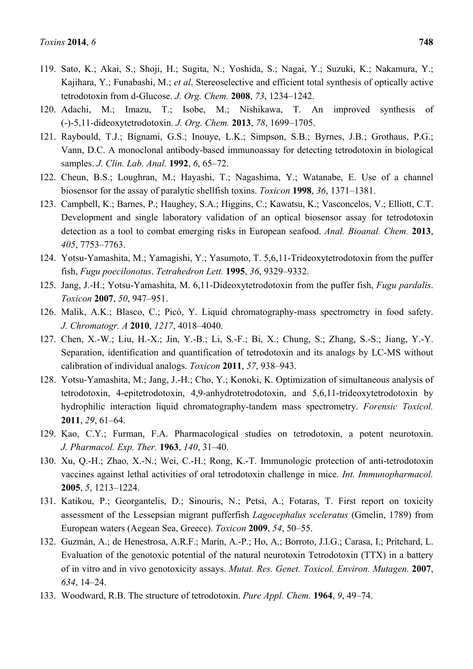- 119. Sato, K.; Akai, S.; Shoji, H.; Sugita, N.; Yoshida, S.; Nagai, Y.; Suzuki, K.; Nakamura, Y.; Kajihara, Y.; Funabashi, M.; *et al*. Stereoselective and efficient total synthesis of optically active tetrodotoxin from d-Glucose. *J. Org. Chem.* **2008**, *73*, 1234–1242.
- 120. Adachi, M.; Imazu, T.; Isobe, M.; Nishikawa, T. An improved synthesis of (-)-5,11-dideoxytetrodotoxin. *J. Org. Chem.* **2013**, *78*, 1699–1705.
- 121. Raybould, T.J.; Bignami, G.S.; Inouye, L.K.; Simpson, S.B.; Byrnes, J.B.; Grothaus, P.G.; Vann, D.C. A monoclonal antibody-based immunoassay for detecting tetrodotoxin in biological samples. *J. Clin. Lab. Anal.* **1992**, *6*, 65–72.
- 122. Cheun, B.S.; Loughran, M.; Hayashi, T.; Nagashima, Y.; Watanabe, E. Use of a channel biosensor for the assay of paralytic shellfish toxins. *Toxicon* **1998**, *36*, 1371–1381.
- 123. Campbell, K.; Barnes, P.; Haughey, S.A.; Higgins, C.; Kawatsu, K.; Vasconcelos, V.; Elliott, C.T. Development and single laboratory validation of an optical biosensor assay for tetrodotoxin detection as a tool to combat emerging risks in European seafood. *Anal. Bioanal. Chem.* **2013**, *405*, 7753–7763.
- 124. Yotsu-Yamashita, M.; Yamagishi, Y.; Yasumoto, T. 5,6,11-Trideoxytetrodotoxin from the puffer fish, *Fugu poecilonotus*. *Tetrahedron Lett.* **1995**, *36*, 9329–9332.
- 125. Jang, J.-H.; Yotsu-Yamashita, M. 6,11-Dideoxytetrodotoxin from the puffer fish, *Fugu pardalis*. *Toxicon* **2007**, *50*, 947–951.
- 126. Malik, A.K.; Blasco, C.; Picó, Y. Liquid chromatography-mass spectrometry in food safety. *J. Chromatogr. A* **2010**, *1217*, 4018–4040.
- 127. Chen, X.-W.; Liu, H.-X.; Jin, Y.-B.; Li, S.-F.; Bi, X.; Chung, S.; Zhang, S.-S.; Jiang, Y.-Y. Separation, identification and quantification of tetrodotoxin and its analogs by LC-MS without calibration of individual analogs. *Toxicon* **2011**, *57*, 938–943.
- 128. Yotsu-Yamashita, M.; Jang, J.-H.; Cho, Y.; Konoki, K. Optimization of simultaneous analysis of tetrodotoxin, 4-epitetrodotoxin, 4,9-anhydrotetrodotoxin, and 5,6,11-trideoxytetrodotoxin by hydrophilic interaction liquid chromatography-tandem mass spectrometry. *Forensic Toxicol.*  **2011**, *29*, 61–64.
- 129. Kao, C.Y.; Furman, F.A. Pharmacological studies on tetrodotoxin, a potent neurotoxin. *J. Pharmacol. Exp. Ther.* **1963**, *140*, 31–40.
- 130. Xu, Q.-H.; Zhao, X.-N.; Wei, C.-H.; Rong, K.-T. Immunologic protection of anti-tetrodotoxin vaccines against lethal activities of oral tetrodotoxin challenge in mice. *Int. Immunopharmacol.*  **2005**, *5*, 1213–1224.
- 131. Katikou, P.; Georgantelis, D.; Sinouris, N.; Petsi, A.; Fotaras, T. First report on toxicity assessment of the Lessepsian migrant pufferfish *Lagocephalus sceleratus* (Gmelin, 1789) from European waters (Aegean Sea, Greece). *Toxicon* **2009**, *54*, 50–55.
- 132. Guzmán, A.; de Henestrosa, A.R.F.; Marín, A.-P.; Ho, A.; Borroto, J.I.G.; Carasa, I.; Pritchard, L. Evaluation of the genotoxic potential of the natural neurotoxin Tetrodotoxin (TTX) in a battery of in vitro and in vivo genotoxicity assays. *Mutat. Res. Genet. Toxicol. Environ. Mutagen.* **2007**, *634*, 14–24.
- 133. Woodward, R.B. The structure of tetrodotoxin. *Pure Appl. Chem.* **1964**, *9*, 49–74.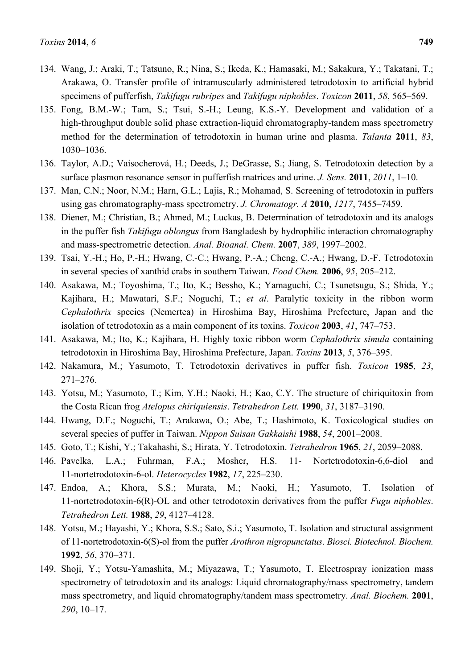- 134. Wang, J.; Araki, T.; Tatsuno, R.; Nina, S.; Ikeda, K.; Hamasaki, M.; Sakakura, Y.; Takatani, T.; Arakawa, O. Transfer profile of intramuscularly administered tetrodotoxin to artificial hybrid specimens of pufferfish, *Takifugu rubripes* and *Takifugu niphobles*. *Toxicon* **2011**, *58*, 565–569.
- 135. Fong, B.M.-W.; Tam, S.; Tsui, S.-H.; Leung, K.S.-Y. Development and validation of a high-throughput double solid phase extraction-liquid chromatography-tandem mass spectrometry method for the determination of tetrodotoxin in human urine and plasma. *Talanta* **2011**, *83*, 1030–1036.
- 136. Taylor, A.D.; Vaisocherová, H.; Deeds, J.; DeGrasse, S.; Jiang, S. Tetrodotoxin detection by a surface plasmon resonance sensor in pufferfish matrices and urine. *J. Sens.* **2011**, *2011*, 1–10.
- 137. Man, C.N.; Noor, N.M.; Harn, G.L.; Lajis, R.; Mohamad, S. Screening of tetrodotoxin in puffers using gas chromatography-mass spectrometry. *J. Chromatogr. A* **2010**, *1217*, 7455–7459.
- 138. Diener, M.; Christian, B.; Ahmed, M.; Luckas, B. Determination of tetrodotoxin and its analogs in the puffer fish *Takifugu oblongus* from Bangladesh by hydrophilic interaction chromatography and mass-spectrometric detection. *Anal. Bioanal. Chem.* **2007**, *389*, 1997–2002.
- 139. Tsai, Y.-H.; Ho, P.-H.; Hwang, C.-C.; Hwang, P.-A.; Cheng, C.-A.; Hwang, D.-F. Tetrodotoxin in several species of xanthid crabs in southern Taiwan. *Food Chem.* **2006**, *95*, 205–212.
- 140. Asakawa, M.; Toyoshima, T.; Ito, K.; Bessho, K.; Yamaguchi, C.; Tsunetsugu, S.; Shida, Y.; Kajihara, H.; Mawatari, S.F.; Noguchi, T.; *et al*. Paralytic toxicity in the ribbon worm *Cephalothrix* species (Nemertea) in Hiroshima Bay, Hiroshima Prefecture, Japan and the isolation of tetrodotoxin as a main component of its toxins. *Toxicon* **2003**, *41*, 747–753.
- 141. Asakawa, M.; Ito, K.; Kajihara, H. Highly toxic ribbon worm *Cephalothrix simula* containing tetrodotoxin in Hiroshima Bay, Hiroshima Prefecture, Japan. *Toxins* **2013**, *5*, 376–395.
- 142. Nakamura, M.; Yasumoto, T. Tetrodotoxin derivatives in puffer fish. *Toxicon* **1985**, *23*, 271–276.
- 143. Yotsu, M.; Yasumoto, T.; Kim, Y.H.; Naoki, H.; Kao, C.Y. The structure of chiriquitoxin from the Costa Rican frog *Atelopus chiriquiensis*. *Tetrahedron Lett.* **1990**, *31*, 3187–3190.
- 144. Hwang, D.F.; Noguchi, T.; Arakawa, O.; Abe, T.; Hashimoto, K. Toxicological studies on several species of puffer in Taiwan. *Nippon Suisan Gakkaishi* **1988**, *54*, 2001–2008.
- 145. Goto, T.; Kishi, Y.; Takahashi, S.; Hirata, Y. Tetrodotoxin. *Tetrahedron* **1965**, *21*, 2059–2088.
- 146. Pavelka, L.A.; Fuhrman, F.A.; Mosher, H.S. 11- Nortetrodotoxin-6,6-diol and 11-nortetrodotoxin-6-ol. *Heterocycles* **1982**, *17*, 225–230.
- 147. Endoa, A.; Khora, S.S.; Murata, M.; Naoki, H.; Yasumoto, T. Isolation of 11-nortetrodotoxin-6(R)-OL and other tetrodotoxin derivatives from the puffer *Fugu niphobles*. *Tetrahedron Lett.* **1988**, *29*, 4127–4128.
- 148. Yotsu, M.; Hayashi, Y.; Khora, S.S.; Sato, S.i.; Yasumoto, T. Isolation and structural assignment of 11-nortetrodotoxin-6(S)-ol from the puffer *Arothron nigropunctatus*. *Biosci. Biotechnol. Biochem.*  **1992**, *56*, 370–371.
- 149. Shoji, Y.; Yotsu-Yamashita, M.; Miyazawa, T.; Yasumoto, T. Electrospray ionization mass spectrometry of tetrodotoxin and its analogs: Liquid chromatography/mass spectrometry, tandem mass spectrometry, and liquid chromatography/tandem mass spectrometry. *Anal. Biochem.* **2001**, *290*, 10–17.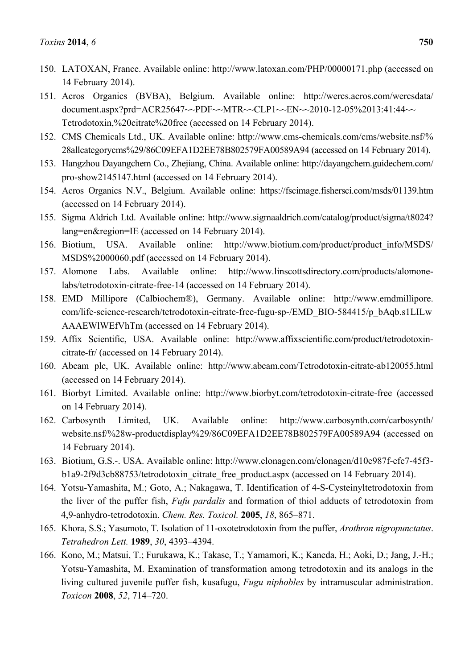- 150. LATOXAN, France. Available online: http://www.latoxan.com/PHP/00000171.php (accessed on 14 February 2014).
- 151. Acros Organics (BVBA), Belgium. Available online: http://wercs.acros.com/wercsdata/ document.aspx?prd=ACR25647~~PDF~~MTR~~CLP1~~EN~~2010-12-05%2013:41:44~~ Tetrodotoxin,%20citrate%20free (accessed on 14 February 2014).
- 152. CMS Chemicals Ltd., UK. Available online: http://www.cms-chemicals.com/cms/website.nsf/% 28allcategorycms%29/86C09EFA1D2EE78B802579FA00589A94 (accessed on 14 February 2014).
- 153. Hangzhou Dayangchem Co., Zhejiang, China. Available online: http://dayangchem.guidechem.com/ pro-show2145147.html (accessed on 14 February 2014).
- 154. Acros Organics N.V., Belgium. Available online: https://fscimage.fishersci.com/msds/01139.htm (accessed on 14 February 2014).
- 155. Sigma Aldrich Ltd. Available online: http://www.sigmaaldrich.com/catalog/product/sigma/t8024? lang=en&region=IE (accessed on 14 February 2014).
- 156. Biotium, USA. Available online: http://www.biotium.com/product/product\_info/MSDS/ MSDS%2000060.pdf (accessed on 14 February 2014).
- 157. Alomone Labs. Available online: http://www.linscottsdirectory.com/products/alomonelabs/tetrodotoxin-citrate-free-14 (accessed on 14 February 2014).
- 158. EMD Millipore (Calbiochem®), Germany. Available online: http://www.emdmillipore. com/life-science-research/tetrodotoxin-citrate-free-fugu-sp-/EMD\_BIO-584415/p\_bAqb.s1LILw AAAEWlWEfVhTm (accessed on 14 February 2014).
- 159. Affix Scientific, USA. Available online: http://www.affixscientific.com/product/tetrodotoxincitrate-fr/ (accessed on 14 February 2014).
- 160. Abcam plc, UK. Available online: http://www.abcam.com/Tetrodotoxin-citrate-ab120055.html (accessed on 14 February 2014).
- 161. Biorbyt Limited. Available online: http://www.biorbyt.com/tetrodotoxin-citrate-free (accessed on 14 February 2014).
- 162. Carbosynth Limited, UK. Available online: http://www.carbosynth.com/carbosynth/ website.nsf/%28w-productdisplay%29/86C09EFA1D2EE78B802579FA00589A94 (accessed on 14 February 2014).
- 163. Biotium, G.S.-. USA. Available online: http://www.clonagen.com/clonagen/d10e987f-efe7-45f3 b1a9-2f9d3cb88753/tetrodotoxin\_citrate\_free\_product.aspx (accessed on 14 February 2014).
- 164. Yotsu-Yamashita, M.; Goto, A.; Nakagawa, T. Identification of 4-S-Cysteinyltetrodotoxin from the liver of the puffer fish, *Fufu pardalis* and formation of thiol adducts of tetrodotoxin from 4,9-anhydro-tetrodotoxin. *Chem. Res. Toxicol.* **2005**, *18*, 865–871.
- 165. Khora, S.S.; Yasumoto, T. Isolation of 11-oxotetrodotoxin from the puffer, *Arothron nigropunctatus*. *Tetrahedron Lett.* **1989**, *30*, 4393–4394.
- 166. Kono, M.; Matsui, T.; Furukawa, K.; Takase, T.; Yamamori, K.; Kaneda, H.; Aoki, D.; Jang, J.-H.; Yotsu-Yamashita, M. Examination of transformation among tetrodotoxin and its analogs in the living cultured juvenile puffer fish, kusafugu, *Fugu niphobles* by intramuscular administration. *Toxicon* **2008**, *52*, 714–720.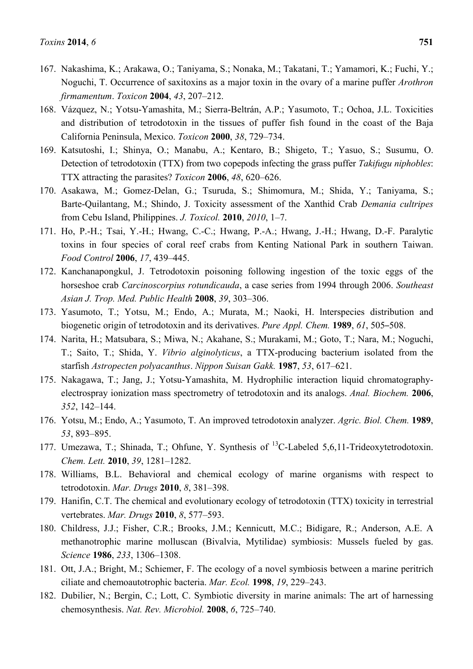- 167. Nakashima, K.; Arakawa, O.; Taniyama, S.; Nonaka, M.; Takatani, T.; Yamamori, K.; Fuchi, Y.; Noguchi, T. Occurrence of saxitoxins as a major toxin in the ovary of a marine puffer *Arothron firmamentum*. *Toxicon* **2004**, *43*, 207–212.
- 168. Vázquez, N.; Yotsu-Yamashita, M.; Sierra-Beltrán, A.P.; Yasumoto, T.; Ochoa, J.L. Toxicities and distribution of tetrodotoxin in the tissues of puffer fish found in the coast of the Baja California Peninsula, Mexico. *Toxicon* **2000**, *38*, 729–734.
- 169. Katsutoshi, I.; Shinya, O.; Manabu, A.; Kentaro, B.; Shigeto, T.; Yasuo, S.; Susumu, O. Detection of tetrodotoxin (TTX) from two copepods infecting the grass puffer *Takifugu niphobles*: TTX attracting the parasites? *Toxicon* **2006**, *48*, 620–626.
- 170. Asakawa, M.; Gomez-Delan, G.; Tsuruda, S.; Shimomura, M.; Shida, Y.; Taniyama, S.; Barte-Quilantang, M.; Shindo, J. Toxicity assessment of the Xanthid Crab *Demania cultripes* from Cebu Island, Philippines. *J. Toxicol.* **2010**, *2010*, 1–7.
- 171. Ho, P.-H.; Tsai, Y.-H.; Hwang, C.-C.; Hwang, P.-A.; Hwang, J.-H.; Hwang, D.-F. Paralytic toxins in four species of coral reef crabs from Kenting National Park in southern Taiwan. *Food Control* **2006**, *17*, 439–445.
- 172. Kanchanapongkul, J. Tetrodotoxin poisoning following ingestion of the toxic eggs of the horseshoe crab *Carcinoscorpius rotundicauda*, a case series from 1994 through 2006. *Southeast Asian J. Trop. Med. Public Health* **2008**, *39*, 303–306.
- 173. Yasumoto, T.; Yotsu, M.; Endo, A.; Murata, M.; Naoki, H. lnterspecies distribution and biogenetic origin of tetrodotoxin and its derivatives. *Pure Appl. Chem.* **1989**, *61*, 505–508.
- 174. Narita, H.; Matsubara, S.; Miwa, N.; Akahane, S.; Murakami, M.; Goto, T.; Nara, M.; Noguchi, T.; Saito, T.; Shida, Y. *Vibrio alginolyticus*, a TTX-producing bacterium isolated from the starfish *Astropecten polyacanthus*. *Nippon Suisan Gakk.* **1987**, *53*, 617–621.
- 175. Nakagawa, T.; Jang, J.; Yotsu-Yamashita, M. Hydrophilic interaction liquid chromatographyelectrospray ionization mass spectrometry of tetrodotoxin and its analogs. *Anal. Biochem.* **2006**, *352*, 142–144.
- 176. Yotsu, M.; Endo, A.; Yasumoto, T. An improved tetrodotoxin analyzer. *Agric. Biol. Chem.* **1989**, *53*, 893–895.
- 177. Umezawa, T.; Shinada, T.; Ohfune, Y. Synthesis of <sup>13</sup>C-Labeled 5,6,11-Trideoxytetrodotoxin. *Chem. Lett.* **2010**, *39*, 1281–1282.
- 178. Williams, B.L. Behavioral and chemical ecology of marine organisms with respect to tetrodotoxin. *Mar. Drugs* **2010**, *8*, 381–398.
- 179. Hanifin, C.T. The chemical and evolutionary ecology of tetrodotoxin (TTX) toxicity in terrestrial vertebrates. *Mar. Drugs* **2010**, *8*, 577–593.
- 180. Childress, J.J.; Fisher, C.R.; Brooks, J.M.; Kennicutt, M.C.; Bidigare, R.; Anderson, A.E. A methanotrophic marine molluscan (Bivalvia, Mytilidae) symbiosis: Mussels fueled by gas. *Science* **1986**, *233*, 1306–1308.
- 181. Ott, J.A.; Bright, M.; Schiemer, F. The ecology of a novel symbiosis between a marine peritrich ciliate and chemoautotrophic bacteria. *Mar. Ecol.* **1998**, *19*, 229–243.
- 182. Dubilier, N.; Bergin, C.; Lott, C. Symbiotic diversity in marine animals: The art of harnessing chemosynthesis. *Nat. Rev. Microbiol.* **2008**, *6*, 725–740.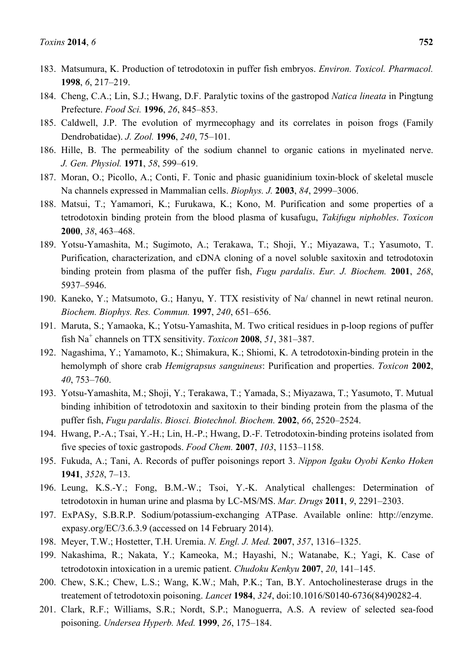- 183. Matsumura, K. Production of tetrodotoxin in puffer fish embryos. *Environ. Toxicol. Pharmacol.*  **1998**, *6*, 217–219.
- 184. Cheng, C.A.; Lin, S.J.; Hwang, D.F. Paralytic toxins of the gastropod *Natica lineata* in Pingtung Prefecture. *Food Sci.* **1996**, *26*, 845–853.
- 185. Caldwell, J.P. The evolution of myrmecophagy and its correlates in poison frogs (Family Dendrobatidae). *J. Zool.* **1996**, *240*, 75–101.
- 186. Hille, B. The permeability of the sodium channel to organic cations in myelinated nerve. *J. Gen. Physiol.* **1971**, *58*, 599–619.
- 187. Moran, O.; Picollo, A.; Conti, F. Tonic and phasic guanidinium toxin-block of skeletal muscle Na channels expressed in Mammalian cells. *Biophys. J.* **2003**, *84*, 2999–3006.
- 188. Matsui, T.; Yamamori, K.; Furukawa, K.; Kono, M. Purification and some properties of a tetrodotoxin binding protein from the blood plasma of kusafugu, *Takifugu niphobles*. *Toxicon*  **2000**, *38*, 463–468.
- 189. Yotsu-Yamashita, M.; Sugimoto, A.; Terakawa, T.; Shoji, Y.; Miyazawa, T.; Yasumoto, T. Purification, characterization, and cDNA cloning of a novel soluble saxitoxin and tetrodotoxin binding protein from plasma of the puffer fish, *Fugu pardalis*. *Eur. J. Biochem.* **2001**, *268*, 5937–5946.
- 190. Kaneko, Y.; Matsumoto, G.; Hanyu, Y. TTX resistivity of Na/ channel in newt retinal neuron. *Biochem. Biophys. Res. Commun.* **1997**, *240*, 651–656.
- 191. Maruta, S.; Yamaoka, K.; Yotsu-Yamashita, M. Two critical residues in p-loop regions of puffer fish Na<sup>+</sup> channels on TTX sensitivity. *Toxicon* **2008**, *51*, 381–387.
- 192. Nagashima, Y.; Yamamoto, K.; Shimakura, K.; Shiomi, K. A tetrodotoxin-binding protein in the hemolymph of shore crab *Hemigrapsus sanguineus*: Purification and properties. *Toxicon* **2002**, *40*, 753–760.
- 193. Yotsu-Yamashita, M.; Shoji, Y.; Terakawa, T.; Yamada, S.; Miyazawa, T.; Yasumoto, T. Mutual binding inhibition of tetrodotoxin and saxitoxin to their binding protein from the plasma of the puffer fish, *Fugu pardalis*. *Biosci. Biotechnol. Biochem.* **2002**, *66*, 2520–2524.
- 194. Hwang, P.-A.; Tsai, Y.-H.; Lin, H.-P.; Hwang, D.-F. Tetrodotoxin-binding proteins isolated from five species of toxic gastropods. *Food Chem.* **2007**, *103*, 1153–1158.
- 195. Fukuda, A.; Tani, A. Records of puffer poisonings report 3. *Nippon Igaku Oyobi Kenko Hoken*  **1941**, *3528*, 7–13.
- 196. Leung, K.S.-Y.; Fong, B.M.-W.; Tsoi, Y.-K. Analytical challenges: Determination of tetrodotoxin in human urine and plasma by LC-MS/MS. *Mar. Drugs* **2011**, *9*, 2291–2303.
- 197. ExPASy, S.B.R.P. Sodium/potassium-exchanging ATPase. Available online: http://enzyme. expasy.org/EC/3.6.3.9 (accessed on 14 February 2014).
- 198. Meyer, T.W.; Hostetter, T.H. Uremia. *N. Engl. J. Med.* **2007**, *357*, 1316–1325.
- 199. Nakashima, R.; Nakata, Y.; Kameoka, M.; Hayashi, N.; Watanabe, K.; Yagi, K. Case of tetrodotoxin intoxication in a uremic patient. *Chudoku Kenkyu* **2007**, *20*, 141–145.
- 200. Chew, S.K.; Chew, L.S.; Wang, K.W.; Mah, P.K.; Tan, B.Y. Antocholinesterase drugs in the treatement of tetrodotoxin poisoning. *Lancet* **1984**, *324*, doi:10.1016/S0140-6736(84)90282-4.
- 201. Clark, R.F.; Williams, S.R.; Nordt, S.P.; Manoguerra, A.S. A review of selected sea-food poisoning. *Undersea Hyperb. Med.* **1999**, *26*, 175–184.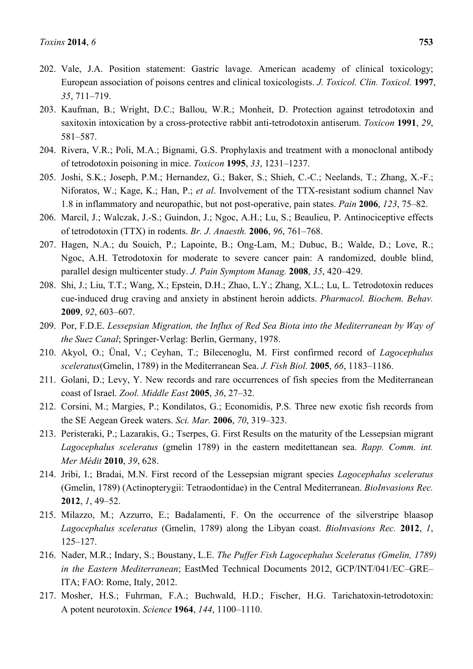- 202. Vale, J.A. Position statement: Gastric lavage. American academy of clinical toxicology; European association of poisons centres and clinical toxicologists. *J. Toxicol. Clin. Toxicol.* **1997**, *35*, 711–719.
- 203. Kaufman, B.; Wright, D.C.; Ballou, W.R.; Monheit, D. Protection against tetrodotoxin and saxitoxin intoxication by a cross-protective rabbit anti-tetrodotoxin antiserum. *Toxicon* **1991**, *29*, 581–587.
- 204. Rivera, V.R.; Poli, M.A.; Bignami, G.S. Prophylaxis and treatment with a monoclonal antibody of tetrodotoxin poisoning in mice. *Toxicon* **1995**, *33*, 1231–1237.
- 205. Joshi, S.K.; Joseph, P.M.; Hernandez, G.; Baker, S.; Shieh, C.-C.; Neelands, T.; Zhang, X.-F.; Niforatos, W.; Kage, K.; Han, P.; *et al*. Involvement of the TTX-resistant sodium channel Nav 1.8 in inflammatory and neuropathic, but not post-operative, pain states. *Pain* **2006**, *123*, 75–82.
- 206. Marcil, J.; Walczak, J.-S.; Guindon, J.; Ngoc, A.H.; Lu, S.; Beaulieu, P. Antinociceptive effects of tetrodotoxin (TTX) in rodents. *Br. J. Anaesth.* **2006**, *96*, 761–768.
- 207. Hagen, N.A.; du Souich, P.; Lapointe, B.; Ong-Lam, M.; Dubuc, B.; Walde, D.; Love, R.; Ngoc, A.H. Tetrodotoxin for moderate to severe cancer pain: A randomized, double blind, parallel design multicenter study. *J. Pain Symptom Manag.* **2008**, *35*, 420–429.
- 208. Shi, J.; Liu, T.T.; Wang, X.; Epstein, D.H.; Zhao, L.Y.; Zhang, X.L.; Lu, L. Tetrodotoxin reduces cue-induced drug craving and anxiety in abstinent heroin addicts. *Pharmacol. Biochem. Behav.*  **2009**, *92*, 603–607.
- 209. Por, F.D.E. *Lessepsian Migration, the Influx of Red Sea Biota into the Mediterranean by Way of the Suez Canal*; Springer-Verlag: Berlin, Germany, 1978.
- 210. Akyol, O.; Ünal, V.; Ceyhan, T.; Bilecenoglu, M. First confirmed record of *Lagocephalus sceleratus*(Gmelin, 1789) in the Mediterranean Sea. *J. Fish Biol.* **2005**, *66*, 1183–1186.
- 211. Golani, D.; Levy, Y. New records and rare occurrences of fish species from the Mediterranean coast of Israel. *Zool. Middle East* **2005**, *36*, 27–32.
- 212. Corsini, M.; Margies, P.; Kondilatos, G.; Economidis, P.S. Three new exotic fish records from the SE Aegean Greek waters. *Sci. Mar.* **2006**, *70*, 319–323.
- 213. Peristeraki, P.; Lazarakis, G.; Tserpes, G. First Results on the maturity of the Lessepsian migrant *Lagocephalus sceleratus* (gmelin 1789) in the eastern meditettanean sea. *Rapp. Comm. int. Mer Médit* **2010**, *39*, 628.
- 214. Jribi, I.; Bradai, M.N. First record of the Lessepsian migrant species *Lagocephalus sceleratus*  (Gmelin, 1789) (Actinopterygii: Tetraodontidae) in the Central Mediterranean. *BioInvasions Rec.*  **2012**, *1*, 49–52.
- 215. Milazzo, M.; Azzurro, E.; Badalamenti, F. On the occurrence of the silverstripe blaasop *Lagocephalus sceleratus* (Gmelin, 1789) along the Libyan coast. *BioInvasions Rec.* **2012**, *1*, 125–127.
- 216. Nader, M.R.; Indary, S.; Boustany, L.E. *The Puffer Fish Lagocephalus Sceleratus (Gmelin, 1789) in the Eastern Mediterranean*; EastMed Technical Documents 2012, GCP/INT/041/EC–GRE– ITA; FAO: Rome, Italy, 2012.
- 217. Mosher, H.S.; Fuhrman, F.A.; Buchwald, H.D.; Fischer, H.G. Tarichatoxin-tetrodotoxin: A potent neurotoxin. *Science* **1964**, *144*, 1100–1110.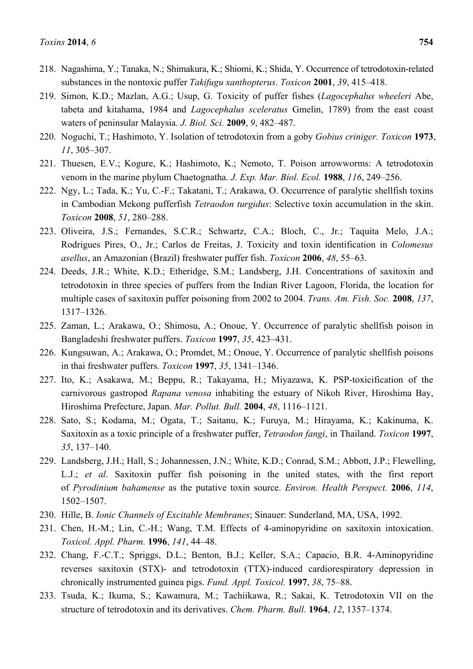- 218. Nagashima, Y.; Tanaka, N.; Shimakura, K.; Shiomi, K.; Shida, Y. Occurrence of tetrodotoxin-related substances in the nontoxic puffer *Takifugu xanthopterus*. *Toxicon* **2001**, *39*, 415–418.
- 219. Simon, K.D.; Mazlan, A.G.; Usup, G. Toxicity of puffer fishes (*Lagocephalus wheeleri* Abe, tabeta and kitahama, 1984 and *Lagocephalus sceleratus* Gmelin, 1789) from the east coast waters of peninsular Malaysia. *J. Biol. Sci.* **2009**, *9*, 482–487.
- 220. Noguchi, T.; Hashimoto, Y. Isolation of tetrodotoxin from a goby *Gobius criniger. Toxicon* **1973**, *11*, 305–307.
- 221. Thuesen, E.V.; Kogure, K.; Hashimoto, K.; Nemoto, T. Poison arrowworms: A tetrodotoxin venom in the marine phylum Chaetognatha. *J. Exp. Mar. Biol. Ecol.* **1988**, *116*, 249–256.
- 222. Ngy, L.; Tada, K.; Yu, C.-F.; Takatani, T.; Arakawa, O. Occurrence of paralytic shellfish toxins in Cambodian Mekong pufferfish *Tetraodon turgidus*: Selective toxin accumulation in the skin. *Toxicon* **2008**, *51*, 280–288.
- 223. Oliveira, J.S.; Fernandes, S.C.R.; Schwartz, C.A.; Bloch, C., Jr.; Taquita Melo, J.A.; Rodrigues Pires, O., Jr.; Carlos de Freitas, J. Toxicity and toxin identification in *Colomesus asellus*, an Amazonian (Brazil) freshwater puffer fish. *Toxicon* **2006**, *48*, 55–63.
- 224. Deeds, J.R.; White, K.D.; Etheridge, S.M.; Landsberg, J.H. Concentrations of saxitoxin and tetrodotoxin in three species of puffers from the Indian River Lagoon, Florida, the location for multiple cases of saxitoxin puffer poisoning from 2002 to 2004. *Trans. Am. Fish. Soc.* **2008**, *137*, 1317–1326.
- 225. Zaman, L.; Arakawa, O.; Shimosu, A.; Onoue, Y. Occurrence of paralytic shellfish poison in Bangladeshi freshwater puffers. *Toxicon* **1997**, *35*, 423–431.
- 226. Kungsuwan, A.; Arakawa, O.; Promdet, M.; Onoue, Y. Occurrence of paralytic shellfish poisons in thai freshwater puffers. *Toxicon* **1997**, *35*, 1341–1346.
- 227. Ito, K.; Asakawa, M.; Beppu, R.; Takayama, H.; Miyazawa, K. PSP-toxicification of the carnivorous gastropod *Rapana venosa* inhabiting the estuary of Nikoh River, Hiroshima Bay, Hiroshima Prefecture, Japan. *Mar. Pollut. Bull.* **2004**, *48*, 1116–1121.
- 228. Sato, S.; Kodama, M.; Ogata, T.; Saitanu, K.; Furuya, M.; Hirayama, K.; Kakinuma, K. Saxitoxin as a toxic principle of a freshwater puffer, *Tetraodon fangi*, in Thailand. *Toxicon* **1997**, *35*, 137–140.
- 229. Landsberg, J.H.; Hall, S.; Johannessen, J.N.; White, K.D.; Conrad, S.M.; Abbott, J.P.; Flewelling, L.J.; *et al*. Saxitoxin puffer fish poisoning in the united states, with the first report of *Pyrodinium bahamense* as the putative toxin source. *Environ. Health Perspect.* **2006**, *114*, 1502–1507.
- 230. Hille, B. *Ionic Channels of Excitable Membranes*; Sinauer: Sunderland, MA, USA, 1992.
- 231. Chen, H.-M.; Lin, C.-H.; Wang, T.M. Effects of 4-aminopyridine on saxitoxin intoxication. *Toxicol. Appl. Pharm.* **1996**, *141*, 44–48.
- 232. Chang, F.-C.T.; Spriggs, D.L.; Benton, B.J.; Keller, S.A.; Capacio, B.R. 4-Aminopyridine reverses saxitoxin (STX)- and tetrodotoxin (TTX)-induced cardiorespiratory depression in chronically instrumented guinea pigs. *Fund. Appl. Toxicol.* **1997**, *38*, 75–88.
- 233. Tsuda, K.; Ikuma, S.; Kawamura, M.; Tachiikawa, R.; Sakai, K. Tetrodotoxin VII on the structure of tetrodotoxin and its derivatives. *Chem. Pharm. Bull.* **1964**, *12*, 1357–1374.